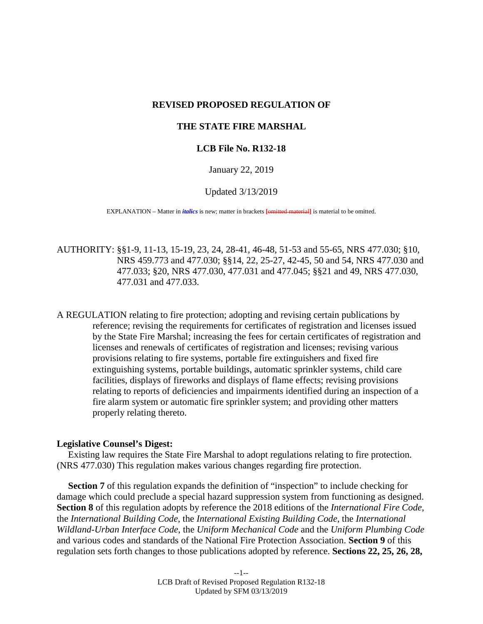# **REVISED PROPOSED REGULATION OF**

# **THE STATE FIRE MARSHAL**

## **LCB File No. R132-18**

January 22, 2019

Updated 3/13/2019

EXPLANATION – Matter in *italics* is new; matter in brackets **[**omitted material**]** is material to be omitted.

AUTHORITY: §[§1-](#page-4-0)[9,](#page-12-0) [11-](#page-23-0)[13,](#page-26-0) [15-](#page-31-0)[19,](#page-34-0) [23,](#page-44-0) [24,](#page-45-0) [28-](#page-51-0)[41,](#page-72-0) [46-](#page-77-0)[48,](#page-80-0) [51-](#page-85-0)[53](#page-87-0) and [55](#page-89-0)[-65,](#page-102-0) NRS 477.030; [§10,](#page-22-0) NRS 459.773 and 477.030; §[§14,](#page-27-0) [22,](#page-43-0) [25-](#page-47-0)[27,](#page-50-0) [42-](#page-72-1)[45,](#page-76-0) [50](#page-83-0) and [54,](#page-87-1) NRS 477.030 and 477.033; [§20,](#page-35-0) NRS 477.030, 477.031 and 477.045; §[§21](#page-37-0) and [49,](#page-80-1) NRS 477.030, 477.031 and 477.033.

A REGULATION relating to fire protection; adopting and revising certain publications by reference; revising the requirements for certificates of registration and licenses issued by the State Fire Marshal; increasing the fees for certain certificates of registration and licenses and renewals of certificates of registration and licenses; revising various provisions relating to fire systems, portable fire extinguishers and fixed fire extinguishing systems, portable buildings, automatic sprinkler systems, child care facilities, displays of fireworks and displays of flame effects; revising provisions relating to reports of deficiencies and impairments identified during an inspection of a fire alarm system or automatic fire sprinkler system; and providing other matters properly relating thereto.

### **Legislative Counsel's Digest:**

Existing law requires the State Fire Marshal to adopt regulations relating to fire protection. (NRS 477.030) This regulation makes various changes regarding fire protection.

**Section [7](#page-5-0)** of this regulation expands the definition of "inspection" to include checking for damage which could preclude a special hazard suppression system from functioning as designed. **Section [8](#page-5-1)** of this regulation adopts by reference the 2018 editions of the *International Fire Code*, the *International Building Code*, the *International Existing Building Code*, the *International Wildland-Urban Interface Code*, the *Uniform Mechanical Code* and the *Uniform Plumbing Code* and various codes and standards of the National Fire Protection Association. **Section [9](#page-12-0)** of this regulation sets forth changes to those publications adopted by reference. **Sections [22,](#page-43-0) [25,](#page-47-0) [26,](#page-49-0) [28,](#page-51-0)**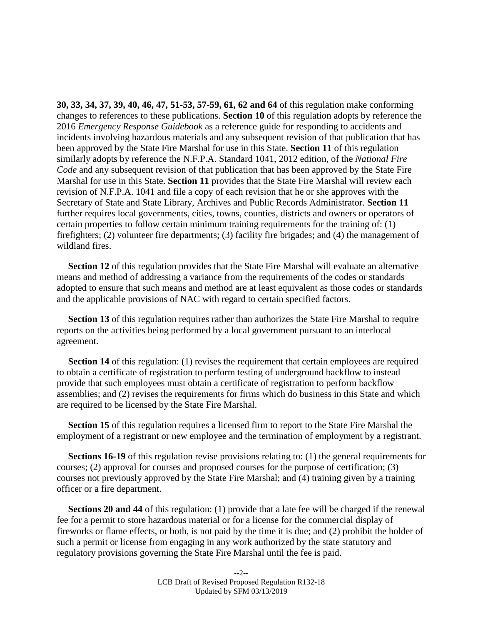**[30,](#page-54-0) [33,](#page-59-0) [34,](#page-60-0) [37,](#page-68-0) [39,](#page-72-2) [40,](#page-72-3) [46,](#page-77-0) [47,](#page-78-0) [51-](#page-85-0)[53,](#page-87-0) [57-](#page-91-0)[59,](#page-94-0) [61,](#page-98-0) [62](#page-99-0) and [64](#page-101-0)** of this regulation make conforming changes to references to these publications. **Section [10](#page-22-0)** of this regulation adopts by reference the 2016 *Emergency Response Guidebook* as a reference guide for responding to accidents and incidents involving hazardous materials and any subsequent revision of that publication that has been approved by the State Fire Marshal for use in this State. **Section 11** of this regulation similarly adopts by reference the N.F.P.A. Standard 1041, 2012 edition, of the *National Fire Code* and any subsequent revision of that publication that has been approved by the State Fire Marshal for use in this State. **Section [11](#page-23-0)** provides that the State Fire Marshal will review each revision of N.F.P.A. 1041 and file a copy of each revision that he or she approves with the Secretary of State and State Library, Archives and Public Records Administrator. **Section [11](#page-23-0)** further requires local governments, cities, towns, counties, districts and owners or operators of certain properties to follow certain minimum training requirements for the training of: (1) firefighters; (2) volunteer fire departments; (3) facility fire brigades; and (4) the management of wildland fires.

**Section [12](#page-25-0)** of this regulation provides that the State Fire Marshal will evaluate an alternative means and method of addressing a variance from the requirements of the codes or standards adopted to ensure that such means and method are at least equivalent as those codes or standards and the applicable provisions of NAC with regard to certain specified factors.

**Section [13](#page-26-0)** of this regulation requires rather than authorizes the State Fire Marshal to require reports on the activities being performed by a local government pursuant to an interlocal agreement.

**Section [14](#page-27-0)** of this regulation: (1) revises the requirement that certain employees are required to obtain a certificate of registration to perform testing of underground backflow to instead provide that such employees must obtain a certificate of registration to perform backflow assemblies; and (2) revises the requirements for firms which do business in this State and which are required to be licensed by the State Fire Marshal.

**Section [15](#page-31-0)** of this regulation requires a licensed firm to report to the State Fire Marshal the employment of a registrant or new employee and the termination of employment by a registrant.

**Sections [16-](#page-32-0)[19](#page-34-0)** of this regulation revise provisions relating to: (1) the general requirements for courses; (2) approval for courses and proposed courses for the purpose of certification; (3) courses not previously approved by the State Fire Marshal; and (4) training given by a training officer or a fire department.

**Sections [20](#page-35-0) and [44](#page-74-0)** of this regulation: (1) provide that a late fee will be charged if the renewal fee for a permit to store hazardous material or for a license for the commercial display of fireworks or flame effects, or both, is not paid by the time it is due; and (2) prohibit the holder of such a permit or license from engaging in any work authorized by the state statutory and regulatory provisions governing the State Fire Marshal until the fee is paid.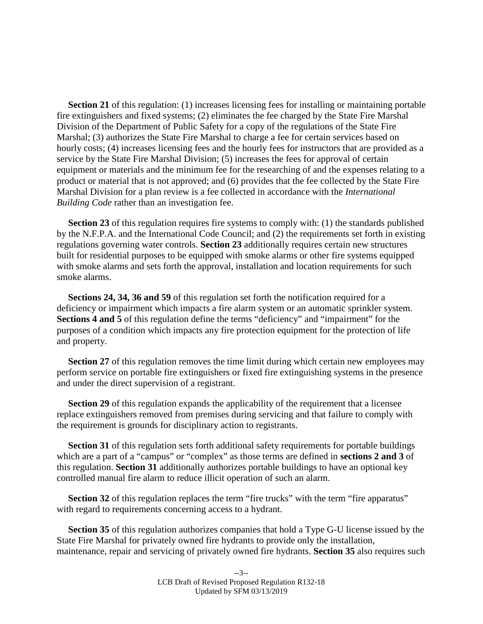**Section [21](#page-37-0)** of this regulation: (1) increases licensing fees for installing or maintaining portable fire extinguishers and fixed systems; (2) eliminates the fee charged by the State Fire Marshal Division of the Department of Public Safety for a copy of the regulations of the State Fire Marshal; (3) authorizes the State Fire Marshal to charge a fee for certain services based on hourly costs; (4) increases licensing fees and the hourly fees for instructors that are provided as a service by the State Fire Marshal Division; (5) increases the fees for approval of certain equipment or materials and the minimum fee for the researching of and the expenses relating to a product or material that is not approved; and (6) provides that the fee collected by the State Fire Marshal Division for a plan review is a fee collected in accordance with the *International Building Code* rather than an investigation fee.

**Section [23](#page-44-0)** of this regulation requires fire systems to comply with: (1) the standards published by the N.F.P.A. and the International Code Council; and (2) the requirements set forth in existing regulations governing water controls. **Section [23](#page-44-0)** additionally requires certain new structures built for residential purposes to be equipped with smoke alarms or other fire systems equipped with smoke alarms and sets forth the approval, installation and location requirements for such smoke alarms.

**Sections [24,](#page-45-0) [34,](#page-60-0) [36](#page-65-0) and [59](#page-94-0)** of this regulation set forth the notification required for a deficiency or impairment which impacts a fire alarm system or an automatic sprinkler system. **Sections [4](#page-4-1) and [5](#page-4-2)** of this regulation define the terms "deficiency" and "impairment" for the purposes of a condition which impacts any fire protection equipment for the protection of life and property.

**Section [27](#page-50-0)** of this regulation removes the time limit during which certain new employees may perform service on portable fire extinguishers or fixed fire extinguishing systems in the presence and under the direct supervision of a registrant.

**Section [29](#page-53-0)** of this regulation expands the applicability of the requirement that a licensee replace extinguishers removed from premises during servicing and that failure to comply with the requirement is grounds for disciplinary action to registrants.

**Section [31](#page-56-0)** of this regulation sets forth additional safety requirements for portable buildings which are a part of a "campus" or "complex" as those terms are defined in **sections [2](#page-4-3) and [3](#page-4-4)** of this regulation. **Section [31](#page-56-0)** additionally authorizes portable buildings to have an optional key controlled manual fire alarm to reduce illicit operation of such an alarm.

**Section** [32](#page-58-0) of this regulation replaces the term "fire trucks" with the term "fire apparatus" with regard to requirements concerning access to a hydrant.

**Section [35](#page-61-0)** of this regulation authorizes companies that hold a Type G-U license issued by the State Fire Marshal for privately owned fire hydrants to provide only the installation, maintenance, repair and servicing of privately owned fire hydrants. **Section [35](#page-61-0)** also requires such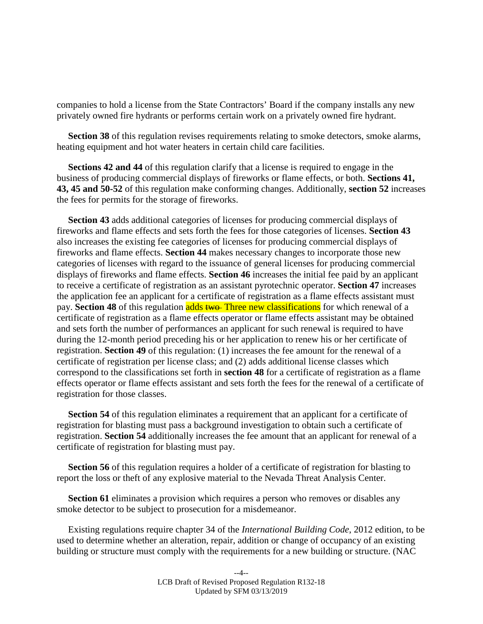companies to hold a license from the State Contractors' Board if the company installs any new privately owned fire hydrants or performs certain work on a privately owned fire hydrant.

**Section [38](#page-68-1)** of this regulation revises requirements relating to smoke detectors, smoke alarms, heating equipment and hot water heaters in certain child care facilities.

**Sections [42](#page-72-1) and [44](#page-74-0)** of this regulation clarify that a license is required to engage in the business of producing commercial displays of fireworks or flame effects, or both. **Sections [41,](#page-72-0) [43,](#page-73-0) [45](#page-76-0) and [50-](#page-83-0)[52](#page-86-0)** of this regulation make conforming changes. Additionally, **section [52](#page-86-0)** increases the fees for permits for the storage of fireworks.

**Section [43](#page-73-0)** adds additional categories of licenses for producing commercial displays of fireworks and flame effects and sets forth the fees for those categories of licenses. **Section [43](#page-73-0)** also increases the existing fee categories of licenses for producing commercial displays of fireworks and flame effects. **Section [44](#page-74-0)** makes necessary changes to incorporate those new categories of licenses with regard to the issuance of general licenses for producing commercial displays of fireworks and flame effects. **Section [46](#page-77-0)** increases the initial fee paid by an applicant to receive a certificate of registration as an assistant pyrotechnic operator. **Section [47](#page-78-0)** increases the application fee an applicant for a certificate of registration as a flame effects assistant must pay. **Section [48](#page-80-0)** of this regulation **adds two** Three new classifications for which renewal of a certificate of registration as a flame effects operator or flame effects assistant may be obtained and sets forth the number of performances an applicant for such renewal is required to have during the 12-month period preceding his or her application to renew his or her certificate of registration. **Section [49](#page-80-1)** of this regulation: (1) increases the fee amount for the renewal of a certificate of registration per license class; and (2) adds additional license classes which correspond to the classifications set forth in **section [48](#page-80-0)** for a certificate of registration as a flame effects operator or flame effects assistant and sets forth the fees for the renewal of a certificate of registration for those classes.

**Section [54](#page-87-1)** of this regulation eliminates a requirement that an applicant for a certificate of registration for blasting must pass a background investigation to obtain such a certificate of registration. **Section [54](#page-87-1)** additionally increases the fee amount that an applicant for renewal of a certificate of registration for blasting must pay.

**Section [56](#page-90-0)** of this regulation requires a holder of a certificate of registration for blasting to report the loss or theft of any explosive material to the Nevada Threat Analysis Center.

**Section [61](#page-98-0)** eliminates a provision which requires a person who removes or disables any smoke detector to be subject to prosecution for a misdemeanor.

Existing regulations require chapter 34 of the *International Building Code*, 2012 edition, to be used to determine whether an alteration, repair, addition or change of occupancy of an existing building or structure must comply with the requirements for a new building or structure. (NAC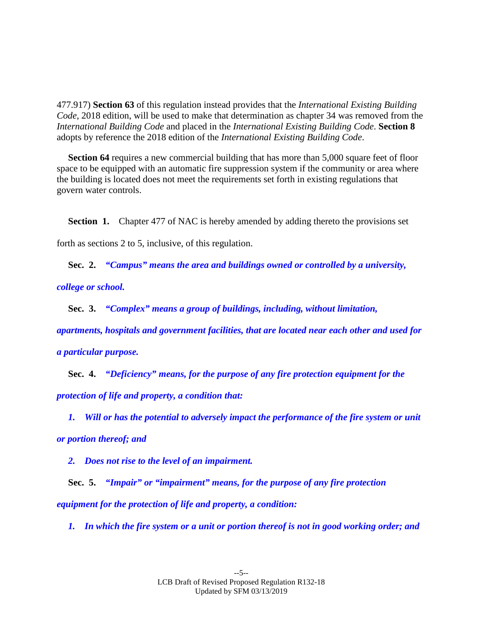477.917) **Section [63](#page-101-1)** of this regulation instead provides that the *International Existing Building Code*, 2018 edition, will be used to make that determination as chapter 34 was removed from the *International Building Code* and placed in the *International Existing Building Code*. **Section [8](#page-5-1)** adopts by reference the 2018 edition of the *International Existing Building Code*.

**Section [64](#page-101-0)** requires a new commercial building that has more than 5,000 square feet of floor space to be equipped with an automatic fire suppression system if the community or area where the building is located does not meet the requirements set forth in existing regulations that govern water controls.

<span id="page-4-0"></span>**Section 1.** Chapter 477 of NAC is hereby amended by adding thereto the provisions set forth as sections [2](#page-4-3) to [5,](#page-4-2) inclusive, of this regulation.

<span id="page-4-3"></span>**Sec. 2.** *"Campus" means the area and buildings owned or controlled by a university,* 

*college or school.*

<span id="page-4-4"></span>**Sec. 3.** *"Complex" means a group of buildings, including, without limitation,* 

*apartments, hospitals and government facilities, that are located near each other and used for* 

*a particular purpose.*

<span id="page-4-1"></span>**Sec. 4.** *"Deficiency" means, for the purpose of any fire protection equipment for the protection of life and property, a condition that:*

*1. Will or has the potential to adversely impact the performance of the fire system or unit or portion thereof; and*

<span id="page-4-2"></span>*2. Does not rise to the level of an impairment.*

**Sec. 5.** *"Impair" or "impairment" means, for the purpose of any fire protection equipment for the protection of life and property, a condition:*

*1. In which the fire system or a unit or portion thereof is not in good working order; and*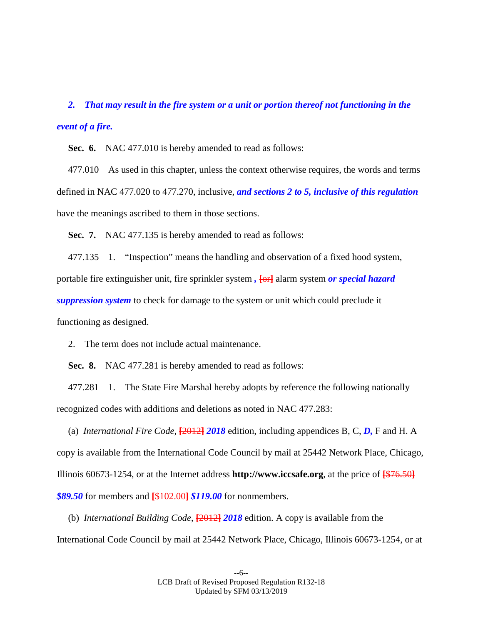*2. That may result in the fire system or a unit or portion thereof not functioning in the event of a fire.*

**Sec. 6.** NAC 477.010 is hereby amended to read as follows:

477.010 As used in this chapter, unless the context otherwise requires, the words and terms defined in NAC 477.020 to 477.270, inclusive, *and sections [2](#page-4-3) to [5,](#page-4-2) inclusive of this regulation* have the meanings ascribed to them in those sections.

<span id="page-5-0"></span>**Sec. 7.** NAC 477.135 is hereby amended to read as follows:

477.135 1. "Inspection" means the handling and observation of a fixed hood system, portable fire extinguisher unit, fire sprinkler system *,* **[**or**]** alarm system *or special hazard suppression system* to check for damage to the system or unit which could preclude it functioning as designed.

2. The term does not include actual maintenance.

<span id="page-5-1"></span>**Sec. 8.** NAC 477.281 is hereby amended to read as follows:

477.281 1. The State Fire Marshal hereby adopts by reference the following nationally recognized codes with additions and deletions as noted in NAC 477.283:

(a) *International Fire Code*, **[**2012**]** *2018* edition, including appendices B, C, *D,* F and H. A copy is available from the International Code Council by mail at 25442 Network Place, Chicago, Illinois 60673-1254, or at the Internet address **http://www.iccsafe.org**, at the price of **[**\$76.50**]** *\$89.50* for members and **[**\$102.00**]** *\$119.00* for nonmembers.

(b) *International Building Code*, **[**2012**]** *2018* edition. A copy is available from the International Code Council by mail at 25442 Network Place, Chicago, Illinois 60673-1254, or at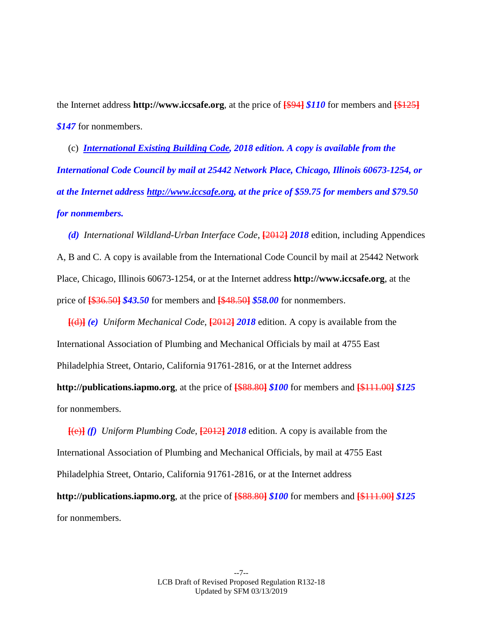the Internet address **http://www.iccsafe.org**, at the price of **[**\$94**]** *\$110* for members and **[**\$125**]** *\$147* for nonmembers.

(c) *International Existing Building Code, 2018 edition. A copy is available from the International Code Council by mail at 25442 Network Place, Chicago, Illinois 60673-1254, or at the Internet address http://www.iccsafe.org, at the price of \$59.75 for members and \$79.50 for nonmembers.*

*(d) International Wildland-Urban Interface Code*, **[**2012**]** *2018* edition, including Appendices A, B and C. A copy is available from the International Code Council by mail at 25442 Network Place, Chicago, Illinois 60673-1254, or at the Internet address **http://www.iccsafe.org**, at the price of **[**\$36.50**]** *\$43.50* for members and **[**\$48.50**]** *\$58.00* for nonmembers.

**[**(d)**]** *(e) Uniform Mechanical Code*, **[**2012**]** *2018* edition. A copy is available from the International Association of Plumbing and Mechanical Officials by mail at 4755 East Philadelphia Street, Ontario, California 91761-2816, or at the Internet address **http://publications.iapmo.org**, at the price of **[**\$88.80**]** *\$100* for members and **[**\$111.00**]** *\$125* 

for nonmembers.

**[**(e)**]** *(f) Uniform Plumbing Code*, **[**2012**]** *2018* edition. A copy is available from the International Association of Plumbing and Mechanical Officials, by mail at 4755 East Philadelphia Street, Ontario, California 91761-2816, or at the Internet address **http://publications.iapmo.org**, at the price of **[**\$88.80**]** *\$100* for members and **[**\$111.00**]** *\$125* for nonmembers.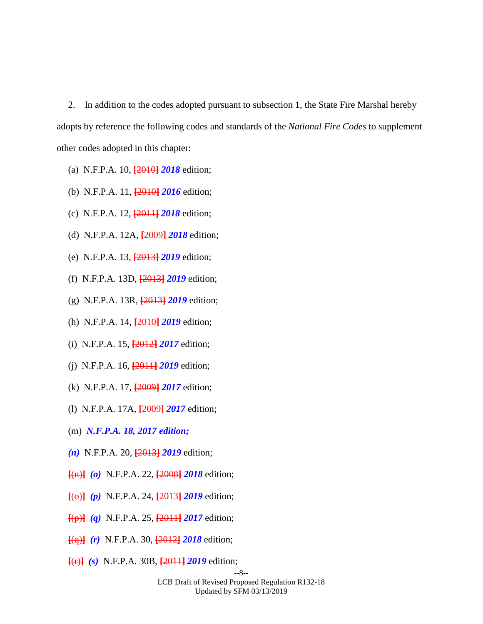2. In addition to the codes adopted pursuant to subsection 1, the State Fire Marshal hereby adopts by reference the following codes and standards of the *National Fire Codes* to supplement other codes adopted in this chapter:

- (a) N.F.P.A. 10, **[**2010**]** *2018* edition;
- (b) N.F.P.A. 11, **[**2010**]** *2016* edition;
- (c) N.F.P.A. 12, **[**2011**]** *2018* edition;
- (d) N.F.P.A. 12A, **[**2009**]** *2018* edition;
- (e) N.F.P.A. 13, **[**2013**]** *2019* edition;
- (f) N.F.P.A. 13D, **[**2013**]** *2019* edition;
- (g) N.F.P.A. 13R, **[**2013**]** *2019* edition;
- (h) N.F.P.A. 14, **[**2010**]** *2019* edition;
- (i) N.F.P.A. 15, **[**2012**]** *2017* edition;
- (j) N.F.P.A. 16, **[**2011**]** *2019* edition;
- (k) N.F.P.A. 17, **[**2009**]** *2017* edition;
- (l) N.F.P.A. 17A, **[**2009**]** *2017* edition;
- (m) *N.F.P.A. 18, 2017 edition;*
- *(n)* N.F.P.A. 20, **[**2013**]** *2019* edition;
- **[**(n)**]** *(o)* N.F.P.A. 22, **[**2008**]** *2018* edition;
- **[**(o)**]** *(p)* N.F.P.A. 24, **[**2013**]** *2019* edition;
- **[**(p)**]** *(q)* N.F.P.A. 25, **[**2011**]** *2017* edition;
- **[**(q)**]** *(r)* N.F.P.A. 30, **[**2012**]** *2018* edition;
- **[**(r)**]** *(s)* N.F.P.A. 30B, **[**2011**]** *2019* edition;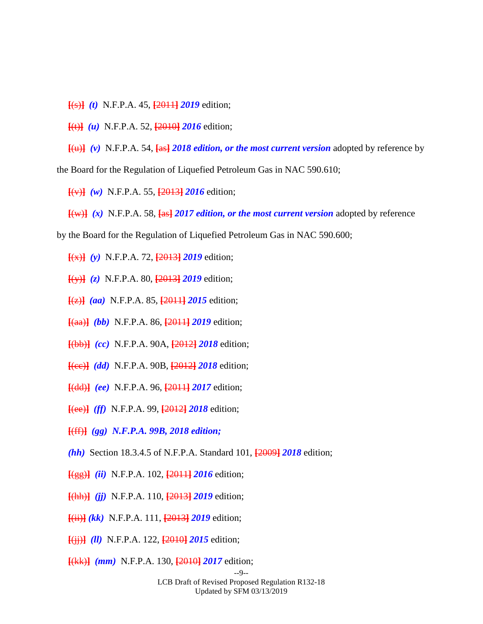- **[**(s)**]** *(t)* N.F.P.A. 45, **[**2011**]** *2019* edition;
- **[**(t)**]** *(u)* N.F.P.A. 52, **[**2010**]** *2016* edition;
- **[**(u)**]** *(v)* N.F.P.A. 54, **[**as**]** *2018 edition, or the most current version* adopted by reference by

the Board for the Regulation of Liquefied Petroleum Gas in NAC 590.610;

- **[**(v)**]** *(w)* N.F.P.A. 55, **[**2013**]** *2016* edition;
- $\frac{f(w)}{g(w)}$  *(x)* N.F.P.A. 58,  $\frac{f(a)}{g(a)}$  *2017 edition, or the most current version* adopted by reference
- by the Board for the Regulation of Liquefied Petroleum Gas in NAC 590.600;
	- **[**(x)**]** *(y)* N.F.P.A. 72, **[**2013**]** *2019* edition;
	- **[**(y)**]** *(z)* N.F.P.A. 80, **[**2013**]** *2019* edition;
	- **[**(z)**]** *(aa)* N.F.P.A. 85, **[**2011**]** *2015* edition;
	- **[**(aa)**]** *(bb)* N.F.P.A. 86, **[**2011**]** *2019* edition;
	- **[**(bb)**]** *(cc)* N.F.P.A. 90A, **[**2012**]** *2018* edition;
	- **[**(cc)**]** *(dd)* N.F.P.A. 90B, **[**2012**]** *2018* edition;
	- **[**(dd)**]** *(ee)* N.F.P.A. 96, **[**2011**]** *2017* edition;
	- **[**(ee)**]** *(ff)* N.F.P.A. 99, **[**2012**]** *2018* edition;
	- **[**(ff)**]** *(gg) N.F.P.A. 99B, 2018 edition;*
	- *(hh)* Section 18.3.4.5 of N.F.P.A. Standard 101, **[**2009**]** *2018* edition;
	- **[**(gg)**]** *(ii)* N.F.P.A. 102, **[**2011**]** *2016* edition;
	- **[**(hh)**]** *(jj)* N.F.P.A. 110, **[**2013**]** *2019* edition;
	- **[**(ii)**]** *(kk)* N.F.P.A. 111, **[**2013**]** *2019* edition;
	- **[**(jj)**]** *(ll)* N.F.P.A. 122, **[**2010**]** *2015* edition;
	- **[**(kk)**]** *(mm)* N.F.P.A. 130, **[**2010**]** *2017* edition;

LCB Draft of Revised Proposed Regulation R132-18 Updated by SFM 03/13/2019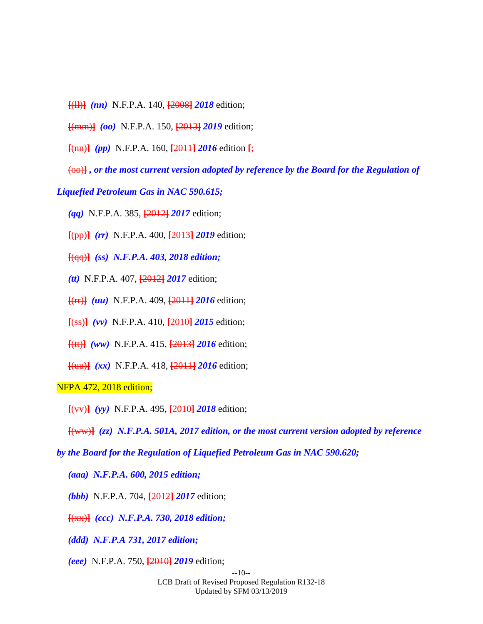**[**(ll)**]** *(nn)* N.F.P.A. 140, **[**2008**]** *2018* edition;

**[**(mm)**]** *(oo)* N.F.P.A. 150, **[**2013**]** *2019* edition;

**[**(nn)**]** *(pp)* N.F.P.A. 160, **[**2011**]** *2016* edition **[**;

(oo)**]** *, or the most current version adopted by reference by the Board for the Regulation of* 

# *Liquefied Petroleum Gas in NAC 590.615;*

*(qq)* N.F.P.A. 385, **[**2012**]** *2017* edition;

**[**(pp)**]** *(rr)* N.F.P.A. 400, **[**2013**]** *2019* edition;

**[**(qq)**]** *(ss) N.F.P.A. 403, 2018 edition;*

*(tt)* N.F.P.A. 407, **[**2012**]** *2017* edition;

**[**(rr)**]** *(uu)* N.F.P.A. 409, **[**2011**]** *2016* edition;

**[**(ss)**]** *(vv)* N.F.P.A. 410, **[**2010**]** *2015* edition;

**[**(tt)**]** *(ww)* N.F.P.A. 415, **[**2013**]** *2016* edition;

**[**(uu)**]** *(xx)* N.F.P.A. 418, **[**2011**]** *2016* edition;

# NFPA 472, 2018 edition;

**[**(vv)**]** *(yy)* N.F.P.A. 495, **[**2010**]** *2018* edition;

**[**(ww)**]** *(zz) N.F.P.A. 501A, 2017 edition, or the most current version adopted by reference* 

*by the Board for the Regulation of Liquefied Petroleum Gas in NAC 590.620;*

*(aaa) N.F.P.A. 600, 2015 edition;*

*(bbb)* N.F.P.A. 704, **[**2012**]** *2017* edition;

**[**(xx)**]** *(ccc) N.F.P.A. 730, 2018 edition;*

*(ddd) N.F.P.A 731, 2017 edition;*

*(eee)* N.F.P.A. 750, **[**2010**]** *2019* edition;

--10-- LCB Draft of Revised Proposed Regulation R132-18 Updated by SFM 03/13/2019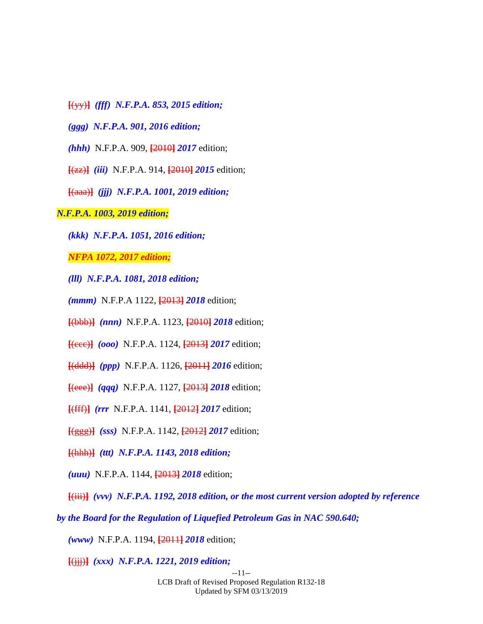- **[**(yy)**]** *(fff) N.F.P.A. 853, 2015 edition;*
- *(ggg) N.F.P.A. 901, 2016 edition;*
- *(hhh)* N.F.P.A. 909, **[**2010**]** *2017* edition;
- **[**(zz)**]** *(iii)* N.F.P.A. 914, **[**2010**]** *2015* edition;
- **[**(aaa)**]** *(jjj) N.F.P.A. 1001, 2019 edition;*
- *N.F.P.A. 1003, 2019 edition;*
	- *(kkk) N.F.P.A. 1051, 2016 edition;*

*NFPA 1072, 2017 edition;*

- *(lll) N.F.P.A. 1081, 2018 edition;*
- *(mmm)* N.F.P.A 1122, **[**2013**]** *2018* edition;
- **[**(bbb)**]** *(nnn)* N.F.P.A. 1123, **[**2010**]** *2018* edition;
- **[**(ccc)**]** *(ooo)* N.F.P.A. 1124, **[**2013**]** *2017* edition;
- **[**(ddd)**]** *(ppp)* N.F.P.A. 1126, **[**2011**]** *2016* edition;
- **[**(eee)**]** *(qqq)* N.F.P.A. 1127, **[**2013**]** *2018* edition;
- **[**(fff)**]** *(rrr* N.F.P.A. 1141, **[**2012**]** *2017* edition;
- **[**(ggg)**]** *(sss)* N.F.P.A. 1142, **[**2012**]** *2017* edition;
- **[**(hhh)**]** *(ttt) N.F.P.A. 1143, 2018 edition;*
- *(uuu)* N.F.P.A. 1144, **[**2013**]** *2018* edition;
- **[**(iii)**]** *(vvv) N.F.P.A. 1192, 2018 edition, or the most current version adopted by reference*
- *by the Board for the Regulation of Liquefied Petroleum Gas in NAC 590.640;*

*(www)* N.F.P.A. 1194, **[**2011**]** *2018* edition;

**[**(jjj)**]** *(xxx) N.F.P.A. 1221, 2019 edition;*

--11-- LCB Draft of Revised Proposed Regulation R132-18 Updated by SFM 03/13/2019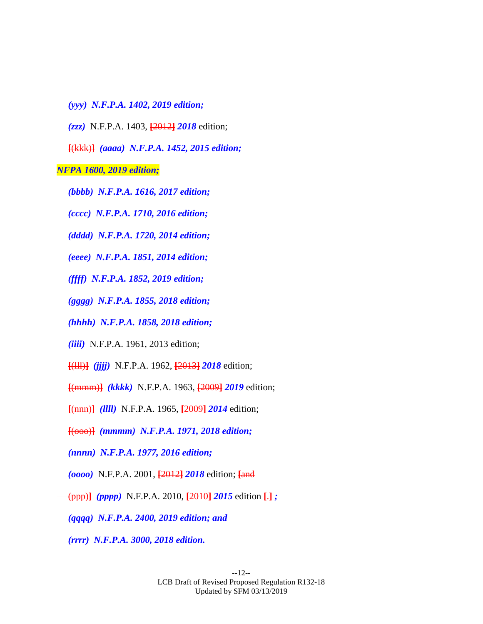- *(yyy) N.F.P.A. 1402, 2019 edition;*
- *(zzz)* N.F.P.A. 1403, **[**2012**]** *2018* edition;

**[**(kkk)**]** *(aaaa) N.F.P.A. 1452, 2015 edition;*

#### *NFPA 1600, 2019 edition;*

- *(bbbb) N.F.P.A. 1616, 2017 edition;*
- *(cccc) N.F.P.A. 1710, 2016 edition;*
- *(dddd) N.F.P.A. 1720, 2014 edition;*
- *(eeee) N.F.P.A. 1851, 2014 edition;*
- *(ffff) N.F.P.A. 1852, 2019 edition;*
- *(gggg) N.F.P.A. 1855, 2018 edition;*
- *(hhhh) N.F.P.A. 1858, 2018 edition;*
- *(iiii)* N.F.P.A. 1961, 2013 edition;
- **[**(lll)**]** *(jjjj)* N.F.P.A. 1962, **[**2013**]** *2018* edition;
- **[**(mmm)**]** *(kkkk)* N.F.P.A. 1963, **[**2009**]** *2019* edition;
- **[**(nnn)**]** *(llll)* N.F.P.A. 1965, **[**2009**]** *2014* edition;
- **[**(ooo)**]** *(mmmm) N.F.P.A. 1971, 2018 edition;*
- *(nnnn) N.F.P.A. 1977, 2016 edition;*
- *(oooo)* N.F.P.A. 2001, **[**2012**]** *2018* edition; **[**and
- (ppp)**]** *(pppp)* N.F.P.A. 2010, **[**2010**]** *2015* edition **[**.**]** *;*
	- *(qqqq) N.F.P.A. 2400, 2019 edition; and*
	- *(rrrr) N.F.P.A. 3000, 2018 edition.*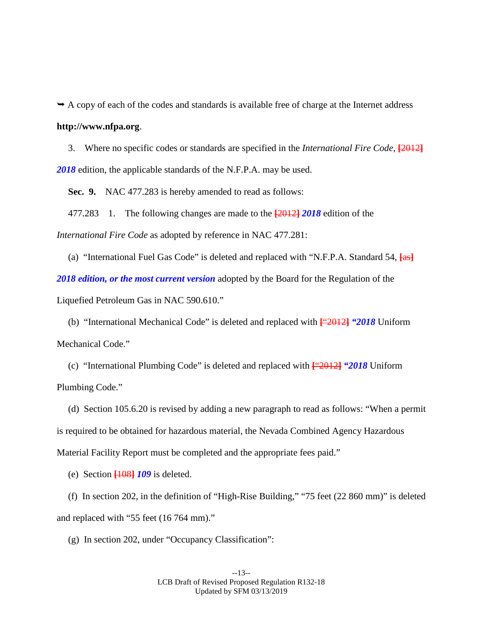$\rightarrow$  A copy of each of the codes and standards is available free of charge at the Internet address **http://www.nfpa.org**.

3. Where no specific codes or standards are specified in the *International Fire Code*, **[**2012**]** *2018* edition, the applicable standards of the N.F.P.A. may be used.

<span id="page-12-0"></span>**Sec. 9.** NAC 477.283 is hereby amended to read as follows:

477.283 1. The following changes are made to the **[**2012**]** *2018* edition of the *International Fire Code* as adopted by reference in NAC 477.281:

(a) "International Fuel Gas Code" is deleted and replaced with "N.F.P.A. Standard 54, **[**as**]** *2018 edition, or the most current version* adopted by the Board for the Regulation of the Liquefied Petroleum Gas in NAC 590.610."

(b) "International Mechanical Code" is deleted and replaced with **[**"2012**]** *"2018* Uniform Mechanical Code."

(c) "International Plumbing Code" is deleted and replaced with **[**"2012**]** *"2018* Uniform Plumbing Code."

(d) Section 105.6.20 is revised by adding a new paragraph to read as follows: "When a permit is required to be obtained for hazardous material, the Nevada Combined Agency Hazardous Material Facility Report must be completed and the appropriate fees paid."

(e) Section **[**108**]** *109* is deleted.

(f) In section 202, in the definition of "High-Rise Building," "75 feet (22 860 mm)" is deleted and replaced with "55 feet (16 764 mm)."

(g) In section 202, under "Occupancy Classification":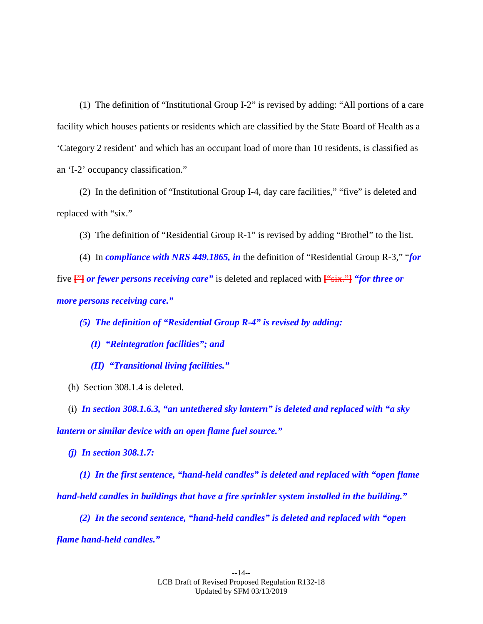(1) The definition of "Institutional Group I-2" is revised by adding: "All portions of a care facility which houses patients or residents which are classified by the State Board of Health as a 'Category 2 resident' and which has an occupant load of more than 10 residents, is classified as an 'I-2' occupancy classification."

(2) In the definition of "Institutional Group I-4, day care facilities," "five" is deleted and replaced with "six."

(3) The definition of "Residential Group R-1" is revised by adding "Brothel" to the list.

(4) In *compliance with NRS 449.1865, in* the definition of "Residential Group R-3," "*for*  five **[**"**]** *or fewer persons receiving care"* is deleted and replaced with **[**"six."**]** *"for three or more persons receiving care."*

*(5) The definition of "Residential Group R-4" is revised by adding:*

*(I) "Reintegration facilities"; and*

*(II) "Transitional living facilities."*

(h) Section 308.1.4 is deleted.

(i) *In section 308.1.6.3, "an untethered sky lantern" is deleted and replaced with "a sky lantern or similar device with an open flame fuel source."*

*(j) In section 308.1.7:*

*(1) In the first sentence, "hand-held candles" is deleted and replaced with "open flame hand-held candles in buildings that have a fire sprinkler system installed in the building."*

*(2) In the second sentence, "hand-held candles" is deleted and replaced with "open flame hand-held candles."*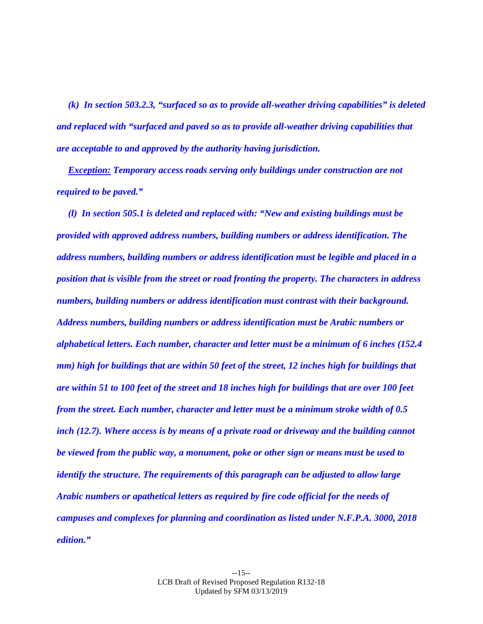*(k) In section 503.2.3, "surfaced so as to provide all-weather driving capabilities" is deleted and replaced with "surfaced and paved so as to provide all-weather driving capabilities that are acceptable to and approved by the authority having jurisdiction.*

*Exception: Temporary access roads serving only buildings under construction are not required to be paved."*

*(l) In section 505.1 is deleted and replaced with: "New and existing buildings must be provided with approved address numbers, building numbers or address identification. The address numbers, building numbers or address identification must be legible and placed in a position that is visible from the street or road fronting the property. The characters in address numbers, building numbers or address identification must contrast with their background. Address numbers, building numbers or address identification must be Arabic numbers or alphabetical letters. Each number, character and letter must be a minimum of 6 inches (152.4 mm) high for buildings that are within 50 feet of the street, 12 inches high for buildings that are within 51 to 100 feet of the street and 18 inches high for buildings that are over 100 feet from the street. Each number, character and letter must be a minimum stroke width of 0.5 inch (12.7). Where access is by means of a private road or driveway and the building cannot be viewed from the public way, a monument, poke or other sign or means must be used to identify the structure. The requirements of this paragraph can be adjusted to allow large Arabic numbers or apathetical letters as required by fire code official for the needs of campuses and complexes for planning and coordination as listed under N.F.P.A. 3000, 2018 edition."*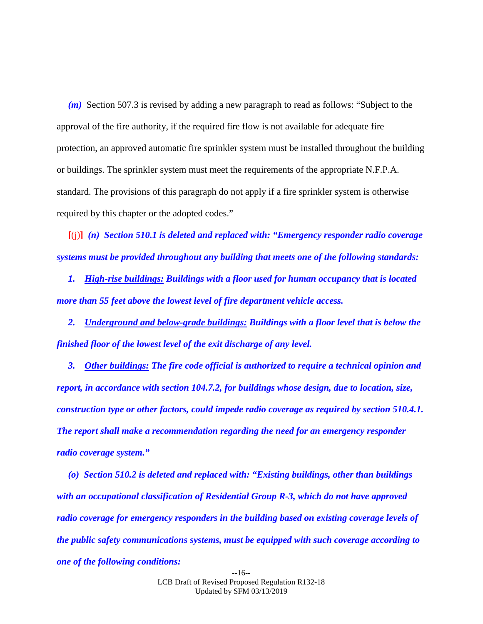*(m)* Section 507.3 is revised by adding a new paragraph to read as follows: "Subject to the approval of the fire authority, if the required fire flow is not available for adequate fire protection, an approved automatic fire sprinkler system must be installed throughout the building or buildings. The sprinkler system must meet the requirements of the appropriate N.F.P.A. standard. The provisions of this paragraph do not apply if a fire sprinkler system is otherwise required by this chapter or the adopted codes."

**[**(j)**]** *(n) Section 510.1 is deleted and replaced with: "Emergency responder radio coverage systems must be provided throughout any building that meets one of the following standards:*

*1. High-rise buildings: Buildings with a floor used for human occupancy that is located more than 55 feet above the lowest level of fire department vehicle access.*

*2. Underground and below-grade buildings: Buildings with a floor level that is below the finished floor of the lowest level of the exit discharge of any level.*

*3. Other buildings: The fire code official is authorized to require a technical opinion and report, in accordance with section 104.7.2, for buildings whose design, due to location, size, construction type or other factors, could impede radio coverage as required by section 510.4.1. The report shall make a recommendation regarding the need for an emergency responder radio coverage system."*

*(o) Section 510.2 is deleted and replaced with: "Existing buildings, other than buildings with an occupational classification of Residential Group R-3, which do not have approved radio coverage for emergency responders in the building based on existing coverage levels of the public safety communications systems, must be equipped with such coverage according to one of the following conditions:*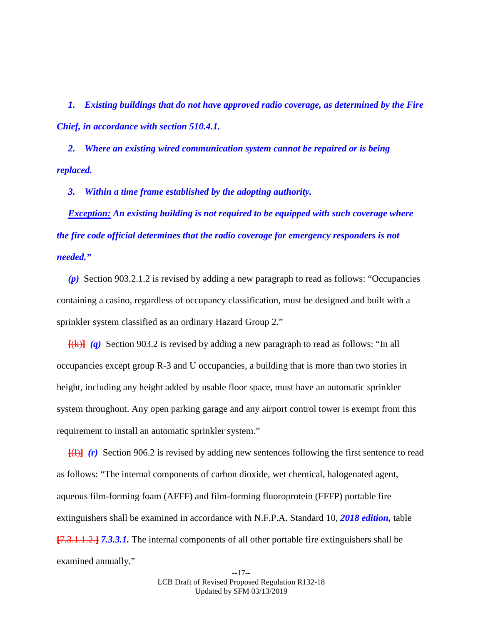*1. Existing buildings that do not have approved radio coverage, as determined by the Fire Chief, in accordance with section 510.4.1.*

*2. Where an existing wired communication system cannot be repaired or is being replaced.*

*3. Within a time frame established by the adopting authority.*

*Exception: An existing building is not required to be equipped with such coverage where the fire code official determines that the radio coverage for emergency responders is not needed."*

*(p)* Section 903.2.1.2 is revised by adding a new paragraph to read as follows: "Occupancies containing a casino, regardless of occupancy classification, must be designed and built with a sprinkler system classified as an ordinary Hazard Group 2."

**[**(k)**]** *(q)* Section 903.2 is revised by adding a new paragraph to read as follows: "In all occupancies except group R-3 and U occupancies, a building that is more than two stories in height, including any height added by usable floor space, must have an automatic sprinkler system throughout. Any open parking garage and any airport control tower is exempt from this requirement to install an automatic sprinkler system."

**[**(l)**]** *(r)* Section 906.2 is revised by adding new sentences following the first sentence to read as follows: "The internal components of carbon dioxide, wet chemical, halogenated agent, aqueous film-forming foam (AFFF) and film-forming fluoroprotein (FFFP) portable fire extinguishers shall be examined in accordance with N.F.P.A. Standard 10, *2018 edition,* table **[**7.3.1.1.2.**]** *7.3.3.1.* The internal components of all other portable fire extinguishers shall be examined annually."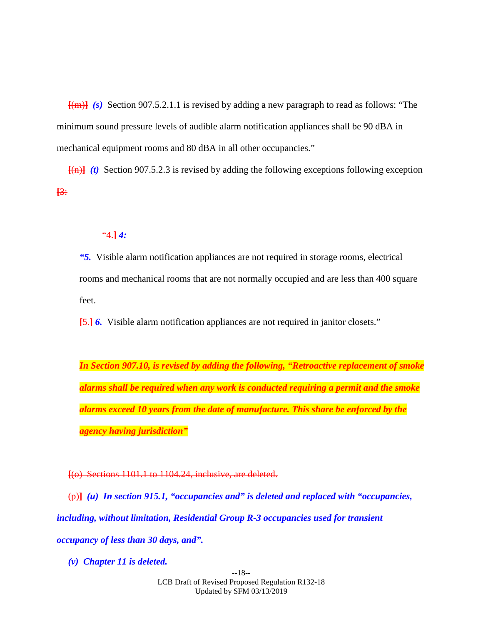**[**(m)**]** *(s)* Section 907.5.2.1.1 is revised by adding a new paragraph to read as follows: "The minimum sound pressure levels of audible alarm notification appliances shall be 90 dBA in mechanical equipment rooms and 80 dBA in all other occupancies."

 $\overline{f(n)}$  *(t)* Section 907.5.2.3 is revised by adding the following exceptions following exception **[**3:

"4.**]** *4:*

*"5.* Visible alarm notification appliances are not required in storage rooms, electrical rooms and mechanical rooms that are not normally occupied and are less than 400 square feet.

**[**5.**]** *6.* Visible alarm notification appliances are not required in janitor closets."

*In Section 907.10, is revised by adding the following, "Retroactive replacement of smoke alarms shall be required when any work is conducted requiring a permit and the smoke alarms exceed 10 years from the date of manufacture. This share be enforced by the agency having jurisdiction"* 

**[**(o) Sections 1101.1 to 1104.24, inclusive, are deleted.

(p)**]** *(u) In section 915.1, "occupancies and" is deleted and replaced with "occupancies, including, without limitation, Residential Group R-3 occupancies used for transient occupancy of less than 30 days, and".*

*(v) Chapter 11 is deleted.*

--18-- LCB Draft of Revised Proposed Regulation R132-18 Updated by SFM 03/13/2019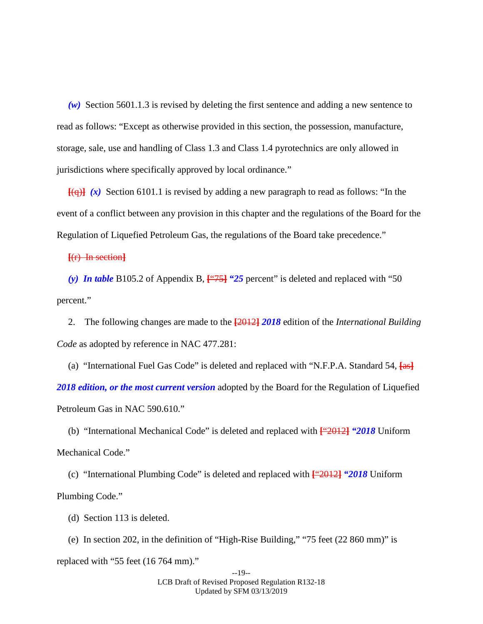*(w)* Section 5601.1.3 is revised by deleting the first sentence and adding a new sentence to read as follows: "Except as otherwise provided in this section, the possession, manufacture, storage, sale, use and handling of Class 1.3 and Class 1.4 pyrotechnics are only allowed in jurisdictions where specifically approved by local ordinance."

 $[$ (q)  $\{$ (x) Section 6101.1 is revised by adding a new paragraph to read as follows: "In the event of a conflict between any provision in this chapter and the regulations of the Board for the Regulation of Liquefied Petroleum Gas, the regulations of the Board take precedence."

**[**(r) In section**]**

*(y) In table* B105.2 of Appendix B, **[**"75**]** *"25* percent" is deleted and replaced with "50 percent."

2. The following changes are made to the **[**2012**]** *2018* edition of the *International Building Code* as adopted by reference in NAC 477.281:

(a) "International Fuel Gas Code" is deleted and replaced with "N.F.P.A. Standard 54, **[**as**]** *2018 edition, or the most current version* adopted by the Board for the Regulation of Liquefied Petroleum Gas in NAC 590.610."

(b) "International Mechanical Code" is deleted and replaced with **[**"2012**]** *"2018* Uniform Mechanical Code."

(c) "International Plumbing Code" is deleted and replaced with **[**"2012**]** *"2018* Uniform Plumbing Code."

(d) Section 113 is deleted.

(e) In section 202, in the definition of "High-Rise Building," "75 feet (22 860 mm)" is replaced with "55 feet (16 764 mm)."

--19-- LCB Draft of Revised Proposed Regulation R132-18 Updated by SFM 03/13/2019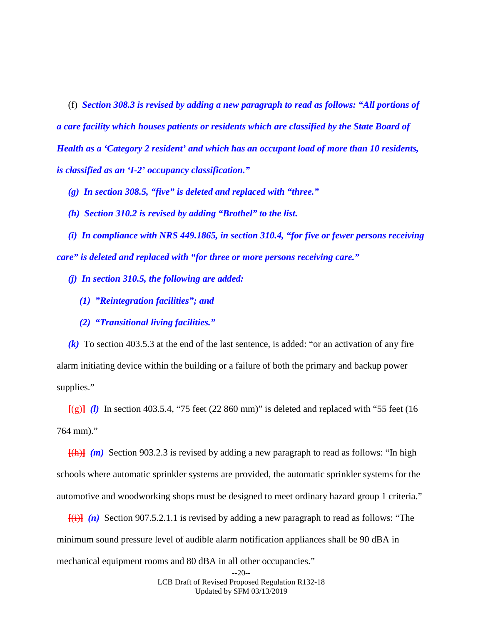(f) *Section 308.3 is revised by adding a new paragraph to read as follows: "All portions of a care facility which houses patients or residents which are classified by the State Board of Health as a 'Category 2 resident' and which has an occupant load of more than 10 residents, is classified as an 'I-2' occupancy classification."*

*(g) In section 308.5, "five" is deleted and replaced with "three."*

*(h) Section 310.2 is revised by adding "Brothel" to the list.*

*(i) In compliance with NRS 449.1865, in section 310.4, "for five or fewer persons receiving care" is deleted and replaced with "for three or more persons receiving care."*

*(j) In section 310.5, the following are added:*

- *(1) "Reintegration facilities"; and*
- *(2) "Transitional living facilities."*

*(k)* To section 403.5.3 at the end of the last sentence, is added: "or an activation of any fire alarm initiating device within the building or a failure of both the primary and backup power supplies."

 $\overline{f(g)}$  *(l)* In section 403.5.4, "75 feet (22 860 mm)" is deleted and replaced with "55 feet (16 764 mm)."

**[**(h)**]** *(m)* Section 903.2.3 is revised by adding a new paragraph to read as follows: "In high schools where automatic sprinkler systems are provided, the automatic sprinkler systems for the automotive and woodworking shops must be designed to meet ordinary hazard group 1 criteria."

 $\overline{f(i)}$  *(n)* Section 907.5.2.1.1 is revised by adding a new paragraph to read as follows: "The minimum sound pressure level of audible alarm notification appliances shall be 90 dBA in mechanical equipment rooms and 80 dBA in all other occupancies."

<sup>--20--</sup>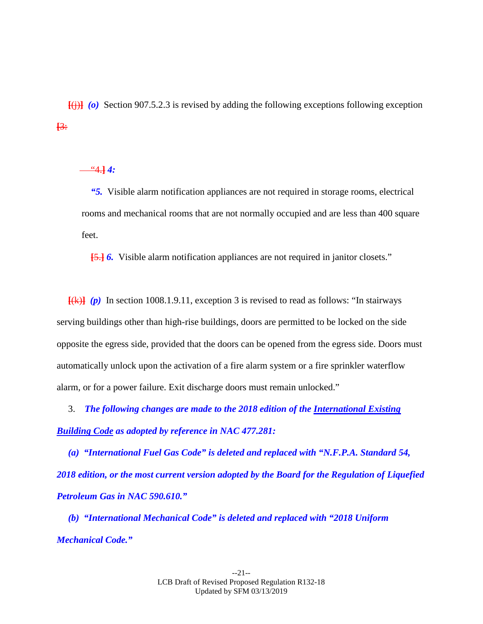$\overline{f(i)}$  (o) Section 907.5.2.3 is revised by adding the following exceptions following exception **[**3:

 $-4.44$ :

*"5.* Visible alarm notification appliances are not required in storage rooms, electrical rooms and mechanical rooms that are not normally occupied and are less than 400 square feet.

**[**5.**]** *6.* Visible alarm notification appliances are not required in janitor closets."

 $\overline{f(k)}$  (p) In section 1008.1.9.11, exception 3 is revised to read as follows: "In stairways serving buildings other than high-rise buildings, doors are permitted to be locked on the side opposite the egress side, provided that the doors can be opened from the egress side. Doors must automatically unlock upon the activation of a fire alarm system or a fire sprinkler waterflow alarm, or for a power failure. Exit discharge doors must remain unlocked."

3. *The following changes are made to the 2018 edition of the International Existing Building Code as adopted by reference in NAC 477.281:*

*(a) "International Fuel Gas Code" is deleted and replaced with "N.F.P.A. Standard 54, 2018 edition, or the most current version adopted by the Board for the Regulation of Liquefied Petroleum Gas in NAC 590.610."*

*(b) "International Mechanical Code" is deleted and replaced with "2018 Uniform Mechanical Code."*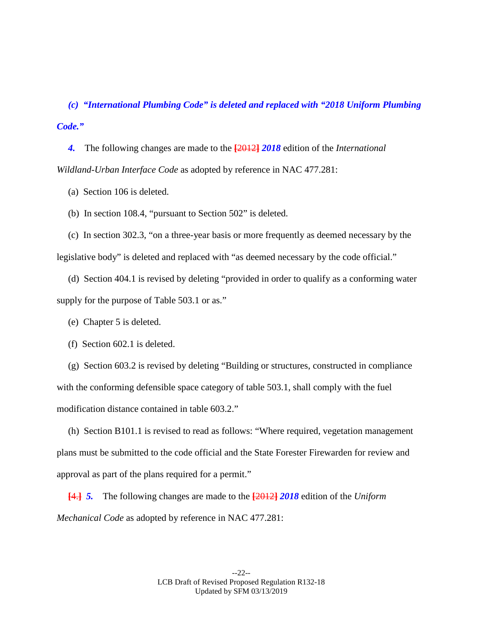*(c) "International Plumbing Code" is deleted and replaced with "2018 Uniform Plumbing Code."*

*4.* The following changes are made to the **[**2012**]** *2018* edition of the *International Wildland-Urban Interface Code* as adopted by reference in NAC 477.281:

(a) Section 106 is deleted.

(b) In section 108.4, "pursuant to Section 502" is deleted.

(c) In section 302.3, "on a three-year basis or more frequently as deemed necessary by the legislative body" is deleted and replaced with "as deemed necessary by the code official."

(d) Section 404.1 is revised by deleting "provided in order to qualify as a conforming water supply for the purpose of Table 503.1 or as."

(e) Chapter 5 is deleted.

(f) Section 602.1 is deleted.

(g) Section 603.2 is revised by deleting "Building or structures, constructed in compliance with the conforming defensible space category of table 503.1, shall comply with the fuel modification distance contained in table 603.2."

(h) Section B101.1 is revised to read as follows: "Where required, vegetation management plans must be submitted to the code official and the State Forester Firewarden for review and approval as part of the plans required for a permit."

**[**4.**]** *5.* The following changes are made to the **[**2012**]** *2018* edition of the *Uniform Mechanical Code* as adopted by reference in NAC 477.281: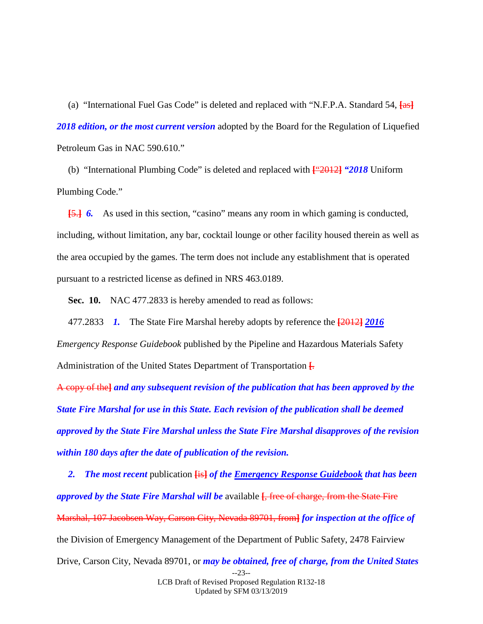(a) "International Fuel Gas Code" is deleted and replaced with "N.F.P.A. Standard 54, **[**as**]** *2018 edition, or the most current version* adopted by the Board for the Regulation of Liquefied Petroleum Gas in NAC 590.610."

(b) "International Plumbing Code" is deleted and replaced with **[**"2012**]** *"2018* Uniform Plumbing Code."

**[**5.**]** *6.* As used in this section, "casino" means any room in which gaming is conducted, including, without limitation, any bar, cocktail lounge or other facility housed therein as well as the area occupied by the games. The term does not include any establishment that is operated pursuant to a restricted license as defined in NRS 463.0189.

<span id="page-22-0"></span>**Sec. 10.** NAC 477.2833 is hereby amended to read as follows:

477.2833 *1.* The State Fire Marshal hereby adopts by reference the **[**2012**]** *2016*

*Emergency Response Guidebook* published by the Pipeline and Hazardous Materials Safety Administration of the United States Department of Transportation **[**.

A copy of the**]** *and any subsequent revision of the publication that has been approved by the State Fire Marshal for use in this State. Each revision of the publication shall be deemed approved by the State Fire Marshal unless the State Fire Marshal disapproves of the revision within 180 days after the date of publication of the revision.*

--23-- *2. The most recent* publication **[**is**]** *of the Emergency Response Guidebook that has been approved by the State Fire Marshal will be* available **[**, free of charge, from the State Fire Marshal, 107 Jacobsen Way, Carson City, Nevada 89701, from**]** *for inspection at the office of*  the Division of Emergency Management of the Department of Public Safety, 2478 Fairview Drive, Carson City, Nevada 89701, or *may be obtained, free of charge, from the United States* 

> LCB Draft of Revised Proposed Regulation R132-18 Updated by SFM 03/13/2019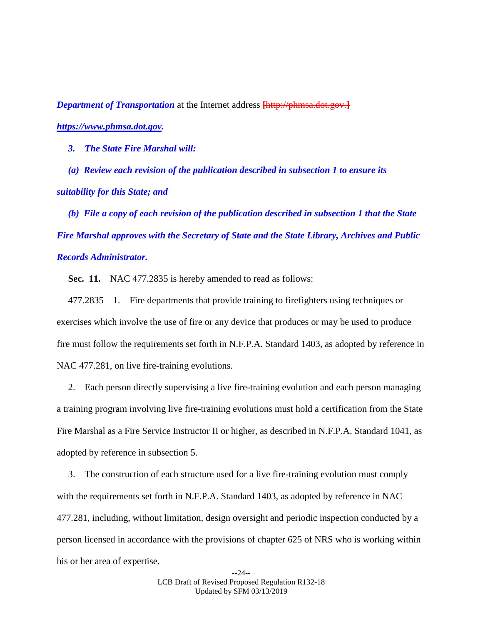*Department of Transportation* at the Internet address **[**http://phmsa.dot.gov.**]** *https://www.phmsa.dot.gov.*

*3. The State Fire Marshal will:*

*(a) Review each revision of the publication described in subsection 1 to ensure its suitability for this State; and*

*(b) File a copy of each revision of the publication described in subsection 1 that the State Fire Marshal approves with the Secretary of State and the State Library, Archives and Public Records Administrator.*

<span id="page-23-0"></span>**Sec. 11.** NAC 477.2835 is hereby amended to read as follows:

477.2835 1. Fire departments that provide training to firefighters using techniques or exercises which involve the use of fire or any device that produces or may be used to produce fire must follow the requirements set forth in N.F.P.A. Standard 1403, as adopted by reference in NAC 477.281, on live fire-training evolutions.

2. Each person directly supervising a live fire-training evolution and each person managing a training program involving live fire-training evolutions must hold a certification from the State Fire Marshal as a Fire Service Instructor II or higher, as described in N.F.P.A. Standard 1041, as adopted by reference in subsection 5.

3. The construction of each structure used for a live fire-training evolution must comply with the requirements set forth in N.F.P.A. Standard 1403, as adopted by reference in NAC 477.281, including, without limitation, design oversight and periodic inspection conducted by a person licensed in accordance with the provisions of chapter 625 of NRS who is working within his or her area of expertise.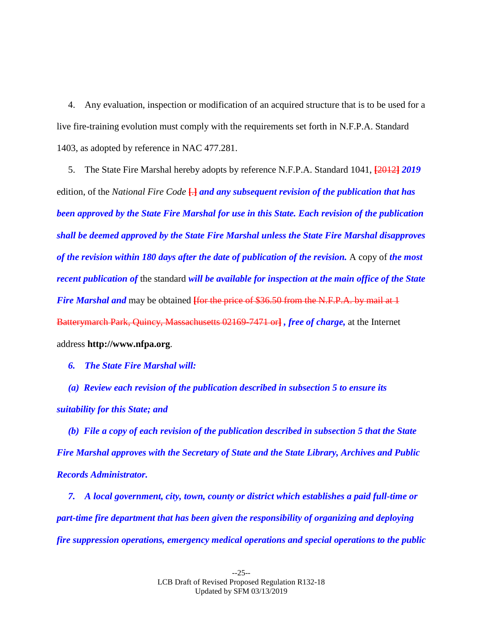4. Any evaluation, inspection or modification of an acquired structure that is to be used for a live fire-training evolution must comply with the requirements set forth in N.F.P.A. Standard 1403, as adopted by reference in NAC 477.281.

5. The State Fire Marshal hereby adopts by reference N.F.P.A. Standard 1041, **[**2012**]** *2019* edition, of the *National Fire Code* **[**.**]** *and any subsequent revision of the publication that has been approved by the State Fire Marshal for use in this State. Each revision of the publication shall be deemed approved by the State Fire Marshal unless the State Fire Marshal disapproves of the revision within 180 days after the date of publication of the revision.* A copy of *the most recent publication of* the standard *will be available for inspection at the main office of the State Fire Marshal and* may be obtained *for the price of \$36.50 from the N.F.P.A. by mail at 1* Batterymarch Park, Quincy, Massachusetts 02169-7471 or**]** *, free of charge,* at the Internet address **http://www.nfpa.org**.

*6. The State Fire Marshal will:*

*(a) Review each revision of the publication described in subsection 5 to ensure its suitability for this State; and*

*(b) File a copy of each revision of the publication described in subsection 5 that the State Fire Marshal approves with the Secretary of State and the State Library, Archives and Public Records Administrator.*

*7. A local government, city, town, county or district which establishes a paid full-time or part-time fire department that has been given the responsibility of organizing and deploying fire suppression operations, emergency medical operations and special operations to the public*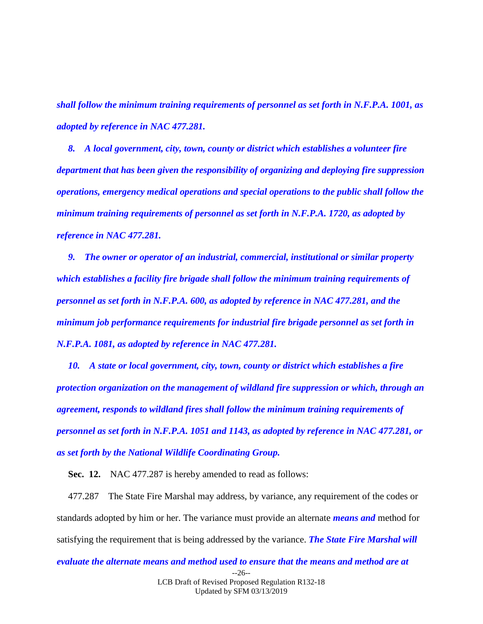*shall follow the minimum training requirements of personnel as set forth in N.F.P.A. 1001, as adopted by reference in NAC 477.281.*

*8. A local government, city, town, county or district which establishes a volunteer fire department that has been given the responsibility of organizing and deploying fire suppression operations, emergency medical operations and special operations to the public shall follow the minimum training requirements of personnel as set forth in N.F.P.A. 1720, as adopted by reference in NAC 477.281.*

*9. The owner or operator of an industrial, commercial, institutional or similar property which establishes a facility fire brigade shall follow the minimum training requirements of personnel as set forth in N.F.P.A. 600, as adopted by reference in NAC 477.281, and the minimum job performance requirements for industrial fire brigade personnel as set forth in N.F.P.A. 1081, as adopted by reference in NAC 477.281.*

*10. A state or local government, city, town, county or district which establishes a fire protection organization on the management of wildland fire suppression or which, through an agreement, responds to wildland fires shall follow the minimum training requirements of personnel as set forth in N.F.P.A. 1051 and 1143, as adopted by reference in NAC 477.281, or as set forth by the National Wildlife Coordinating Group.*

<span id="page-25-0"></span>**Sec. 12.** NAC 477.287 is hereby amended to read as follows:

477.287 The State Fire Marshal may address, by variance, any requirement of the codes or standards adopted by him or her. The variance must provide an alternate *means and* method for satisfying the requirement that is being addressed by the variance. *The State Fire Marshal will* 

### --26- *evaluate the alternate means and method used to ensure that the means and method are at*

LCB Draft of Revised Proposed Regulation R132-18 Updated by SFM 03/13/2019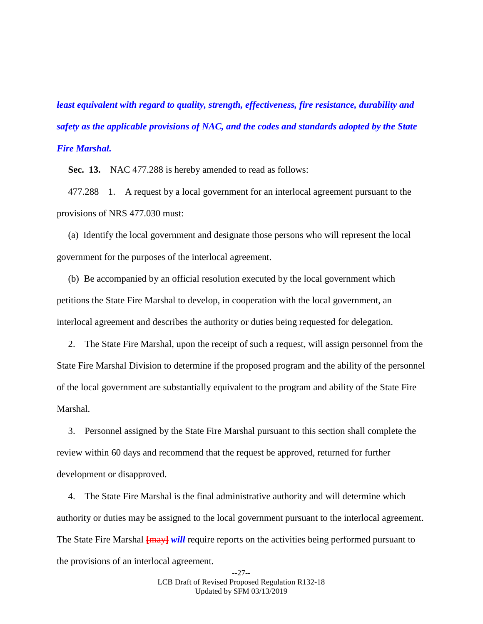*least equivalent with regard to quality, strength, effectiveness, fire resistance, durability and safety as the applicable provisions of NAC, and the codes and standards adopted by the State Fire Marshal.*

<span id="page-26-0"></span>**Sec. 13.** NAC 477.288 is hereby amended to read as follows:

477.288 1. A request by a local government for an interlocal agreement pursuant to the provisions of NRS 477.030 must:

(a) Identify the local government and designate those persons who will represent the local government for the purposes of the interlocal agreement.

(b) Be accompanied by an official resolution executed by the local government which petitions the State Fire Marshal to develop, in cooperation with the local government, an interlocal agreement and describes the authority or duties being requested for delegation.

2. The State Fire Marshal, upon the receipt of such a request, will assign personnel from the State Fire Marshal Division to determine if the proposed program and the ability of the personnel of the local government are substantially equivalent to the program and ability of the State Fire Marshal.

3. Personnel assigned by the State Fire Marshal pursuant to this section shall complete the review within 60 days and recommend that the request be approved, returned for further development or disapproved.

4. The State Fire Marshal is the final administrative authority and will determine which authority or duties may be assigned to the local government pursuant to the interlocal agreement. The State Fire Marshal **[**may**]** *will* require reports on the activities being performed pursuant to the provisions of an interlocal agreement.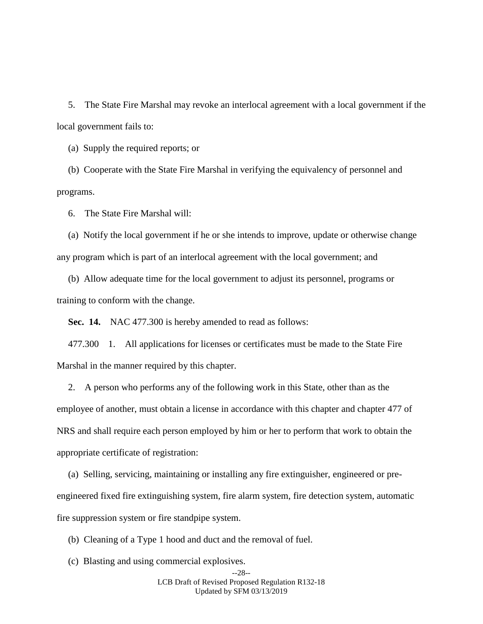5. The State Fire Marshal may revoke an interlocal agreement with a local government if the local government fails to:

(a) Supply the required reports; or

(b) Cooperate with the State Fire Marshal in verifying the equivalency of personnel and programs.

6. The State Fire Marshal will:

(a) Notify the local government if he or she intends to improve, update or otherwise change any program which is part of an interlocal agreement with the local government; and

(b) Allow adequate time for the local government to adjust its personnel, programs or training to conform with the change.

<span id="page-27-0"></span>**Sec. 14.** NAC 477.300 is hereby amended to read as follows:

477.300 1. All applications for licenses or certificates must be made to the State Fire Marshal in the manner required by this chapter.

2. A person who performs any of the following work in this State, other than as the employee of another, must obtain a license in accordance with this chapter and chapter 477 of NRS and shall require each person employed by him or her to perform that work to obtain the appropriate certificate of registration:

(a) Selling, servicing, maintaining or installing any fire extinguisher, engineered or preengineered fixed fire extinguishing system, fire alarm system, fire detection system, automatic fire suppression system or fire standpipe system.

(b) Cleaning of a Type 1 hood and duct and the removal of fuel.

(c) Blasting and using commercial explosives.

--28-- LCB Draft of Revised Proposed Regulation R132-18 Updated by SFM 03/13/2019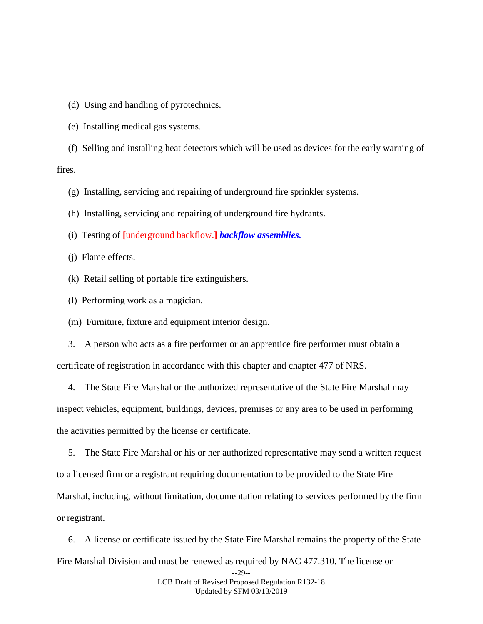(d) Using and handling of pyrotechnics.

(e) Installing medical gas systems.

(f) Selling and installing heat detectors which will be used as devices for the early warning of fires.

(g) Installing, servicing and repairing of underground fire sprinkler systems.

(h) Installing, servicing and repairing of underground fire hydrants.

(i) Testing of **[**underground backflow.**]** *backflow assemblies.*

(j) Flame effects.

(k) Retail selling of portable fire extinguishers.

(l) Performing work as a magician.

(m) Furniture, fixture and equipment interior design.

3. A person who acts as a fire performer or an apprentice fire performer must obtain a certificate of registration in accordance with this chapter and chapter 477 of NRS.

4. The State Fire Marshal or the authorized representative of the State Fire Marshal may inspect vehicles, equipment, buildings, devices, premises or any area to be used in performing the activities permitted by the license or certificate.

5. The State Fire Marshal or his or her authorized representative may send a written request to a licensed firm or a registrant requiring documentation to be provided to the State Fire Marshal, including, without limitation, documentation relating to services performed by the firm or registrant.

6. A license or certificate issued by the State Fire Marshal remains the property of the State Fire Marshal Division and must be renewed as required by NAC 477.310. The license or

<sup>--29--</sup> LCB Draft of Revised Proposed Regulation R132-18 Updated by SFM 03/13/2019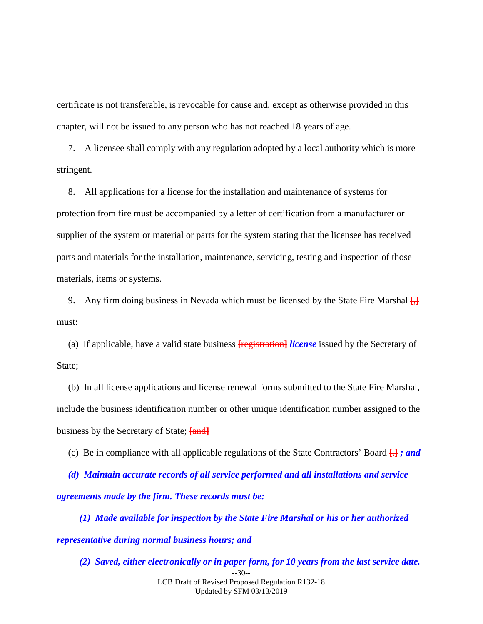certificate is not transferable, is revocable for cause and, except as otherwise provided in this chapter, will not be issued to any person who has not reached 18 years of age.

7. A licensee shall comply with any regulation adopted by a local authority which is more stringent.

8. All applications for a license for the installation and maintenance of systems for protection from fire must be accompanied by a letter of certification from a manufacturer or supplier of the system or material or parts for the system stating that the licensee has received parts and materials for the installation, maintenance, servicing, testing and inspection of those materials, items or systems.

9. Any firm doing business in Nevada which must be licensed by the State Fire Marshal **[**,**]** must:

(a) If applicable, have a valid state business **[**registration**]** *license* issued by the Secretary of State;

(b) In all license applications and license renewal forms submitted to the State Fire Marshal, include the business identification number or other unique identification number assigned to the business by the Secretary of State; **[**and**]**

(c) Be in compliance with all applicable regulations of the State Contractors' Board **[**.**]** *; and* 

*(d) Maintain accurate records of all service performed and all installations and service agreements made by the firm. These records must be:*

*(1) Made available for inspection by the State Fire Marshal or his or her authorized representative during normal business hours; and*

--30-- LCB Draft of Revised Proposed Regulation R132-18 Updated by SFM 03/13/2019 *(2) Saved, either electronically or in paper form, for 10 years from the last service date.*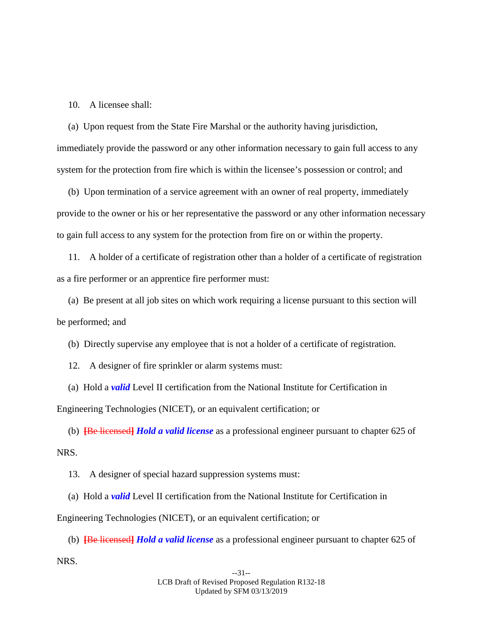10. A licensee shall:

(a) Upon request from the State Fire Marshal or the authority having jurisdiction, immediately provide the password or any other information necessary to gain full access to any system for the protection from fire which is within the licensee's possession or control; and

(b) Upon termination of a service agreement with an owner of real property, immediately provide to the owner or his or her representative the password or any other information necessary to gain full access to any system for the protection from fire on or within the property.

11. A holder of a certificate of registration other than a holder of a certificate of registration as a fire performer or an apprentice fire performer must:

(a) Be present at all job sites on which work requiring a license pursuant to this section will be performed; and

(b) Directly supervise any employee that is not a holder of a certificate of registration.

12. A designer of fire sprinkler or alarm systems must:

(a) Hold a *valid* Level II certification from the National Institute for Certification in Engineering Technologies (NICET), or an equivalent certification; or

(b) **[**Be licensed**]** *Hold a valid license* as a professional engineer pursuant to chapter 625 of NRS.

13. A designer of special hazard suppression systems must:

(a) Hold a *valid* Level II certification from the National Institute for Certification in

Engineering Technologies (NICET), or an equivalent certification; or

(b) **[**Be licensed**]** *Hold a valid license* as a professional engineer pursuant to chapter 625 of NRS.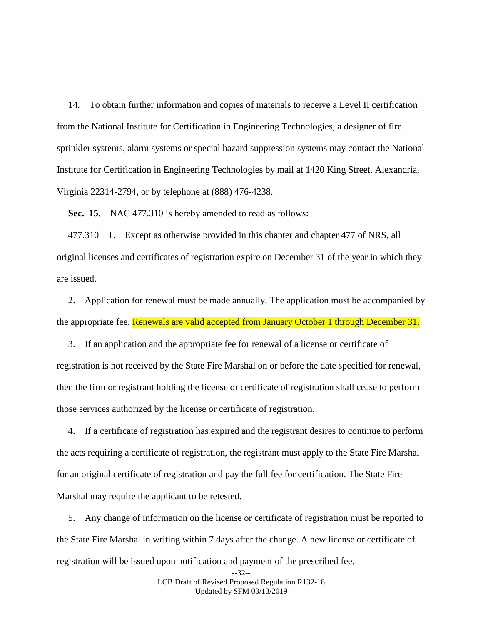14. To obtain further information and copies of materials to receive a Level II certification from the National Institute for Certification in Engineering Technologies, a designer of fire sprinkler systems, alarm systems or special hazard suppression systems may contact the National Institute for Certification in Engineering Technologies by mail at 1420 King Street, Alexandria, Virginia 22314-2794, or by telephone at (888) 476-4238.

<span id="page-31-0"></span>**Sec. 15.** NAC 477.310 is hereby amended to read as follows:

477.310 1. Except as otherwise provided in this chapter and chapter 477 of NRS, all original licenses and certificates of registration expire on December 31 of the year in which they are issued.

2. Application for renewal must be made annually. The application must be accompanied by the appropriate fee. Renewals are valid accepted from January October 1 through December 31.

3. If an application and the appropriate fee for renewal of a license or certificate of registration is not received by the State Fire Marshal on or before the date specified for renewal, then the firm or registrant holding the license or certificate of registration shall cease to perform those services authorized by the license or certificate of registration.

4. If a certificate of registration has expired and the registrant desires to continue to perform the acts requiring a certificate of registration, the registrant must apply to the State Fire Marshal for an original certificate of registration and pay the full fee for certification. The State Fire Marshal may require the applicant to be retested.

5. Any change of information on the license or certificate of registration must be reported to the State Fire Marshal in writing within 7 days after the change. A new license or certificate of registration will be issued upon notification and payment of the prescribed fee.

> --32-- LCB Draft of Revised Proposed Regulation R132-18 Updated by SFM 03/13/2019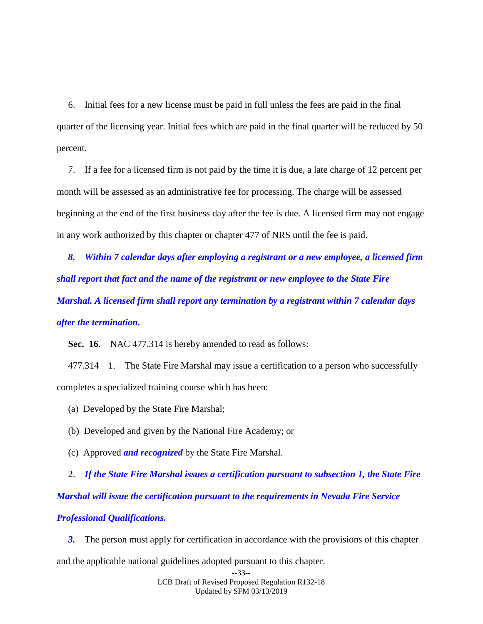6. Initial fees for a new license must be paid in full unless the fees are paid in the final quarter of the licensing year. Initial fees which are paid in the final quarter will be reduced by 50 percent.

7. If a fee for a licensed firm is not paid by the time it is due, a late charge of 12 percent per month will be assessed as an administrative fee for processing. The charge will be assessed beginning at the end of the first business day after the fee is due. A licensed firm may not engage in any work authorized by this chapter or chapter 477 of NRS until the fee is paid.

*8. Within 7 calendar days after employing a registrant or a new employee, a licensed firm shall report that fact and the name of the registrant or new employee to the State Fire Marshal. A licensed firm shall report any termination by a registrant within 7 calendar days after the termination.*

<span id="page-32-0"></span>**Sec. 16.** NAC 477.314 is hereby amended to read as follows:

477.314 1. The State Fire Marshal may issue a certification to a person who successfully completes a specialized training course which has been:

(a) Developed by the State Fire Marshal;

- (b) Developed and given by the National Fire Academy; or
- (c) Approved *and recognized* by the State Fire Marshal.

2. *If the State Fire Marshal issues a certification pursuant to subsection 1, the State Fire Marshal will issue the certification pursuant to the requirements in Nevada Fire Service Professional Qualifications.*

*3.* The person must apply for certification in accordance with the provisions of this chapter and the applicable national guidelines adopted pursuant to this chapter.

```
--33--
LCB Draft of Revised Proposed Regulation R132-18
           Updated by SFM 03/13/2019
```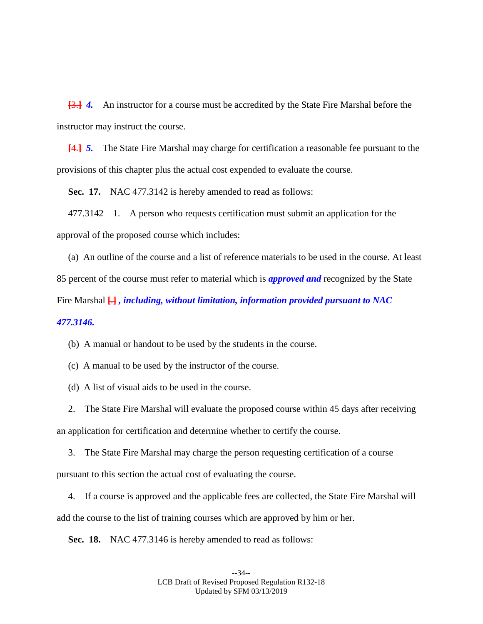**[**3.**]** *4.* An instructor for a course must be accredited by the State Fire Marshal before the instructor may instruct the course.

**[**4.**]** *5.* The State Fire Marshal may charge for certification a reasonable fee pursuant to the provisions of this chapter plus the actual cost expended to evaluate the course.

**Sec. 17.** NAC 477.3142 is hereby amended to read as follows:

477.3142 1. A person who requests certification must submit an application for the approval of the proposed course which includes:

(a) An outline of the course and a list of reference materials to be used in the course. At least 85 percent of the course must refer to material which is *approved and* recognized by the State Fire Marshal **[**.**]** *, including, without limitation, information provided pursuant to NAC 477.3146.*

(b) A manual or handout to be used by the students in the course.

(c) A manual to be used by the instructor of the course.

(d) A list of visual aids to be used in the course.

2. The State Fire Marshal will evaluate the proposed course within 45 days after receiving an application for certification and determine whether to certify the course.

3. The State Fire Marshal may charge the person requesting certification of a course pursuant to this section the actual cost of evaluating the course.

4. If a course is approved and the applicable fees are collected, the State Fire Marshal will add the course to the list of training courses which are approved by him or her.

**Sec. 18.** NAC 477.3146 is hereby amended to read as follows: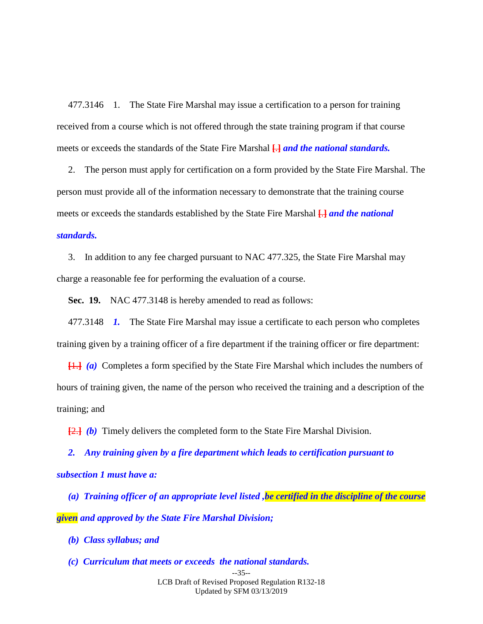477.3146 1. The State Fire Marshal may issue a certification to a person for training received from a course which is not offered through the state training program if that course meets or exceeds the standards of the State Fire Marshal **[**.**]** *and the national standards.* 

2. The person must apply for certification on a form provided by the State Fire Marshal. The person must provide all of the information necessary to demonstrate that the training course meets or exceeds the standards established by the State Fire Marshal **[**.**]** *and the national standards.*

3. In addition to any fee charged pursuant to NAC 477.325, the State Fire Marshal may charge a reasonable fee for performing the evaluation of a course.

<span id="page-34-0"></span>**Sec. 19.** NAC 477.3148 is hereby amended to read as follows:

477.3148 *1.* The State Fire Marshal may issue a certificate to each person who completes training given by a training officer of a fire department if the training officer or fire department:

**[**1.**]** *(a)* Completes a form specified by the State Fire Marshal which includes the numbers of hours of training given, the name of the person who received the training and a description of the training; and

**[**2.**]** *(b)* Timely delivers the completed form to the State Fire Marshal Division.

*2. Any training given by a fire department which leads to certification pursuant to subsection 1 must have a:*

*(a) Training officer of an appropriate level listed ,be certified in the discipline of the course given and approved by the State Fire Marshal Division;*

- *(b) Class syllabus; and*
- *(c) Curriculum that meets or exceeds the national standards.*

--35-- LCB Draft of Revised Proposed Regulation R132-18 Updated by SFM 03/13/2019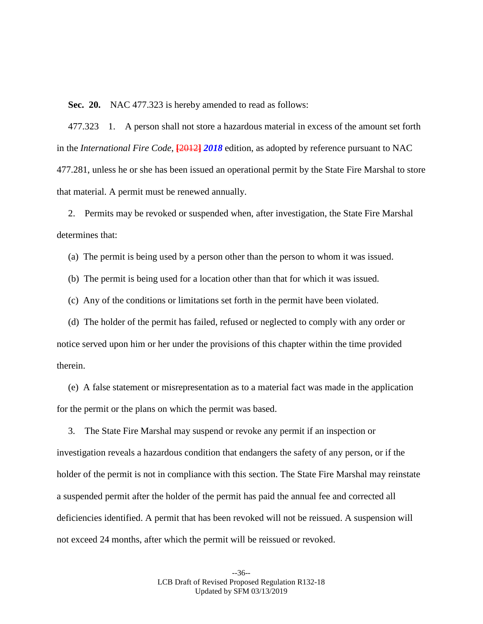<span id="page-35-0"></span>**Sec. 20.** NAC 477.323 is hereby amended to read as follows:

477.323 1. A person shall not store a hazardous material in excess of the amount set forth in the *International Fire Code*, **[**2012**]** *2018* edition, as adopted by reference pursuant to NAC 477.281, unless he or she has been issued an operational permit by the State Fire Marshal to store that material. A permit must be renewed annually.

2. Permits may be revoked or suspended when, after investigation, the State Fire Marshal determines that:

(a) The permit is being used by a person other than the person to whom it was issued.

(b) The permit is being used for a location other than that for which it was issued.

(c) Any of the conditions or limitations set forth in the permit have been violated.

(d) The holder of the permit has failed, refused or neglected to comply with any order or notice served upon him or her under the provisions of this chapter within the time provided therein.

(e) A false statement or misrepresentation as to a material fact was made in the application for the permit or the plans on which the permit was based.

3. The State Fire Marshal may suspend or revoke any permit if an inspection or investigation reveals a hazardous condition that endangers the safety of any person, or if the holder of the permit is not in compliance with this section. The State Fire Marshal may reinstate a suspended permit after the holder of the permit has paid the annual fee and corrected all deficiencies identified. A permit that has been revoked will not be reissued. A suspension will not exceed 24 months, after which the permit will be reissued or revoked.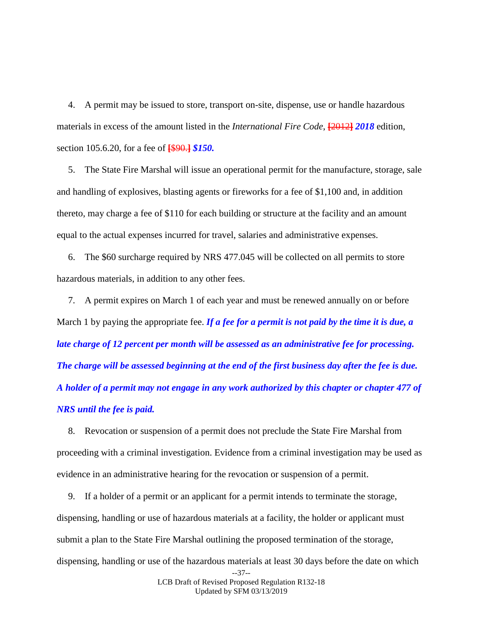4. A permit may be issued to store, transport on-site, dispense, use or handle hazardous materials in excess of the amount listed in the *International Fire Code*, **[**2012**]** *2018* edition, section 105.6.20, for a fee of **[**\$90.**]** *\$150.*

5. The State Fire Marshal will issue an operational permit for the manufacture, storage, sale and handling of explosives, blasting agents or fireworks for a fee of \$1,100 and, in addition thereto, may charge a fee of \$110 for each building or structure at the facility and an amount equal to the actual expenses incurred for travel, salaries and administrative expenses.

6. The \$60 surcharge required by NRS 477.045 will be collected on all permits to store hazardous materials, in addition to any other fees.

7. A permit expires on March 1 of each year and must be renewed annually on or before March 1 by paying the appropriate fee. *If a fee for a permit is not paid by the time it is due, a late charge of 12 percent per month will be assessed as an administrative fee for processing. The charge will be assessed beginning at the end of the first business day after the fee is due. A holder of a permit may not engage in any work authorized by this chapter or chapter 477 of NRS until the fee is paid.*

8. Revocation or suspension of a permit does not preclude the State Fire Marshal from proceeding with a criminal investigation. Evidence from a criminal investigation may be used as evidence in an administrative hearing for the revocation or suspension of a permit.

--37-- 9. If a holder of a permit or an applicant for a permit intends to terminate the storage, dispensing, handling or use of hazardous materials at a facility, the holder or applicant must submit a plan to the State Fire Marshal outlining the proposed termination of the storage, dispensing, handling or use of the hazardous materials at least 30 days before the date on which

> LCB Draft of Revised Proposed Regulation R132-18 Updated by SFM 03/13/2019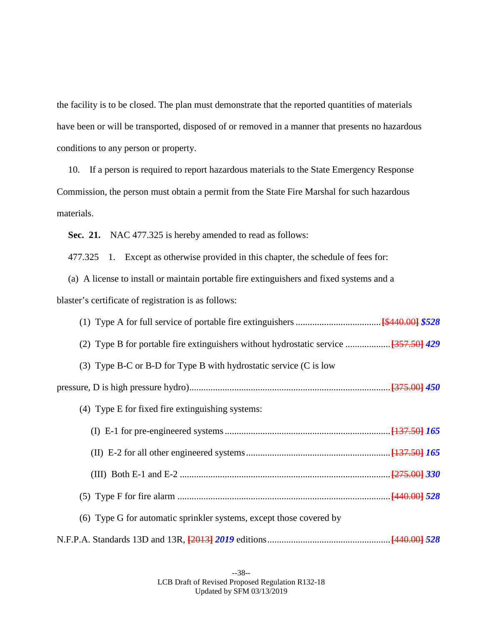the facility is to be closed. The plan must demonstrate that the reported quantities of materials have been or will be transported, disposed of or removed in a manner that presents no hazardous conditions to any person or property.

10. If a person is required to report hazardous materials to the State Emergency Response Commission, the person must obtain a permit from the State Fire Marshal for such hazardous materials.

**Sec. 21.** NAC 477.325 is hereby amended to read as follows:

477.325 1. Except as otherwise provided in this chapter, the schedule of fees for:

(a) A license to install or maintain portable fire extinguishers and fixed systems and a blaster's certificate of registration is as follows:

| (3) Type B-C or B-D for Type B with hydrostatic service $(C$ is low |  |
|---------------------------------------------------------------------|--|
|                                                                     |  |
| (4) Type E for fixed fire extinguishing systems:                    |  |
|                                                                     |  |
|                                                                     |  |
|                                                                     |  |
|                                                                     |  |
| (6) Type G for automatic sprinkler systems, except those covered by |  |
|                                                                     |  |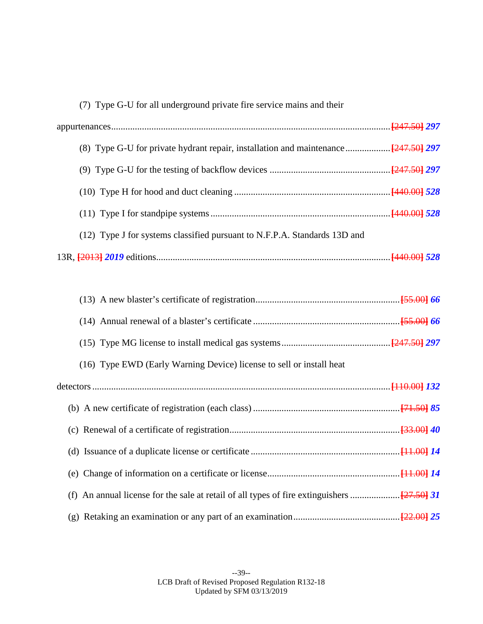| (7) Type G-U for all underground private fire service mains and their     |  |
|---------------------------------------------------------------------------|--|
|                                                                           |  |
|                                                                           |  |
|                                                                           |  |
|                                                                           |  |
|                                                                           |  |
| (12) Type J for systems classified pursuant to N.F.P.A. Standards 13D and |  |
|                                                                           |  |

| (16) Type EWD (Early Warning Device) license to sell or install heat |
|----------------------------------------------------------------------|
|                                                                      |
|                                                                      |
|                                                                      |
|                                                                      |
|                                                                      |
|                                                                      |
|                                                                      |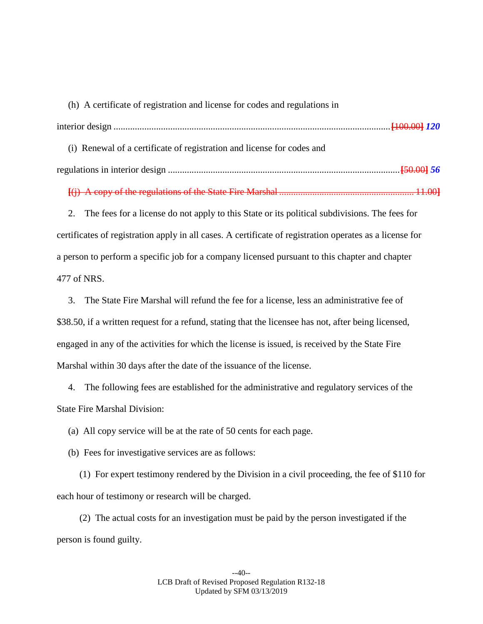(h) A certificate of registration and license for codes and regulations in interior design .....................................................................................................................**[**100.00**]** *120* (i) Renewal of a certificate of registration and license for codes and regulations in interior design ..................................................................................................**[**50.00**]** *56*

**[**(j) A copy of the regulations of the State Fire Marshal ......................................................... 11.00**]**

2. The fees for a license do not apply to this State or its political subdivisions. The fees for certificates of registration apply in all cases. A certificate of registration operates as a license for a person to perform a specific job for a company licensed pursuant to this chapter and chapter 477 of NRS.

3. The State Fire Marshal will refund the fee for a license, less an administrative fee of \$38.50, if a written request for a refund, stating that the licensee has not, after being licensed, engaged in any of the activities for which the license is issued, is received by the State Fire Marshal within 30 days after the date of the issuance of the license.

4. The following fees are established for the administrative and regulatory services of the State Fire Marshal Division:

(a) All copy service will be at the rate of 50 cents for each page.

(b) Fees for investigative services are as follows:

(1) For expert testimony rendered by the Division in a civil proceeding, the fee of \$110 for each hour of testimony or research will be charged.

(2) The actual costs for an investigation must be paid by the person investigated if the person is found guilty.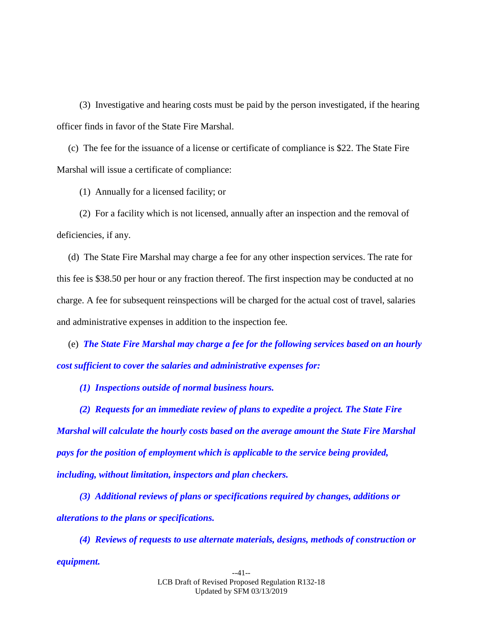(3) Investigative and hearing costs must be paid by the person investigated, if the hearing officer finds in favor of the State Fire Marshal.

(c) The fee for the issuance of a license or certificate of compliance is \$22. The State Fire Marshal will issue a certificate of compliance:

(1) Annually for a licensed facility; or

(2) For a facility which is not licensed, annually after an inspection and the removal of deficiencies, if any.

(d) The State Fire Marshal may charge a fee for any other inspection services. The rate for this fee is \$38.50 per hour or any fraction thereof. The first inspection may be conducted at no charge. A fee for subsequent reinspections will be charged for the actual cost of travel, salaries and administrative expenses in addition to the inspection fee.

(e) *The State Fire Marshal may charge a fee for the following services based on an hourly cost sufficient to cover the salaries and administrative expenses for:*

*(1) Inspections outside of normal business hours.*

*(2) Requests for an immediate review of plans to expedite a project. The State Fire Marshal will calculate the hourly costs based on the average amount the State Fire Marshal pays for the position of employment which is applicable to the service being provided, including, without limitation, inspectors and plan checkers.*

*(3) Additional reviews of plans or specifications required by changes, additions or alterations to the plans or specifications.*

*(4) Reviews of requests to use alternate materials, designs, methods of construction or equipment.*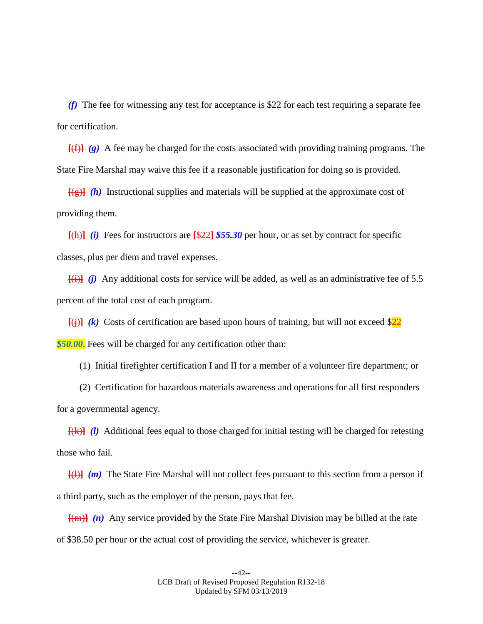*(f)* The fee for witnessing any test for acceptance is \$22 for each test requiring a separate fee for certification.

 $\left[\frac{f(f)}{g}\right]$  *(g)* A fee may be charged for the costs associated with providing training programs. The State Fire Marshal may waive this fee if a reasonable justification for doing so is provided.

**[**(g)**]** *(h)* Instructional supplies and materials will be supplied at the approximate cost of providing them.

 $[(h)]$  *(i)* Fees for instructors are  $[\frac{22}{35.30}$  per hour, or as set by contract for specific classes, plus per diem and travel expenses.

 $\overline{f(i)}$  *(i)* Any additional costs for service will be added, as well as an administrative fee of 5.5 percent of the total cost of each program.

 $\overline{f(i)}$  *(k)* Costs of certification are based upon hours of training, but will not exceed  $\frac{22}{2}$ **\$50.00.** Fees will be charged for any certification other than:

(1) Initial firefighter certification I and II for a member of a volunteer fire department; or

(2) Certification for hazardous materials awareness and operations for all first responders for a governmental agency.

**[**(k)**]** *(l)* Additional fees equal to those charged for initial testing will be charged for retesting those who fail.

**[**(l)**]** *(m)* The State Fire Marshal will not collect fees pursuant to this section from a person if a third party, such as the employer of the person, pays that fee.

**[**(m)**]** *(n)* Any service provided by the State Fire Marshal Division may be billed at the rate of \$38.50 per hour or the actual cost of providing the service, whichever is greater.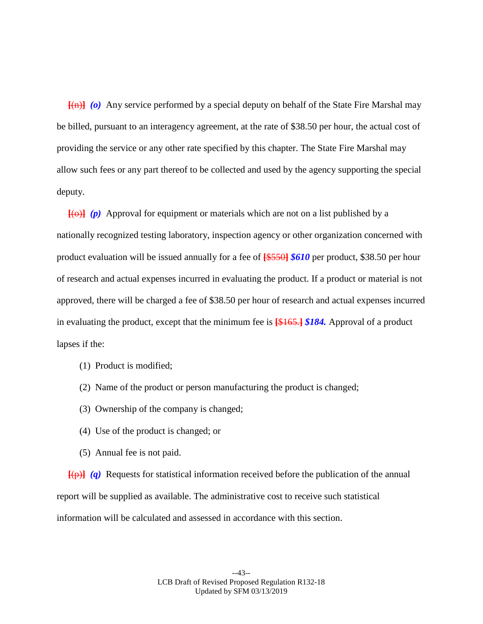**[**(n)**]** *(o)* Any service performed by a special deputy on behalf of the State Fire Marshal may be billed, pursuant to an interagency agreement, at the rate of \$38.50 per hour, the actual cost of providing the service or any other rate specified by this chapter. The State Fire Marshal may allow such fees or any part thereof to be collected and used by the agency supporting the special deputy.

 $\overline{f(\theta)}$  *(p)* Approval for equipment or materials which are not on a list published by a nationally recognized testing laboratory, inspection agency or other organization concerned with product evaluation will be issued annually for a fee of **[**\$550**]** *\$610* per product, \$38.50 per hour of research and actual expenses incurred in evaluating the product. If a product or material is not approved, there will be charged a fee of \$38.50 per hour of research and actual expenses incurred in evaluating the product, except that the minimum fee is **[**\$165.**]** *\$184.* Approval of a product lapses if the:

- (1) Product is modified;
- (2) Name of the product or person manufacturing the product is changed;
- (3) Ownership of the company is changed;
- (4) Use of the product is changed; or
- (5) Annual fee is not paid.

**[**(p)**]** *(q)* Requests for statistical information received before the publication of the annual report will be supplied as available. The administrative cost to receive such statistical information will be calculated and assessed in accordance with this section.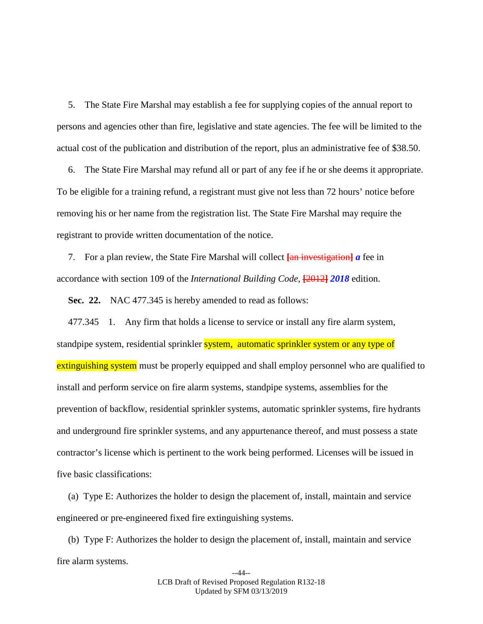5. The State Fire Marshal may establish a fee for supplying copies of the annual report to persons and agencies other than fire, legislative and state agencies. The fee will be limited to the actual cost of the publication and distribution of the report, plus an administrative fee of \$38.50.

6. The State Fire Marshal may refund all or part of any fee if he or she deems it appropriate. To be eligible for a training refund, a registrant must give not less than 72 hours' notice before removing his or her name from the registration list. The State Fire Marshal may require the registrant to provide written documentation of the notice.

7. For a plan review, the State Fire Marshal will collect  $\frac{1}{\text{tan}}$  investigation a fee in accordance with section 109 of the *International Building Code*, **[**2012**]** *2018* edition.

**Sec. 22.** NAC 477.345 is hereby amended to read as follows:

477.345 1. Any firm that holds a license to service or install any fire alarm system, standpipe system, residential sprinkler system, automatic sprinkler system or any type of extinguishing system must be properly equipped and shall employ personnel who are qualified to install and perform service on fire alarm systems, standpipe systems, assemblies for the prevention of backflow, residential sprinkler systems, automatic sprinkler systems, fire hydrants and underground fire sprinkler systems, and any appurtenance thereof, and must possess a state contractor's license which is pertinent to the work being performed. Licenses will be issued in five basic classifications:

(a) Type E: Authorizes the holder to design the placement of, install, maintain and service engineered or pre-engineered fixed fire extinguishing systems.

(b) Type F: Authorizes the holder to design the placement of, install, maintain and service fire alarm systems.

> --44-- LCB Draft of Revised Proposed Regulation R132-18 Updated by SFM 03/13/2019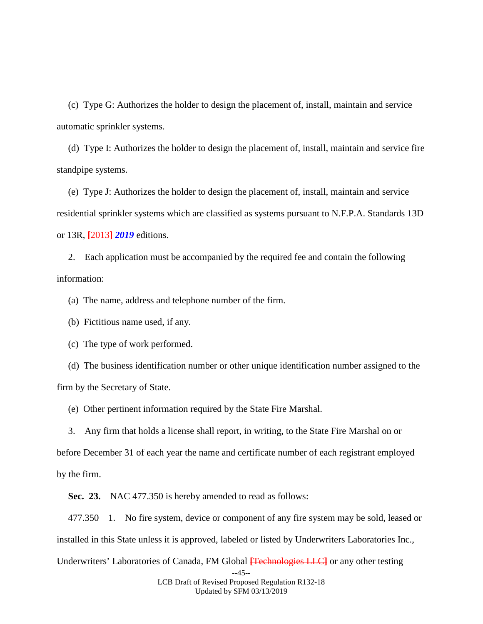(c) Type G: Authorizes the holder to design the placement of, install, maintain and service automatic sprinkler systems.

(d) Type I: Authorizes the holder to design the placement of, install, maintain and service fire standpipe systems.

(e) Type J: Authorizes the holder to design the placement of, install, maintain and service residential sprinkler systems which are classified as systems pursuant to N.F.P.A. Standards 13D or 13R, **[**2013**]** *2019* editions.

2. Each application must be accompanied by the required fee and contain the following information:

(a) The name, address and telephone number of the firm.

(b) Fictitious name used, if any.

(c) The type of work performed.

(d) The business identification number or other unique identification number assigned to the firm by the Secretary of State.

(e) Other pertinent information required by the State Fire Marshal.

3. Any firm that holds a license shall report, in writing, to the State Fire Marshal on or before December 31 of each year the name and certificate number of each registrant employed by the firm.

**Sec. 23.** NAC 477.350 is hereby amended to read as follows:

477.350 1. No fire system, device or component of any fire system may be sold, leased or installed in this State unless it is approved, labeled or listed by Underwriters Laboratories Inc.,

--45-- Underwriters' Laboratories of Canada, FM Global **[**Technologies LLC**]** or any other testing

> LCB Draft of Revised Proposed Regulation R132-18 Updated by SFM 03/13/2019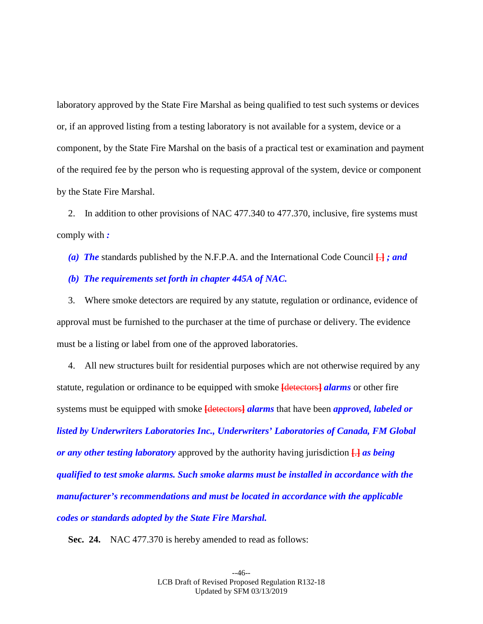laboratory approved by the State Fire Marshal as being qualified to test such systems or devices or, if an approved listing from a testing laboratory is not available for a system, device or a component, by the State Fire Marshal on the basis of a practical test or examination and payment of the required fee by the person who is requesting approval of the system, device or component by the State Fire Marshal.

2. In addition to other provisions of NAC 477.340 to 477.370, inclusive, fire systems must comply with *:*

*(a) The* standards published by the N.F.P.A. and the International Code Council **[**.**]** *; and*

### *(b) The requirements set forth in chapter 445A of NAC.*

3. Where smoke detectors are required by any statute, regulation or ordinance, evidence of approval must be furnished to the purchaser at the time of purchase or delivery. The evidence must be a listing or label from one of the approved laboratories.

4. All new structures built for residential purposes which are not otherwise required by any statute, regulation or ordinance to be equipped with smoke **[**detectors**]** *alarms* or other fire systems must be equipped with smoke **[**detectors**]** *alarms* that have been *approved, labeled or listed by Underwriters Laboratories Inc., Underwriters' Laboratories of Canada, FM Global or any other testing laboratory* approved by the authority having jurisdiction **[**.**]** *as being qualified to test smoke alarms. Such smoke alarms must be installed in accordance with the manufacturer's recommendations and must be located in accordance with the applicable codes or standards adopted by the State Fire Marshal.*

**Sec. 24.** NAC 477.370 is hereby amended to read as follows: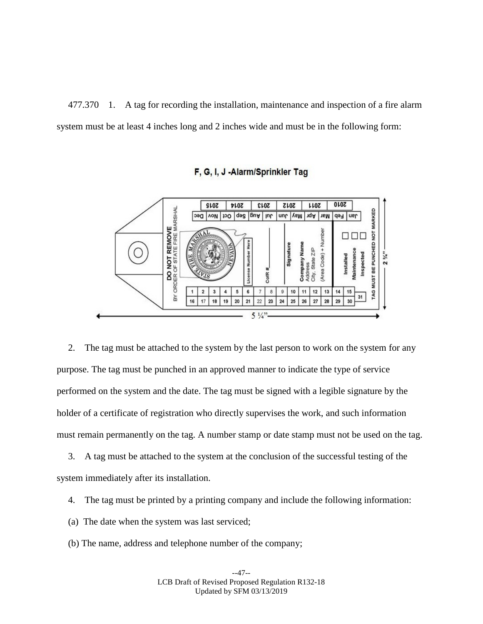477.370 1. A tag for recording the installation, maintenance and inspection of a fire alarm system must be at least 4 inches long and 2 inches wide and must be in the following form:



## F, G, I, J -Alarm/Sprinkler Tag

2. The tag must be attached to the system by the last person to work on the system for any purpose. The tag must be punched in an approved manner to indicate the type of service performed on the system and the date. The tag must be signed with a legible signature by the holder of a certificate of registration who directly supervises the work, and such information must remain permanently on the tag. A number stamp or date stamp must not be used on the tag.

3. A tag must be attached to the system at the conclusion of the successful testing of the system immediately after its installation.

- 4. The tag must be printed by a printing company and include the following information:
- (a) The date when the system was last serviced;
- (b) The name, address and telephone number of the company;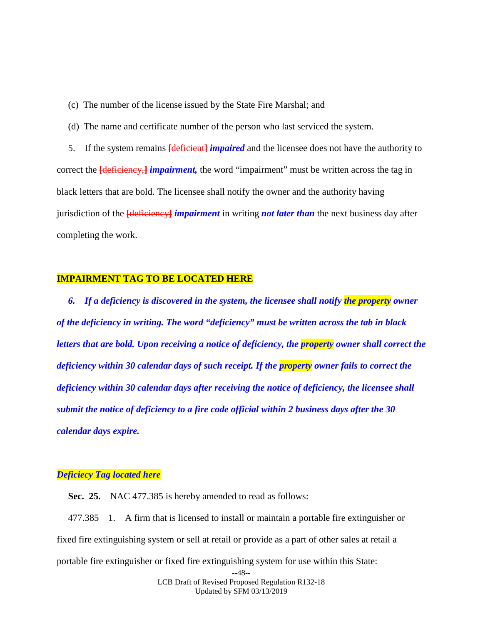- (c) The number of the license issued by the State Fire Marshal; and
- (d) The name and certificate number of the person who last serviced the system.

5. If the system remains **[**deficient**]** *impaired* and the licensee does not have the authority to correct the **[deficiency,]** *impairment*, the word "impairment" must be written across the tag in black letters that are bold. The licensee shall notify the owner and the authority having jurisdiction of the **[**deficiency**]** *impairment* in writing *not later than* the next business day after completing the work.

#### **IMPAIRMENT TAG TO BE LOCATED HERE**

*6. If a deficiency is discovered in the system, the licensee shall notify the property owner of the deficiency in writing. The word "deficiency" must be written across the tab in black letters that are bold. Upon receiving a notice of deficiency, the property owner shall correct the deficiency within 30 calendar days of such receipt. If the property owner fails to correct the deficiency within 30 calendar days after receiving the notice of deficiency, the licensee shall submit the notice of deficiency to a fire code official within 2 business days after the 30 calendar days expire.*

#### *Deficiecy Tag located here*

**Sec. 25.** NAC 477.385 is hereby amended to read as follows:

477.385 1. A firm that is licensed to install or maintain a portable fire extinguisher or fixed fire extinguishing system or sell at retail or provide as a part of other sales at retail a portable fire extinguisher or fixed fire extinguishing system for use within this State:

--48-- LCB Draft of Revised Proposed Regulation R132-18 Updated by SFM 03/13/2019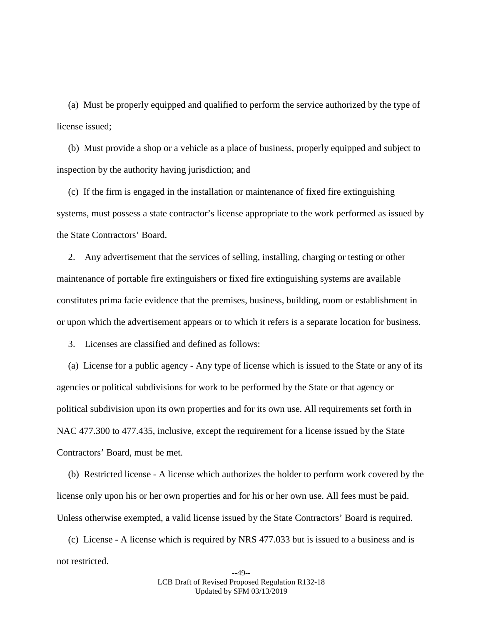(a) Must be properly equipped and qualified to perform the service authorized by the type of license issued;

(b) Must provide a shop or a vehicle as a place of business, properly equipped and subject to inspection by the authority having jurisdiction; and

(c) If the firm is engaged in the installation or maintenance of fixed fire extinguishing systems, must possess a state contractor's license appropriate to the work performed as issued by the State Contractors' Board.

2. Any advertisement that the services of selling, installing, charging or testing or other maintenance of portable fire extinguishers or fixed fire extinguishing systems are available constitutes prima facie evidence that the premises, business, building, room or establishment in or upon which the advertisement appears or to which it refers is a separate location for business.

3. Licenses are classified and defined as follows:

(a) License for a public agency - Any type of license which is issued to the State or any of its agencies or political subdivisions for work to be performed by the State or that agency or political subdivision upon its own properties and for its own use. All requirements set forth in NAC 477.300 to 477.435, inclusive, except the requirement for a license issued by the State Contractors' Board, must be met.

(b) Restricted license - A license which authorizes the holder to perform work covered by the license only upon his or her own properties and for his or her own use. All fees must be paid. Unless otherwise exempted, a valid license issued by the State Contractors' Board is required.

(c) License - A license which is required by NRS 477.033 but is issued to a business and is not restricted.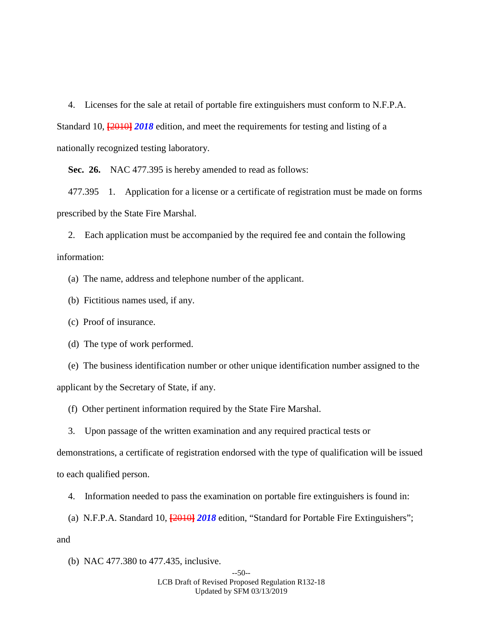4. Licenses for the sale at retail of portable fire extinguishers must conform to N.F.P.A. Standard 10, **[**2010**]** *2018* edition, and meet the requirements for testing and listing of a nationally recognized testing laboratory.

**Sec. 26.** NAC 477.395 is hereby amended to read as follows:

477.395 1. Application for a license or a certificate of registration must be made on forms prescribed by the State Fire Marshal.

2. Each application must be accompanied by the required fee and contain the following information:

(a) The name, address and telephone number of the applicant.

(b) Fictitious names used, if any.

(c) Proof of insurance.

(d) The type of work performed.

(e) The business identification number or other unique identification number assigned to the applicant by the Secretary of State, if any.

(f) Other pertinent information required by the State Fire Marshal.

3. Upon passage of the written examination and any required practical tests or

demonstrations, a certificate of registration endorsed with the type of qualification will be issued to each qualified person.

4. Information needed to pass the examination on portable fire extinguishers is found in:

(a) N.F.P.A. Standard 10, **[**2010**]** *2018* edition, "Standard for Portable Fire Extinguishers"; and

(b) NAC 477.380 to 477.435, inclusive.

#### --50-- LCB Draft of Revised Proposed Regulation R132-18 Updated by SFM 03/13/2019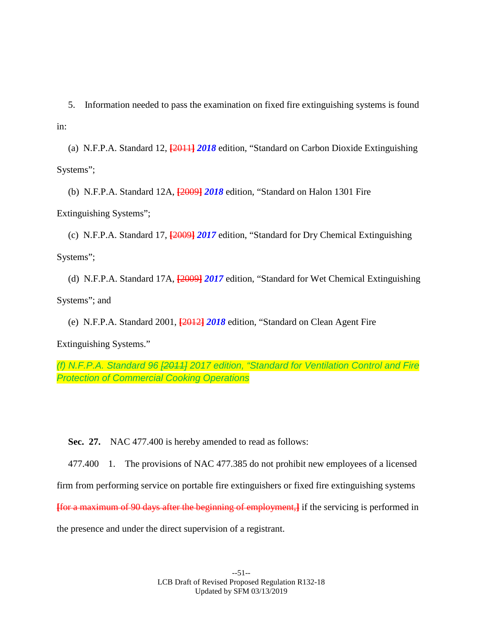5. Information needed to pass the examination on fixed fire extinguishing systems is found in:

(a) N.F.P.A. Standard 12, **[**2011**]** *2018* edition, "Standard on Carbon Dioxide Extinguishing Systems";

(b) N.F.P.A. Standard 12A, **[**2009**]** *2018* edition, "Standard on Halon 1301 Fire Extinguishing Systems";

(c) N.F.P.A. Standard 17, **[**2009**]** *2017* edition, "Standard for Dry Chemical Extinguishing Systems";

(d) N.F.P.A. Standard 17A, **[**2009**]** *2017* edition, "Standard for Wet Chemical Extinguishing Systems"; and

(e) N.F.P.A. Standard 2001, **[**2012**]** *2018* edition, "Standard on Clean Agent Fire

Extinguishing Systems."

*(f) N.F.P.A. Standard 96 [2011] 2017 edition, "Standard for Ventilation Control and Fire Protection of Commercial Cooking Operations*

**Sec. 27.** NAC 477.400 is hereby amended to read as follows:

477.400 1. The provisions of NAC 477.385 do not prohibit new employees of a licensed

firm from performing service on portable fire extinguishers or fixed fire extinguishing systems

**[**for a maximum of 90 days after the beginning of employment,**]** if the servicing is performed in

the presence and under the direct supervision of a registrant.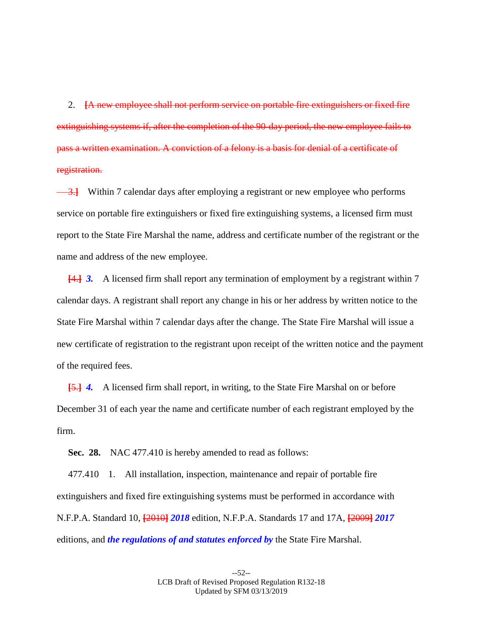2. **[**A new employee shall not perform service on portable fire extinguishers or fixed fire extinguishing systems if, after the completion of the 90-day period, the new employee fails to pass a written examination. A conviction of a felony is a basis for denial of a certificate of registration.

3.**]** Within 7 calendar days after employing a registrant or new employee who performs service on portable fire extinguishers or fixed fire extinguishing systems, a licensed firm must report to the State Fire Marshal the name, address and certificate number of the registrant or the name and address of the new employee.

**[**4.**]** *3.* A licensed firm shall report any termination of employment by a registrant within 7 calendar days. A registrant shall report any change in his or her address by written notice to the State Fire Marshal within 7 calendar days after the change. The State Fire Marshal will issue a new certificate of registration to the registrant upon receipt of the written notice and the payment of the required fees.

**[**5.**]** *4.* A licensed firm shall report, in writing, to the State Fire Marshal on or before December 31 of each year the name and certificate number of each registrant employed by the firm.

**Sec. 28.** NAC 477.410 is hereby amended to read as follows:

477.410 1. All installation, inspection, maintenance and repair of portable fire extinguishers and fixed fire extinguishing systems must be performed in accordance with N.F.P.A. Standard 10, **[**2010**]** *2018* edition, N.F.P.A. Standards 17 and 17A, **[**2009**]** *2017*  editions, and *the regulations of and statutes enforced by* the State Fire Marshal.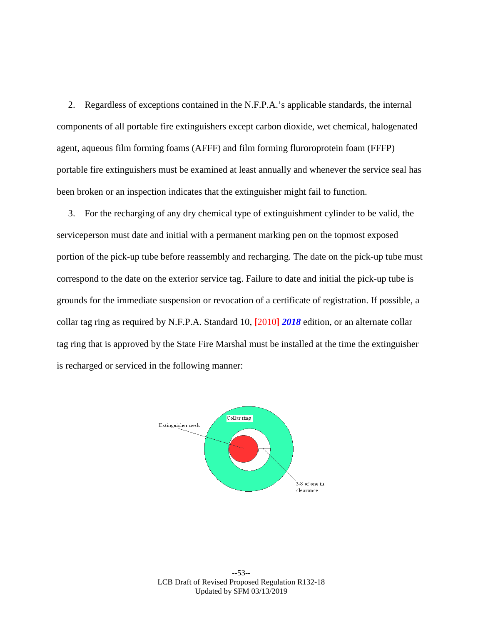2. Regardless of exceptions contained in the N.F.P.A.'s applicable standards, the internal components of all portable fire extinguishers except carbon dioxide, wet chemical, halogenated agent, aqueous film forming foams (AFFF) and film forming fluroroprotein foam (FFFP) portable fire extinguishers must be examined at least annually and whenever the service seal has been broken or an inspection indicates that the extinguisher might fail to function.

3. For the recharging of any dry chemical type of extinguishment cylinder to be valid, the serviceperson must date and initial with a permanent marking pen on the topmost exposed portion of the pick-up tube before reassembly and recharging. The date on the pick-up tube must correspond to the date on the exterior service tag. Failure to date and initial the pick-up tube is grounds for the immediate suspension or revocation of a certificate of registration. If possible, a collar tag ring as required by N.F.P.A. Standard 10, **[**2010**]** *2018* edition, or an alternate collar tag ring that is approved by the State Fire Marshal must be installed at the time the extinguisher is recharged or serviced in the following manner:



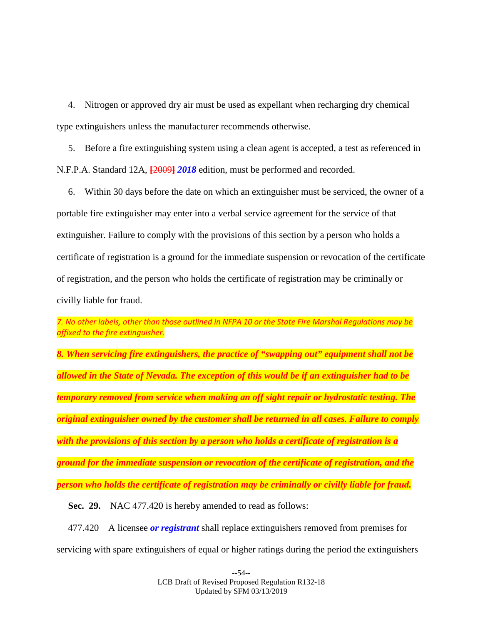4. Nitrogen or approved dry air must be used as expellant when recharging dry chemical type extinguishers unless the manufacturer recommends otherwise.

5. Before a fire extinguishing system using a clean agent is accepted, a test as referenced in N.F.P.A. Standard 12A, **[**2009**]** *2018* edition, must be performed and recorded.

6. Within 30 days before the date on which an extinguisher must be serviced, the owner of a portable fire extinguisher may enter into a verbal service agreement for the service of that extinguisher. Failure to comply with the provisions of this section by a person who holds a certificate of registration is a ground for the immediate suspension or revocation of the certificate of registration, and the person who holds the certificate of registration may be criminally or civilly liable for fraud.

*7. No other labels, other than those outlined in NFPA 10 or the State Fire Marshal Regulations may be affixed to the fire extinguisher.*

*8. When servicing fire extinguishers, the practice of "swapping out" equipment shall not be allowed in the State of Nevada. The exception of this would be if an extinguisher had to be temporary removed from service when making an off sight repair or hydrostatic testing. The original extinguisher owned by the customer shall be returned in all cases. Failure to comply with the provisions of this section by a person who holds a certificate of registration is a ground for the immediate suspension or revocation of the certificate of registration, and the person who holds the certificate of registration may be criminally or civilly liable for fraud.*

**Sec. 29.** NAC 477.420 is hereby amended to read as follows:

477.420 A licensee *or registrant* shall replace extinguishers removed from premises for servicing with spare extinguishers of equal or higher ratings during the period the extinguishers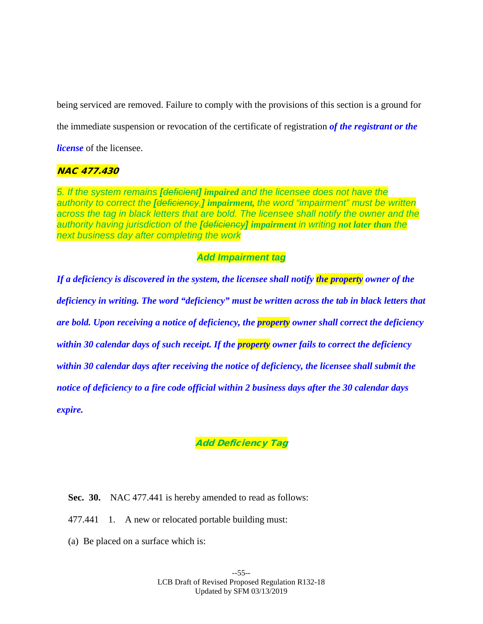being serviced are removed. Failure to comply with the provisions of this section is a ground for the immediate suspension or revocation of the certificate of registration *of the registrant or the license* of the licensee.

## NAC 477.430

*5. If the system remains [deficient] impaired and the licensee does not have the authority to correct the [deficiency,] impairment, the word "impairment" must be written across the tag in black letters that are bold. The licensee shall notify the owner and the authority having jurisdiction of the [deficiency] impairment in writing not later than the next business day after completing the work*

## *Add Impairment tag*

*If a deficiency is discovered in the system, the licensee shall notify the property owner of the deficiency in writing. The word "deficiency" must be written across the tab in black letters that are bold. Upon receiving a notice of deficiency, the property owner shall correct the deficiency within 30 calendar days of such receipt. If the property owner fails to correct the deficiency within 30 calendar days after receiving the notice of deficiency, the licensee shall submit the notice of deficiency to a fire code official within 2 business days after the 30 calendar days expire.*

# Add Deficiency Tag

- **Sec. 30.** NAC 477.441 is hereby amended to read as follows:
- 477.441 1. A new or relocated portable building must:
- (a) Be placed on a surface which is: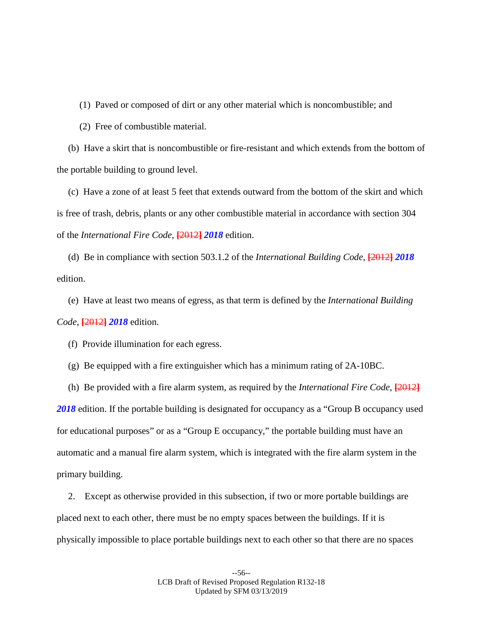(1) Paved or composed of dirt or any other material which is noncombustible; and

(2) Free of combustible material.

(b) Have a skirt that is noncombustible or fire-resistant and which extends from the bottom of the portable building to ground level.

(c) Have a zone of at least 5 feet that extends outward from the bottom of the skirt and which is free of trash, debris, plants or any other combustible material in accordance with section 304 of the *International Fire Code*, **[**2012**]** *2018* edition.

(d) Be in compliance with section 503.1.2 of the *International Building Code*, **[**2012**]** *2018*  edition.

(e) Have at least two means of egress, as that term is defined by the *International Building Code*, **[**2012**]** *2018* edition.

(f) Provide illumination for each egress.

(g) Be equipped with a fire extinguisher which has a minimum rating of 2A-10BC.

(h) Be provided with a fire alarm system, as required by the *International Fire Code*, **[**2012**]** *2018* edition. If the portable building is designated for occupancy as a "Group B occupancy used for educational purposes" or as a "Group E occupancy," the portable building must have an automatic and a manual fire alarm system, which is integrated with the fire alarm system in the primary building.

2. Except as otherwise provided in this subsection, if two or more portable buildings are placed next to each other, there must be no empty spaces between the buildings. If it is physically impossible to place portable buildings next to each other so that there are no spaces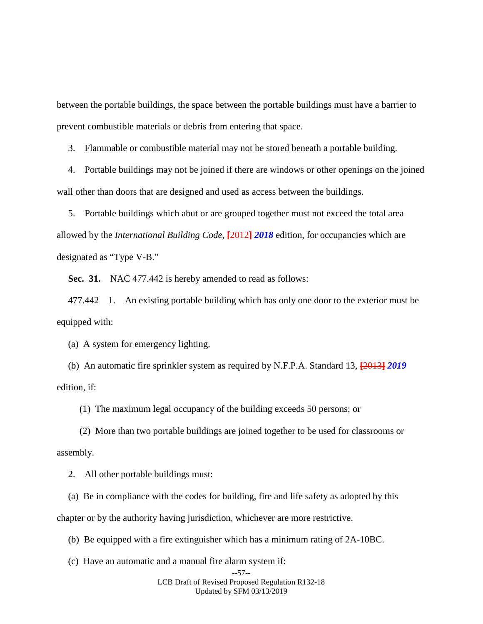between the portable buildings, the space between the portable buildings must have a barrier to prevent combustible materials or debris from entering that space.

3. Flammable or combustible material may not be stored beneath a portable building.

4. Portable buildings may not be joined if there are windows or other openings on the joined wall other than doors that are designed and used as access between the buildings.

5. Portable buildings which abut or are grouped together must not exceed the total area allowed by the *International Building Code*, **[**2012**]** *2018* edition, for occupancies which are designated as "Type V-B."

**Sec. 31.** NAC 477.442 is hereby amended to read as follows:

477.442 1. An existing portable building which has only one door to the exterior must be equipped with:

(a) A system for emergency lighting.

(b) An automatic fire sprinkler system as required by N.F.P.A. Standard 13, **[**2013**]** *2019* edition, if:

(1) The maximum legal occupancy of the building exceeds 50 persons; or

(2) More than two portable buildings are joined together to be used for classrooms or assembly.

2. All other portable buildings must:

(a) Be in compliance with the codes for building, fire and life safety as adopted by this chapter or by the authority having jurisdiction, whichever are more restrictive.

(b) Be equipped with a fire extinguisher which has a minimum rating of 2A-10BC.

(c) Have an automatic and a manual fire alarm system if:

LCB Draft of Revised Proposed Regulation R132-18 Updated by SFM 03/13/2019

<sup>--57--</sup>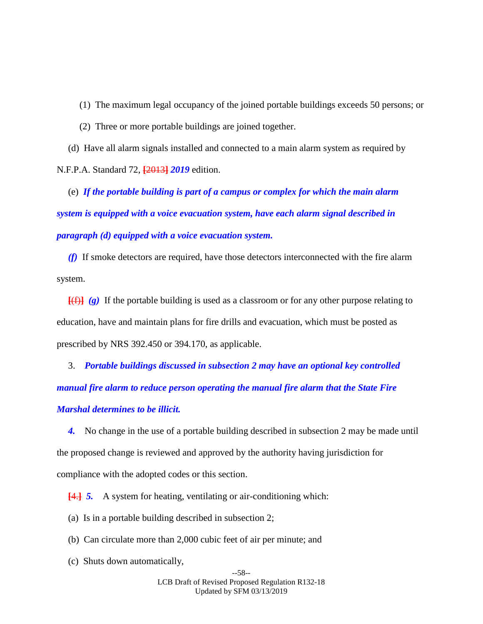- (1) The maximum legal occupancy of the joined portable buildings exceeds 50 persons; or
- (2) Three or more portable buildings are joined together.

(d) Have all alarm signals installed and connected to a main alarm system as required by

N.F.P.A. Standard 72, **[**2013**]** *2019* edition.

(e) *If the portable building is part of a campus or complex for which the main alarm system is equipped with a voice evacuation system, have each alarm signal described in paragraph (d) equipped with a voice evacuation system.*

*(f)* If smoke detectors are required, have those detectors interconnected with the fire alarm system.

 $\left[\frac{f(f)}{g}\right]$  *(g)* If the portable building is used as a classroom or for any other purpose relating to education, have and maintain plans for fire drills and evacuation, which must be posted as prescribed by NRS 392.450 or 394.170, as applicable.

3. *Portable buildings discussed in subsection 2 may have an optional key controlled manual fire alarm to reduce person operating the manual fire alarm that the State Fire Marshal determines to be illicit.*

*4.* No change in the use of a portable building described in subsection 2 may be made until the proposed change is reviewed and approved by the authority having jurisdiction for compliance with the adopted codes or this section.

**[**4.**]** *5.* A system for heating, ventilating or air-conditioning which:

(a) Is in a portable building described in subsection 2;

- (b) Can circulate more than 2,000 cubic feet of air per minute; and
- (c) Shuts down automatically,

--58-- LCB Draft of Revised Proposed Regulation R132-18 Updated by SFM 03/13/2019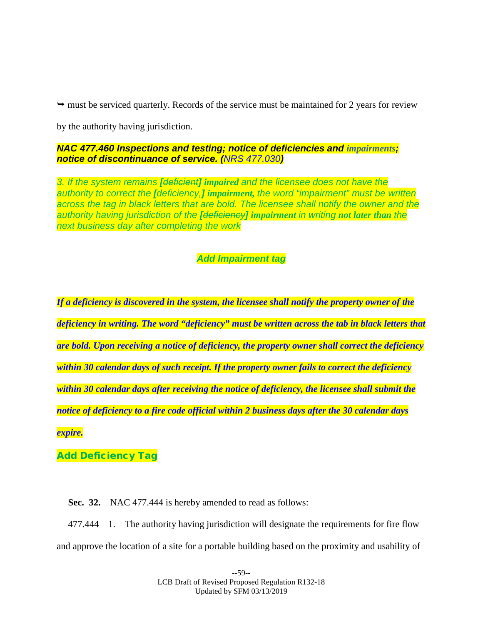$\rightarrow$  must be serviced quarterly. Records of the service must be maintained for 2 years for review

by the authority having jurisdiction.

*NAC 477.460 Inspections and testing; notice of deficiencies and impairments; notice of discontinuance of service. (NRS 477.030)*

*3. If the system remains [deficient] impaired and the licensee does not have the authority to correct the [deficiency,] impairment, the word "impairment" must be written*  across the tag in black letters that are bold. The licensee shall notify the owner and the *authority having jurisdiction of the [deficiency] impairment in writing not later than the next business day after completing the work*

## *Add Impairment tag*

*If a deficiency is discovered in the system, the licensee shall notify the property owner of the deficiency in writing. The word "deficiency" must be written across the tab in black letters that are bold. Upon receiving a notice of deficiency, the property owner shall correct the deficiency within 30 calendar days of such receipt. If the property owner fails to correct the deficiency within 30 calendar days after receiving the notice of deficiency, the licensee shall submit the notice of deficiency to a fire code official within 2 business days after the 30 calendar days expire.*

Add Deficiency Tag

**Sec. 32.** NAC 477.444 is hereby amended to read as follows:

477.444 1. The authority having jurisdiction will designate the requirements for fire flow and approve the location of a site for a portable building based on the proximity and usability of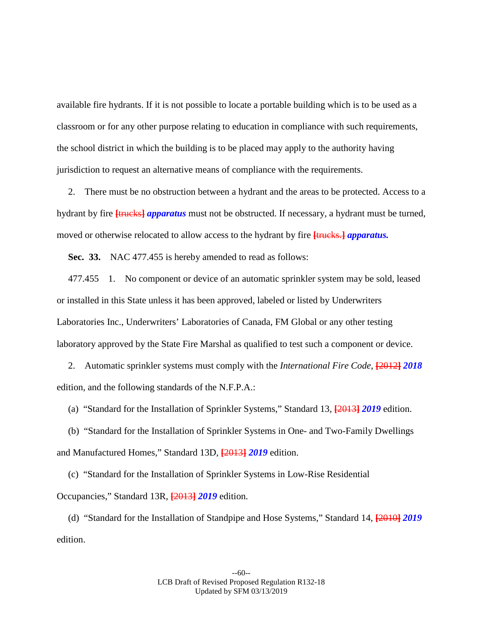available fire hydrants. If it is not possible to locate a portable building which is to be used as a classroom or for any other purpose relating to education in compliance with such requirements, the school district in which the building is to be placed may apply to the authority having jurisdiction to request an alternative means of compliance with the requirements.

2. There must be no obstruction between a hydrant and the areas to be protected. Access to a hydrant by fire **[**trucks**]** *apparatus* must not be obstructed. If necessary, a hydrant must be turned, moved or otherwise relocated to allow access to the hydrant by fire **[**trucks.**]** *apparatus.*

**Sec. 33.** NAC 477.455 is hereby amended to read as follows:

477.455 1. No component or device of an automatic sprinkler system may be sold, leased or installed in this State unless it has been approved, labeled or listed by Underwriters Laboratories Inc., Underwriters' Laboratories of Canada, FM Global or any other testing laboratory approved by the State Fire Marshal as qualified to test such a component or device.

2. Automatic sprinkler systems must comply with the *International Fire Code*, **[**2012**]** *2018*  edition, and the following standards of the N.F.P.A.:

(a) "Standard for the Installation of Sprinkler Systems," Standard 13, **[**2013**]** *2019* edition.

(b) "Standard for the Installation of Sprinkler Systems in One- and Two-Family Dwellings and Manufactured Homes," Standard 13D, **[**2013**]** *2019* edition.

(c) "Standard for the Installation of Sprinkler Systems in Low-Rise Residential Occupancies," Standard 13R, **[**2013**]** *2019* edition.

(d) "Standard for the Installation of Standpipe and Hose Systems," Standard 14, **[**2010**]** *2019* edition.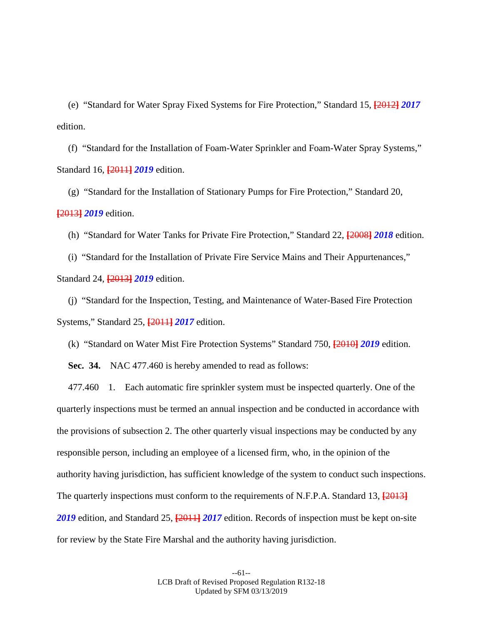(e) "Standard for Water Spray Fixed Systems for Fire Protection," Standard 15, **[**2012**]** *2017*  edition.

(f) "Standard for the Installation of Foam-Water Sprinkler and Foam-Water Spray Systems," Standard 16, **[**2011**]** *2019* edition.

(g) "Standard for the Installation of Stationary Pumps for Fire Protection," Standard 20, **[**2013**]** *2019* edition.

(h) "Standard for Water Tanks for Private Fire Protection," Standard 22, **[**2008**]** *2018* edition.

(i) "Standard for the Installation of Private Fire Service Mains and Their Appurtenances," Standard 24, **[**2013**]** *2019* edition.

(j) "Standard for the Inspection, Testing, and Maintenance of Water-Based Fire Protection Systems," Standard 25, **[**2011**]** *2017* edition.

(k) "Standard on Water Mist Fire Protection Systems" Standard 750, **[**2010**]** *2019* edition.

**Sec. 34.** NAC 477.460 is hereby amended to read as follows:

477.460 1. Each automatic fire sprinkler system must be inspected quarterly. One of the quarterly inspections must be termed an annual inspection and be conducted in accordance with the provisions of subsection 2. The other quarterly visual inspections may be conducted by any responsible person, including an employee of a licensed firm, who, in the opinion of the authority having jurisdiction, has sufficient knowledge of the system to conduct such inspections. The quarterly inspections must conform to the requirements of N.F.P.A. Standard 13, **[**2013**]** *2019* edition, and Standard 25, **[**2011**]** *2017* edition. Records of inspection must be kept on-site for review by the State Fire Marshal and the authority having jurisdiction.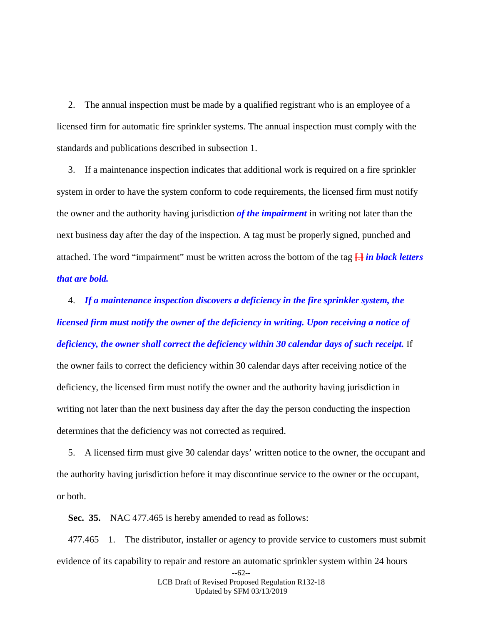2. The annual inspection must be made by a qualified registrant who is an employee of a licensed firm for automatic fire sprinkler systems. The annual inspection must comply with the standards and publications described in subsection 1.

3. If a maintenance inspection indicates that additional work is required on a fire sprinkler system in order to have the system conform to code requirements, the licensed firm must notify the owner and the authority having jurisdiction *of the impairment* in writing not later than the next business day after the day of the inspection. A tag must be properly signed, punched and attached. The word "impairment" must be written across the bottom of the tag **[**.**]** *in black letters that are bold.*

4. *If a maintenance inspection discovers a deficiency in the fire sprinkler system, the licensed firm must notify the owner of the deficiency in writing. Upon receiving a notice of deficiency, the owner shall correct the deficiency within 30 calendar days of such receipt.* If the owner fails to correct the deficiency within 30 calendar days after receiving notice of the deficiency, the licensed firm must notify the owner and the authority having jurisdiction in writing not later than the next business day after the day the person conducting the inspection determines that the deficiency was not corrected as required.

5. A licensed firm must give 30 calendar days' written notice to the owner, the occupant and the authority having jurisdiction before it may discontinue service to the owner or the occupant, or both.

**Sec. 35.** NAC 477.465 is hereby amended to read as follows:

477.465 1. The distributor, installer or agency to provide service to customers must submit evidence of its capability to repair and restore an automatic sprinkler system within 24 hours

> --62-- LCB Draft of Revised Proposed Regulation R132-18 Updated by SFM 03/13/2019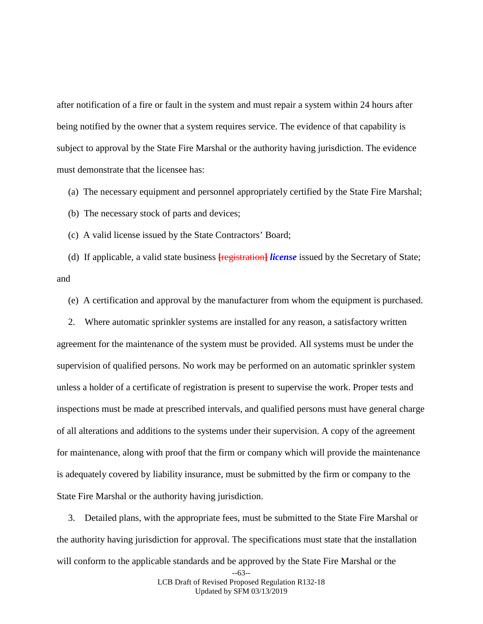after notification of a fire or fault in the system and must repair a system within 24 hours after being notified by the owner that a system requires service. The evidence of that capability is subject to approval by the State Fire Marshal or the authority having jurisdiction. The evidence must demonstrate that the licensee has:

(a) The necessary equipment and personnel appropriately certified by the State Fire Marshal;

(b) The necessary stock of parts and devices;

(c) A valid license issued by the State Contractors' Board;

(d) If applicable, a valid state business **[**registration**]** *license* issued by the Secretary of State; and

(e) A certification and approval by the manufacturer from whom the equipment is purchased.

2. Where automatic sprinkler systems are installed for any reason, a satisfactory written agreement for the maintenance of the system must be provided. All systems must be under the supervision of qualified persons. No work may be performed on an automatic sprinkler system unless a holder of a certificate of registration is present to supervise the work. Proper tests and inspections must be made at prescribed intervals, and qualified persons must have general charge of all alterations and additions to the systems under their supervision. A copy of the agreement for maintenance, along with proof that the firm or company which will provide the maintenance is adequately covered by liability insurance, must be submitted by the firm or company to the State Fire Marshal or the authority having jurisdiction.

3. Detailed plans, with the appropriate fees, must be submitted to the State Fire Marshal or the authority having jurisdiction for approval. The specifications must state that the installation will conform to the applicable standards and be approved by the State Fire Marshal or the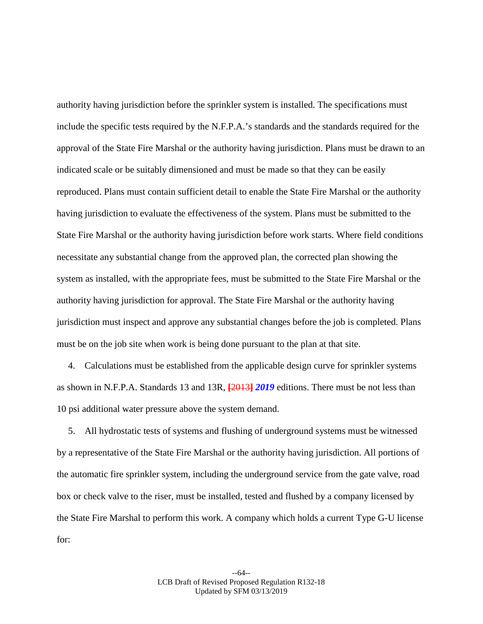authority having jurisdiction before the sprinkler system is installed. The specifications must include the specific tests required by the N.F.P.A.'s standards and the standards required for the approval of the State Fire Marshal or the authority having jurisdiction. Plans must be drawn to an indicated scale or be suitably dimensioned and must be made so that they can be easily reproduced. Plans must contain sufficient detail to enable the State Fire Marshal or the authority having jurisdiction to evaluate the effectiveness of the system. Plans must be submitted to the State Fire Marshal or the authority having jurisdiction before work starts. Where field conditions necessitate any substantial change from the approved plan, the corrected plan showing the system as installed, with the appropriate fees, must be submitted to the State Fire Marshal or the authority having jurisdiction for approval. The State Fire Marshal or the authority having jurisdiction must inspect and approve any substantial changes before the job is completed. Plans must be on the job site when work is being done pursuant to the plan at that site.

4. Calculations must be established from the applicable design curve for sprinkler systems as shown in N.F.P.A. Standards 13 and 13R, **[**2013**]** *2019* editions. There must be not less than 10 psi additional water pressure above the system demand.

5. All hydrostatic tests of systems and flushing of underground systems must be witnessed by a representative of the State Fire Marshal or the authority having jurisdiction. All portions of the automatic fire sprinkler system, including the underground service from the gate valve, road box or check valve to the riser, must be installed, tested and flushed by a company licensed by the State Fire Marshal to perform this work. A company which holds a current Type G-U license for: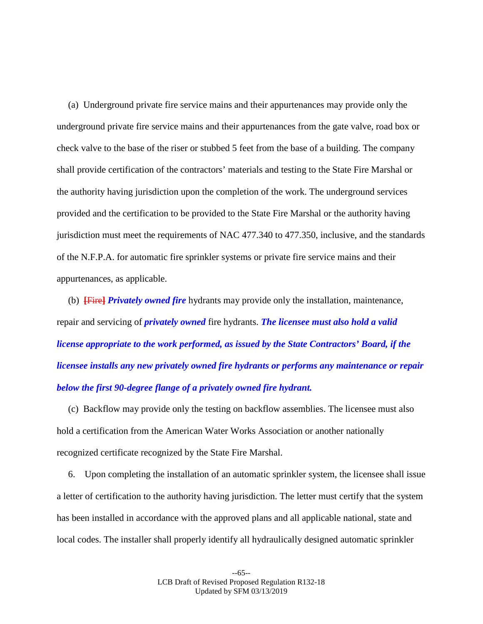(a) Underground private fire service mains and their appurtenances may provide only the underground private fire service mains and their appurtenances from the gate valve, road box or check valve to the base of the riser or stubbed 5 feet from the base of a building. The company shall provide certification of the contractors' materials and testing to the State Fire Marshal or the authority having jurisdiction upon the completion of the work. The underground services provided and the certification to be provided to the State Fire Marshal or the authority having jurisdiction must meet the requirements of NAC 477.340 to 477.350, inclusive, and the standards of the N.F.P.A. for automatic fire sprinkler systems or private fire service mains and their appurtenances, as applicable.

(b) **[**Fire**]** *Privately owned fire* hydrants may provide only the installation, maintenance, repair and servicing of *privately owned* fire hydrants. *The licensee must also hold a valid license appropriate to the work performed, as issued by the State Contractors' Board, if the licensee installs any new privately owned fire hydrants or performs any maintenance or repair below the first 90-degree flange of a privately owned fire hydrant.*

(c) Backflow may provide only the testing on backflow assemblies. The licensee must also hold a certification from the American Water Works Association or another nationally recognized certificate recognized by the State Fire Marshal.

6. Upon completing the installation of an automatic sprinkler system, the licensee shall issue a letter of certification to the authority having jurisdiction. The letter must certify that the system has been installed in accordance with the approved plans and all applicable national, state and local codes. The installer shall properly identify all hydraulically designed automatic sprinkler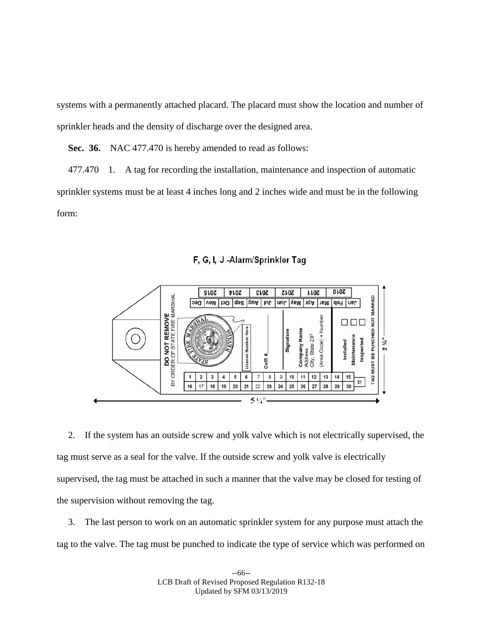systems with a permanently attached placard. The placard must show the location and number of sprinkler heads and the density of discharge over the designed area.

**Sec. 36.** NAC 477.470 is hereby amended to read as follows:

477.470 1. A tag for recording the installation, maintenance and inspection of automatic sprinkler systems must be at least 4 inches long and 2 inches wide and must be in the following form:





2. If the system has an outside screw and yolk valve which is not electrically supervised, the tag must serve as a seal for the valve. If the outside screw and yolk valve is electrically supervised, the tag must be attached in such a manner that the valve may be closed for testing of the supervision without removing the tag.

3. The last person to work on an automatic sprinkler system for any purpose must attach the tag to the valve. The tag must be punched to indicate the type of service which was performed on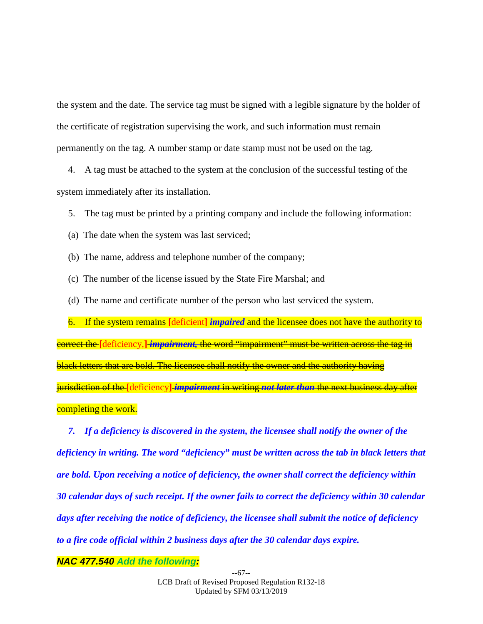the system and the date. The service tag must be signed with a legible signature by the holder of the certificate of registration supervising the work, and such information must remain permanently on the tag. A number stamp or date stamp must not be used on the tag.

4. A tag must be attached to the system at the conclusion of the successful testing of the system immediately after its installation.

5. The tag must be printed by a printing company and include the following information:

(a) The date when the system was last serviced;

(b) The name, address and telephone number of the company;

- (c) The number of the license issued by the State Fire Marshal; and
- (d) The name and certificate number of the person who last serviced the system.

6. If the system remains **[**deficient**]** *impaired* and the licensee does not have the authority to correct the **[**deficiency,**]** *impairment,* the word "impairment" must be written across the tag in black letters that are bold. The licensee shall notify the owner and the authority having jurisdiction of the **[**deficiency**]** *impairment* in writing *not later than* the next business day after completing the work.

*7. If a deficiency is discovered in the system, the licensee shall notify the owner of the deficiency in writing. The word "deficiency" must be written across the tab in black letters that are bold. Upon receiving a notice of deficiency, the owner shall correct the deficiency within 30 calendar days of such receipt. If the owner fails to correct the deficiency within 30 calendar days after receiving the notice of deficiency, the licensee shall submit the notice of deficiency to a fire code official within 2 business days after the 30 calendar days expire.*

*NAC 477.540 Add the following:*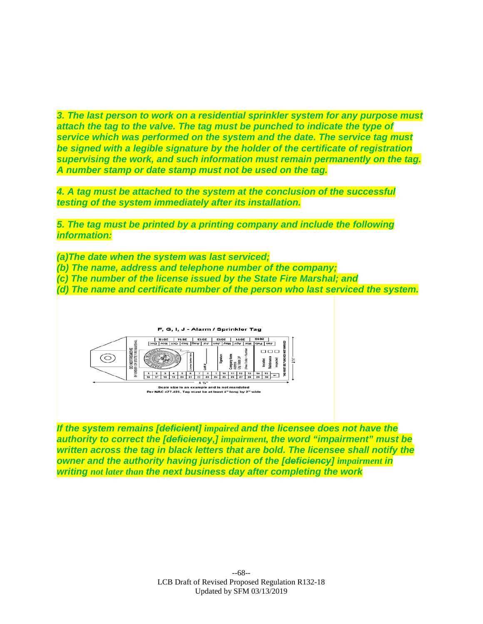*3. The last person to work on a residential sprinkler system for any purpose must attach the tag to the valve. The tag must be punched to indicate the type of service which was performed on the system and the date. The service tag must be signed with a legible signature by the holder of the certificate of registration supervising the work, and such information must remain permanently on the tag. A number stamp or date stamp must not be used on the tag.*

*4. A tag must be attached to the system at the conclusion of the successful testing of the system immediately after its installation.*

*5. The tag must be printed by a printing company and include the following information:*

*(a)The date when the system was last serviced;*

- *(b) The name, address and telephone number of the company;*
- *(c) The number of the license issued by the State Fire Marshal; and*

*(d) The name and certificate number of the person who last serviced the system.*



*If the system remains [deficient] impaired and the licensee does not have the authority to correct the [deficiency,] impairment, the word "impairment" must be written across the tag in black letters that are bold. The licensee shall notify the owner and the authority having jurisdiction of the [deficiency] impairment in writing not later than the next business day after completing the work*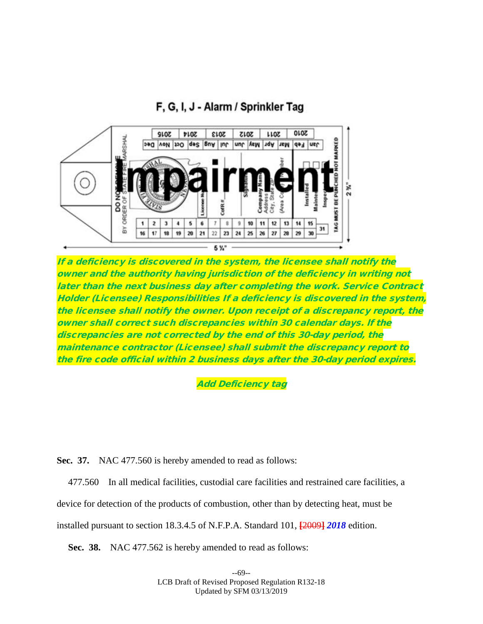# F, G, I, J - Alarm / Sprinkler Tag



If a deficiency is discovered in the system, the licensee shall notify the owner and the authority having jurisdiction of the deficiency in writing not later than the next business day after completing the work. Service Contract Holder (Licensee) Responsibilities If a deficiency is discovered in the system, the licensee shall notify the owner. Upon receipt of a discrepancy report, the owner shall correct such discrepancies within 30 calendar days. lf the discrepancies are not corrected by the end of this 30-day period, the maintenance contractor (Licensee) shall submit the discrepancy report to the fire code official within 2 business days after the 30-day period expires.

Add Deficiency tag

**Sec. 37.** NAC 477.560 is hereby amended to read as follows:

477.560 In all medical facilities, custodial care facilities and restrained care facilities, a

device for detection of the products of combustion, other than by detecting heat, must be

installed pursuant to section 18.3.4.5 of N.F.P.A. Standard 101, **[**2009**]** *2018* edition.

**Sec. 38.** NAC 477.562 is hereby amended to read as follows: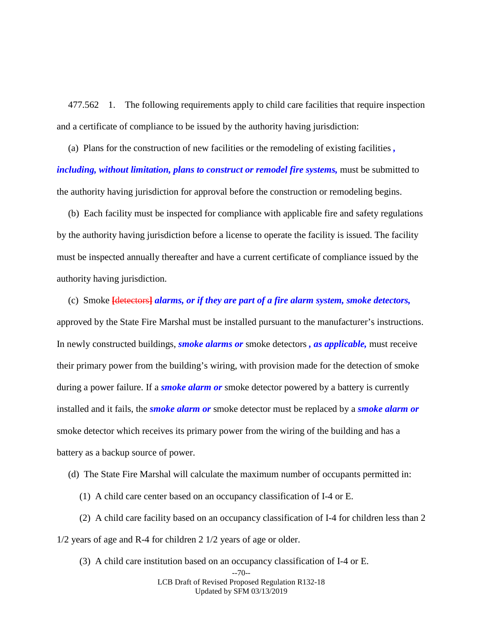477.562 1. The following requirements apply to child care facilities that require inspection and a certificate of compliance to be issued by the authority having jurisdiction:

(a) Plans for the construction of new facilities or the remodeling of existing facilities *, including, without limitation, plans to construct or remodel fire systems,* must be submitted to the authority having jurisdiction for approval before the construction or remodeling begins.

(b) Each facility must be inspected for compliance with applicable fire and safety regulations by the authority having jurisdiction before a license to operate the facility is issued. The facility must be inspected annually thereafter and have a current certificate of compliance issued by the authority having jurisdiction.

(c) Smoke **[**detectors**]** *alarms, or if they are part of a fire alarm system, smoke detectors,*  approved by the State Fire Marshal must be installed pursuant to the manufacturer's instructions. In newly constructed buildings, *smoke alarms or* smoke detectors *, as applicable,* must receive their primary power from the building's wiring, with provision made for the detection of smoke during a power failure. If a *smoke alarm or* smoke detector powered by a battery is currently installed and it fails, the *smoke alarm or* smoke detector must be replaced by a *smoke alarm or*  smoke detector which receives its primary power from the wiring of the building and has a battery as a backup source of power.

(d) The State Fire Marshal will calculate the maximum number of occupants permitted in:

(1) A child care center based on an occupancy classification of I-4 or E.

(2) A child care facility based on an occupancy classification of I-4 for children less than 2 1/2 years of age and R-4 for children 2 1/2 years of age or older.

(3) A child care institution based on an occupancy classification of I-4 or E.

LCB Draft of Revised Proposed Regulation R132-18 Updated by SFM 03/13/2019

<sup>--70--</sup>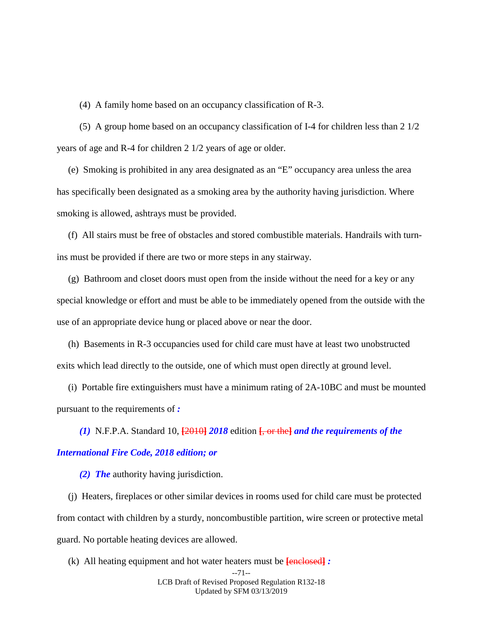(4) A family home based on an occupancy classification of R-3.

(5) A group home based on an occupancy classification of I-4 for children less than 2 1/2 years of age and R-4 for children 2 1/2 years of age or older.

(e) Smoking is prohibited in any area designated as an "E" occupancy area unless the area has specifically been designated as a smoking area by the authority having jurisdiction. Where smoking is allowed, ashtrays must be provided.

(f) All stairs must be free of obstacles and stored combustible materials. Handrails with turnins must be provided if there are two or more steps in any stairway.

(g) Bathroom and closet doors must open from the inside without the need for a key or any special knowledge or effort and must be able to be immediately opened from the outside with the use of an appropriate device hung or placed above or near the door.

(h) Basements in R-3 occupancies used for child care must have at least two unobstructed exits which lead directly to the outside, one of which must open directly at ground level.

(i) Portable fire extinguishers must have a minimum rating of 2A-10BC and must be mounted pursuant to the requirements of *:*

*(1)* N.F.P.A. Standard 10, **[**2010**]** *2018* edition **[**, or the**]** *and the requirements of the* 

## *International Fire Code, 2018 edition; or*

*(2) The* authority having jurisdiction.

(j) Heaters, fireplaces or other similar devices in rooms used for child care must be protected from contact with children by a sturdy, noncombustible partition, wire screen or protective metal guard. No portable heating devices are allowed.

(k) All heating equipment and hot water heaters must be **[**enclosed**]** *:*

<sup>--71--</sup> LCB Draft of Revised Proposed Regulation R132-18 Updated by SFM 03/13/2019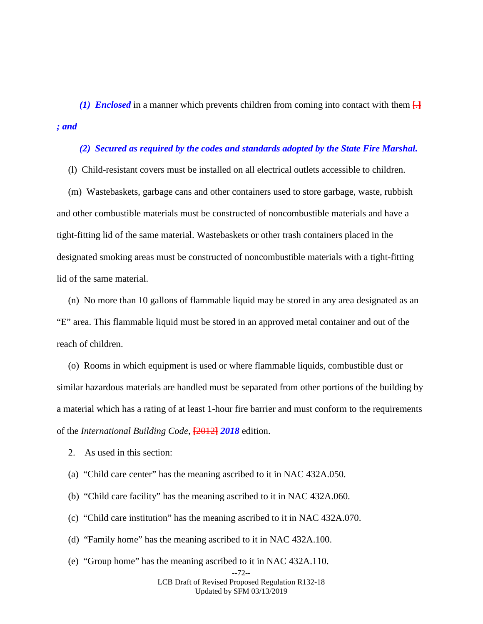*(1) Enclosed* in a manner which prevents children from coming into contact with them  $\Box$ *; and* 

#### *(2) Secured as required by the codes and standards adopted by the State Fire Marshal.*

(l) Child-resistant covers must be installed on all electrical outlets accessible to children.

(m) Wastebaskets, garbage cans and other containers used to store garbage, waste, rubbish and other combustible materials must be constructed of noncombustible materials and have a tight-fitting lid of the same material. Wastebaskets or other trash containers placed in the designated smoking areas must be constructed of noncombustible materials with a tight-fitting lid of the same material.

(n) No more than 10 gallons of flammable liquid may be stored in any area designated as an "E" area. This flammable liquid must be stored in an approved metal container and out of the reach of children.

(o) Rooms in which equipment is used or where flammable liquids, combustible dust or similar hazardous materials are handled must be separated from other portions of the building by a material which has a rating of at least 1-hour fire barrier and must conform to the requirements of the *International Building Code*, **[**2012**]** *2018* edition.

2. As used in this section:

- (a) "Child care center" has the meaning ascribed to it in NAC 432A.050.
- (b) "Child care facility" has the meaning ascribed to it in NAC 432A.060.
- (c) "Child care institution" has the meaning ascribed to it in NAC 432A.070.
- (d) "Family home" has the meaning ascribed to it in NAC 432A.100.
- (e) "Group home" has the meaning ascribed to it in NAC 432A.110.

LCB Draft of Revised Proposed Regulation R132-18 Updated by SFM 03/13/2019

<sup>--72--</sup>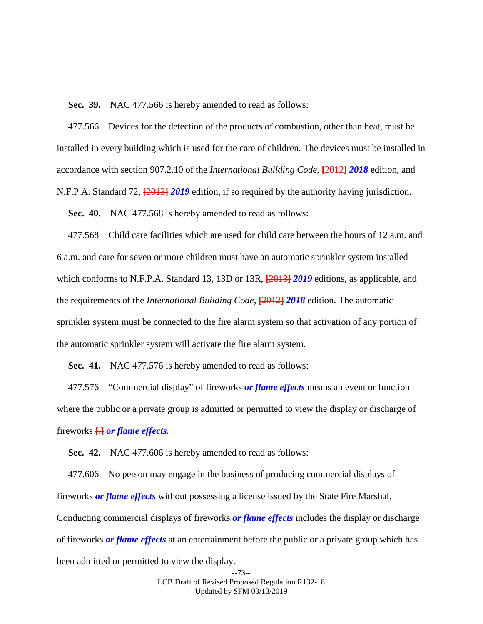**Sec. 39.** NAC 477.566 is hereby amended to read as follows:

477.566 Devices for the detection of the products of combustion, other than heat, must be installed in every building which is used for the care of children. The devices must be installed in accordance with section 907.2.10 of the *International Building Code*, **[**2012**]** *2018* edition, and N.F.P.A. Standard 72, **[**2013**]** *2019* edition, if so required by the authority having jurisdiction.

**Sec. 40.** NAC 477.568 is hereby amended to read as follows:

477.568 Child care facilities which are used for child care between the hours of 12 a.m. and 6 a.m. and care for seven or more children must have an automatic sprinkler system installed which conforms to N.F.P.A. Standard 13, 13D or 13R, **[**2013**]** *2019* editions, as applicable, and the requirements of the *International Building Code*, **[**2012**]** *2018* edition. The automatic sprinkler system must be connected to the fire alarm system so that activation of any portion of the automatic sprinkler system will activate the fire alarm system.

**Sec. 41.** NAC 477.576 is hereby amended to read as follows:

477.576 "Commercial display" of fireworks *or flame effects* means an event or function where the public or a private group is admitted or permitted to view the display or discharge of fireworks **[**.**]** *or flame effects.*

**Sec. 42.** NAC 477.606 is hereby amended to read as follows:

477.606 No person may engage in the business of producing commercial displays of fireworks *or flame effects* without possessing a license issued by the State Fire Marshal. Conducting commercial displays of fireworks *or flame effects* includes the display or discharge of fireworks *or flame effects* at an entertainment before the public or a private group which has been admitted or permitted to view the display.

> --73-- LCB Draft of Revised Proposed Regulation R132-18 Updated by SFM 03/13/2019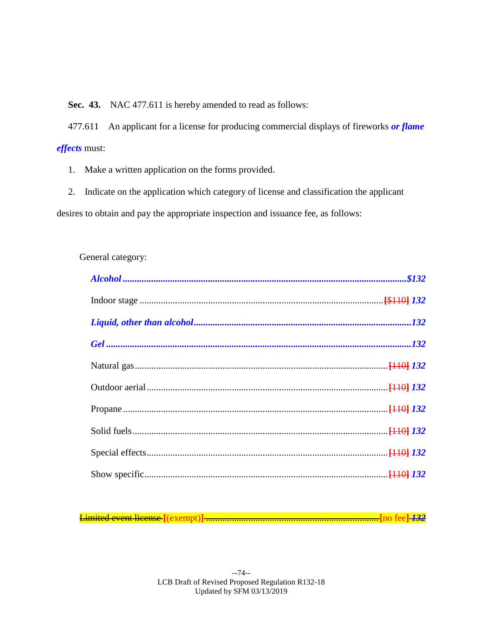**Sec. 43.** NAC 477.611 is hereby amended to read as follows:

477.611 An applicant for a license for producing commercial displays of fireworks *or flame effects* must:

1. Make a written application on the forms provided.

2. Indicate on the application which category of license and classification the applicant desires to obtain and pay the appropriate inspection and issuance fee, as follows:

## General category:

Limited event license **[**(exempt)**]** .........................................................................**[**no fee**]** *132*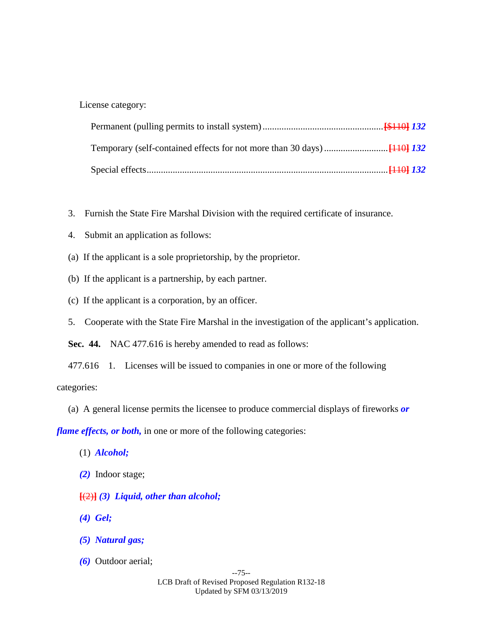License category:

- 3. Furnish the State Fire Marshal Division with the required certificate of insurance.
- 4. Submit an application as follows:
- (a) If the applicant is a sole proprietorship, by the proprietor.
- (b) If the applicant is a partnership, by each partner.
- (c) If the applicant is a corporation, by an officer.
- 5. Cooperate with the State Fire Marshal in the investigation of the applicant's application.

**Sec. 44.** NAC 477.616 is hereby amended to read as follows:

477.616 1. Licenses will be issued to companies in one or more of the following

categories:

(a) A general license permits the licensee to produce commercial displays of fireworks *or*

*flame effects, or both,* in one or more of the following categories:

- (1) *Alcohol;*
- *(2)* Indoor stage;
- **[**(2)**]** *(3) Liquid, other than alcohol;*
- *(4) Gel;*
- *(5) Natural gas;*
- *(6)* Outdoor aerial;

--75-- LCB Draft of Revised Proposed Regulation R132-18 Updated by SFM 03/13/2019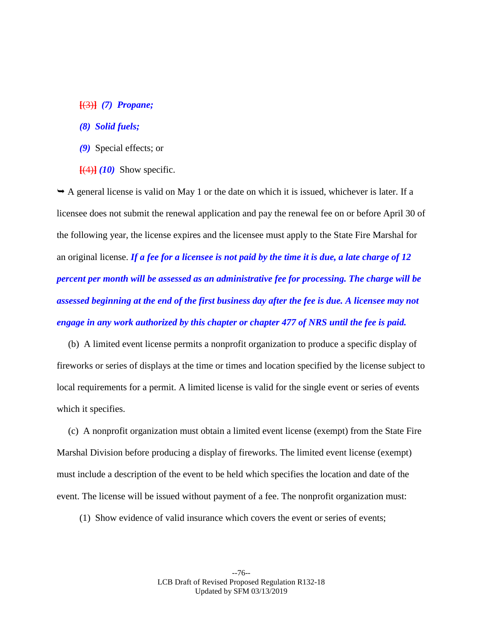### **[**(3)**]** *(7) Propane;*

### *(8) Solid fuels;*

- *(9)* Special effects; or
- $[$ (4)**]**  $(10)$  Show specific.

 $\rightarrow$  A general license is valid on May 1 or the date on which it is issued, whichever is later. If a licensee does not submit the renewal application and pay the renewal fee on or before April 30 of the following year, the license expires and the licensee must apply to the State Fire Marshal for an original license. *If a fee for a licensee is not paid by the time it is due, a late charge of 12 percent per month will be assessed as an administrative fee for processing. The charge will be assessed beginning at the end of the first business day after the fee is due. A licensee may not engage in any work authorized by this chapter or chapter 477 of NRS until the fee is paid.*

(b) A limited event license permits a nonprofit organization to produce a specific display of fireworks or series of displays at the time or times and location specified by the license subject to local requirements for a permit. A limited license is valid for the single event or series of events which it specifies.

(c) A nonprofit organization must obtain a limited event license (exempt) from the State Fire Marshal Division before producing a display of fireworks. The limited event license (exempt) must include a description of the event to be held which specifies the location and date of the event. The license will be issued without payment of a fee. The nonprofit organization must:

(1) Show evidence of valid insurance which covers the event or series of events;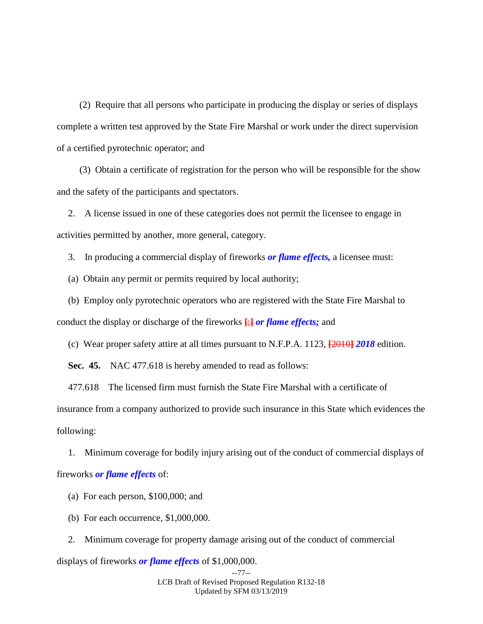(2) Require that all persons who participate in producing the display or series of displays complete a written test approved by the State Fire Marshal or work under the direct supervision of a certified pyrotechnic operator; and

(3) Obtain a certificate of registration for the person who will be responsible for the show and the safety of the participants and spectators.

2. A license issued in one of these categories does not permit the licensee to engage in activities permitted by another, more general, category.

3. In producing a commercial display of fireworks *or flame effects,* a licensee must:

(a) Obtain any permit or permits required by local authority;

(b) Employ only pyrotechnic operators who are registered with the State Fire Marshal to conduct the display or discharge of the fireworks **[**;**]** *or flame effects;* and

(c) Wear proper safety attire at all times pursuant to N.F.P.A. 1123, **[**2010**]** *2018* edition.

**Sec. 45.** NAC 477.618 is hereby amended to read as follows:

477.618 The licensed firm must furnish the State Fire Marshal with a certificate of insurance from a company authorized to provide such insurance in this State which evidences the following:

1. Minimum coverage for bodily injury arising out of the conduct of commercial displays of fireworks *or flame effects* of:

- (a) For each person, \$100,000; and
- (b) For each occurrence, \$1,000,000.

2. Minimum coverage for property damage arising out of the conduct of commercial

displays of fireworks *or flame effects* of \$1,000,000.

--77-- LCB Draft of Revised Proposed Regulation R132-18 Updated by SFM 03/13/2019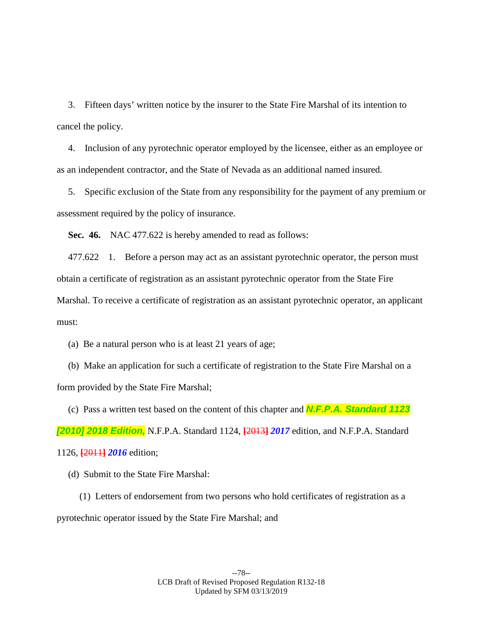3. Fifteen days' written notice by the insurer to the State Fire Marshal of its intention to cancel the policy.

4. Inclusion of any pyrotechnic operator employed by the licensee, either as an employee or as an independent contractor, and the State of Nevada as an additional named insured.

5. Specific exclusion of the State from any responsibility for the payment of any premium or assessment required by the policy of insurance.

**Sec. 46.** NAC 477.622 is hereby amended to read as follows:

477.622 1. Before a person may act as an assistant pyrotechnic operator, the person must obtain a certificate of registration as an assistant pyrotechnic operator from the State Fire Marshal. To receive a certificate of registration as an assistant pyrotechnic operator, an applicant must:

(a) Be a natural person who is at least 21 years of age;

(b) Make an application for such a certificate of registration to the State Fire Marshal on a form provided by the State Fire Marshal;

(c) Pass a written test based on the content of this chapter and *N.F.P.A. Standard 1123 [2010] 2018 Edition,* N.F.P.A. Standard 1124, **[**2013**]** *2017* edition, and N.F.P.A. Standard 1126, **[**2011**]** *2016* edition;

(d) Submit to the State Fire Marshal:

(1) Letters of endorsement from two persons who hold certificates of registration as a pyrotechnic operator issued by the State Fire Marshal; and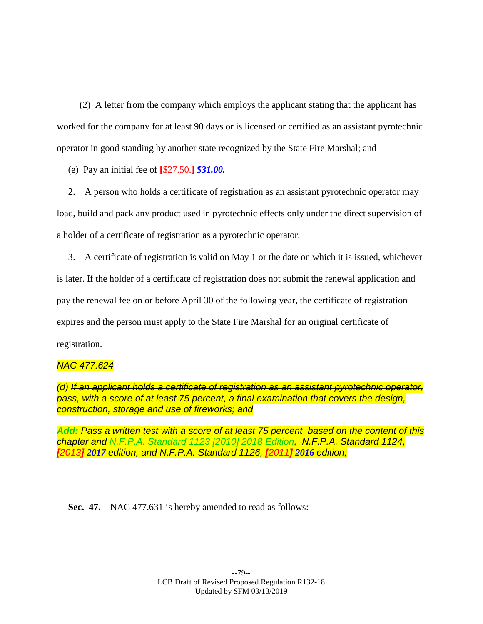(2) A letter from the company which employs the applicant stating that the applicant has worked for the company for at least 90 days or is licensed or certified as an assistant pyrotechnic operator in good standing by another state recognized by the State Fire Marshal; and

(e) Pay an initial fee of **[**\$27.50.**]** *\$31.00.*

2. A person who holds a certificate of registration as an assistant pyrotechnic operator may load, build and pack any product used in pyrotechnic effects only under the direct supervision of a holder of a certificate of registration as a pyrotechnic operator.

3. A certificate of registration is valid on May 1 or the date on which it is issued, whichever is later. If the holder of a certificate of registration does not submit the renewal application and pay the renewal fee on or before April 30 of the following year, the certificate of registration expires and the person must apply to the State Fire Marshal for an original certificate of registration.

## *NAC 477.624*

*(d) If an applicant holds a certificate of registration as an assistant pyrotechnic operator, pass, with a score of at least 75 percent, a final examination that covers the design, construction, storage and use of fireworks; and* 

*Add: Pass a written test with a score of at least 75 percent based on the content of this chapter and N.F.P.A. Standard 1123 [2010] 2018 Edition, N.F.P.A. Standard 1124, [2013] 2017 edition, and N.F.P.A. Standard 1126, [2011] 2016 edition;*

**Sec. 47.** NAC 477.631 is hereby amended to read as follows: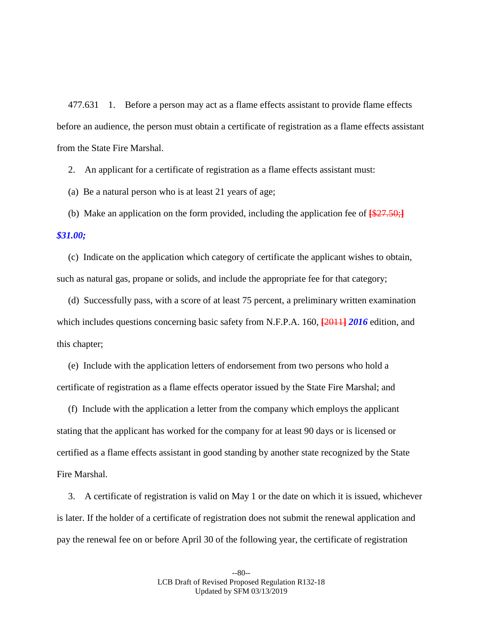477.631 1. Before a person may act as a flame effects assistant to provide flame effects before an audience, the person must obtain a certificate of registration as a flame effects assistant from the State Fire Marshal.

2. An applicant for a certificate of registration as a flame effects assistant must:

(a) Be a natural person who is at least 21 years of age;

(b) Make an application on the form provided, including the application fee of **[**\$27.50;**]**

*\$31.00;*

(c) Indicate on the application which category of certificate the applicant wishes to obtain, such as natural gas, propane or solids, and include the appropriate fee for that category;

(d) Successfully pass, with a score of at least 75 percent, a preliminary written examination which includes questions concerning basic safety from N.F.P.A. 160, **[**2011**]** *2016* edition, and this chapter;

(e) Include with the application letters of endorsement from two persons who hold a certificate of registration as a flame effects operator issued by the State Fire Marshal; and

(f) Include with the application a letter from the company which employs the applicant stating that the applicant has worked for the company for at least 90 days or is licensed or certified as a flame effects assistant in good standing by another state recognized by the State Fire Marshal.

3. A certificate of registration is valid on May 1 or the date on which it is issued, whichever is later. If the holder of a certificate of registration does not submit the renewal application and pay the renewal fee on or before April 30 of the following year, the certificate of registration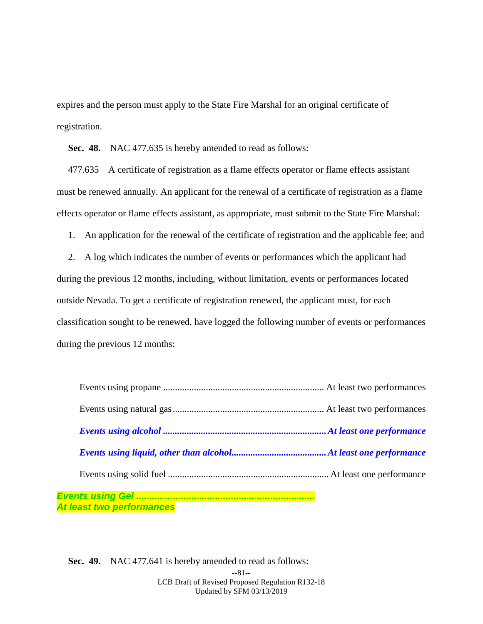expires and the person must apply to the State Fire Marshal for an original certificate of registration.

**Sec. 48.** NAC 477.635 is hereby amended to read as follows:

477.635 A certificate of registration as a flame effects operator or flame effects assistant must be renewed annually. An applicant for the renewal of a certificate of registration as a flame effects operator or flame effects assistant, as appropriate, must submit to the State Fire Marshal:

1. An application for the renewal of the certificate of registration and the applicable fee; and

2. A log which indicates the number of events or performances which the applicant had during the previous 12 months, including, without limitation, events or performances located outside Nevada. To get a certificate of registration renewed, the applicant must, for each classification sought to be renewed, have logged the following number of events or performances during the previous 12 months:

| At least two performances |  |
|---------------------------|--|

--81-- LCB Draft of Revised Proposed Regulation R132-18 Updated by SFM 03/13/2019 **Sec. 49.** NAC 477.641 is hereby amended to read as follows: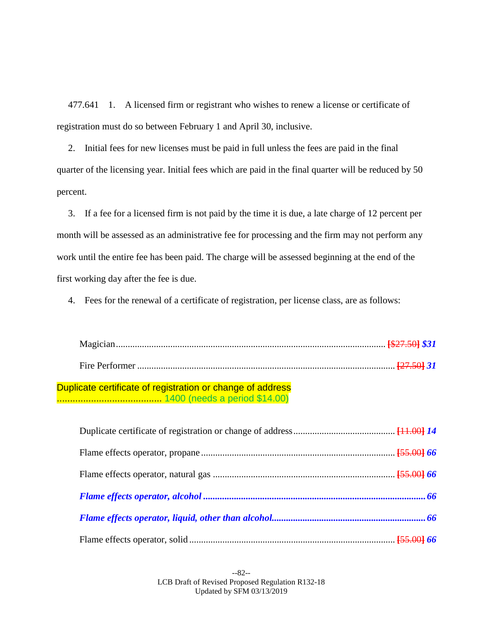477.641 1. A licensed firm or registrant who wishes to renew a license or certificate of registration must do so between February 1 and April 30, inclusive.

2. Initial fees for new licenses must be paid in full unless the fees are paid in the final quarter of the licensing year. Initial fees which are paid in the final quarter will be reduced by 50 percent.

3. If a fee for a licensed firm is not paid by the time it is due, a late charge of 12 percent per month will be assessed as an administrative fee for processing and the firm may not perform any work until the entire fee has been paid. The charge will be assessed beginning at the end of the first working day after the fee is due.

4. Fees for the renewal of a certificate of registration, per license class, are as follows:

Fire Performer ............................................................................................................. **[**27.50**]** *31*

Duplicate certificate of registration or change of address ........................................ 1400 (needs a period \$14.00)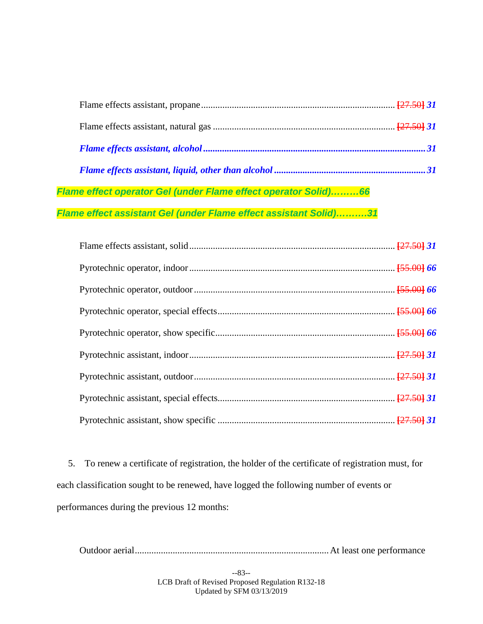| Flame effect operator Gel (under Flame effect operator Solid)66   |  |
|-------------------------------------------------------------------|--|
| Flame effect assistant Gel (under Flame effect assistant Solid)31 |  |

5. To renew a certificate of registration, the holder of the certificate of registration must, for each classification sought to be renewed, have logged the following number of events or performances during the previous 12 months:

Outdoor aerial..................................................................................At least one performance

--83-- LCB Draft of Revised Proposed Regulation R132-18 Updated by SFM 03/13/2019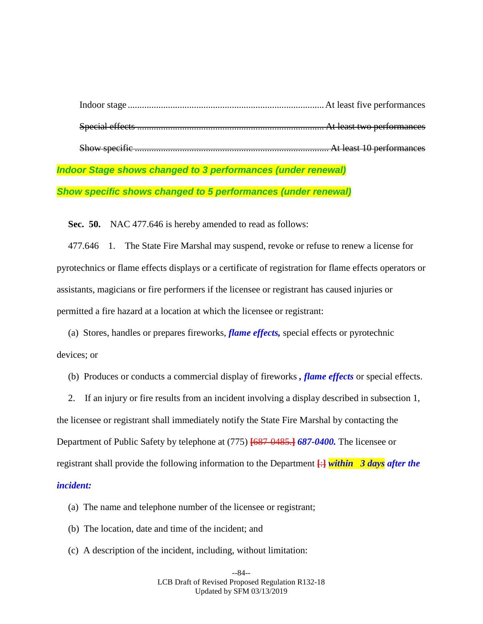| <b>Indoor Stage shows changed to 3 performances (under renewal)</b> |
|---------------------------------------------------------------------|

*Show specific shows changed to 5 performances (under renewal)*

**Sec. 50.** NAC 477.646 is hereby amended to read as follows:

477.646 1. The State Fire Marshal may suspend, revoke or refuse to renew a license for pyrotechnics or flame effects displays or a certificate of registration for flame effects operators or assistants, magicians or fire performers if the licensee or registrant has caused injuries or permitted a fire hazard at a location at which the licensee or registrant:

(a) Stores, handles or prepares fireworks, *flame effects,* special effects or pyrotechnic devices; or

(b) Produces or conducts a commercial display of fireworks *, flame effects* or special effects.

2. If an injury or fire results from an incident involving a display described in subsection 1, the licensee or registrant shall immediately notify the State Fire Marshal by contacting the Department of Public Safety by telephone at (775) **[**687-0485.**]** *687-0400.* The licensee or registrant shall provide the following information to the Department **[**:**]** *within 3 days after the incident:*

- (a) The name and telephone number of the licensee or registrant;
- (b) The location, date and time of the incident; and
- (c) A description of the incident, including, without limitation:

--84-- LCB Draft of Revised Proposed Regulation R132-18 Updated by SFM 03/13/2019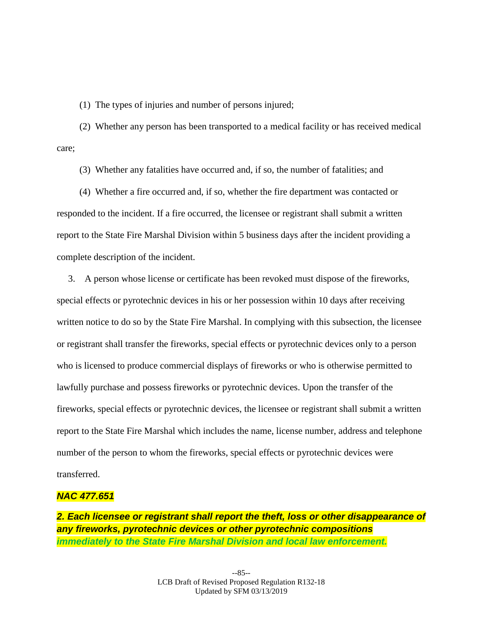(1) The types of injuries and number of persons injured;

(2) Whether any person has been transported to a medical facility or has received medical care;

(3) Whether any fatalities have occurred and, if so, the number of fatalities; and

(4) Whether a fire occurred and, if so, whether the fire department was contacted or responded to the incident. If a fire occurred, the licensee or registrant shall submit a written report to the State Fire Marshal Division within 5 business days after the incident providing a complete description of the incident.

3. A person whose license or certificate has been revoked must dispose of the fireworks, special effects or pyrotechnic devices in his or her possession within 10 days after receiving written notice to do so by the State Fire Marshal. In complying with this subsection, the licensee or registrant shall transfer the fireworks, special effects or pyrotechnic devices only to a person who is licensed to produce commercial displays of fireworks or who is otherwise permitted to lawfully purchase and possess fireworks or pyrotechnic devices. Upon the transfer of the fireworks, special effects or pyrotechnic devices, the licensee or registrant shall submit a written report to the State Fire Marshal which includes the name, license number, address and telephone number of the person to whom the fireworks, special effects or pyrotechnic devices were transferred.

## *NAC 477.651*

*2. Each licensee or registrant shall report the theft, loss or other disappearance of any fireworks, pyrotechnic devices or other pyrotechnic compositions immediately to the State Fire Marshal Division and local law enforcement.*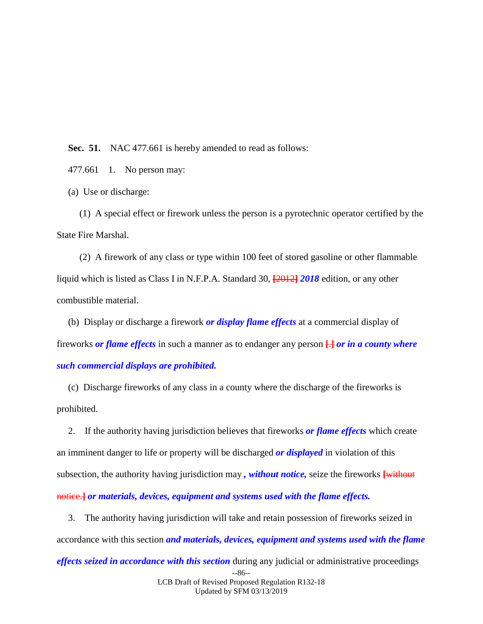**Sec. 51.** NAC 477.661 is hereby amended to read as follows:

477.661 1. No person may:

(a) Use or discharge:

(1) A special effect or firework unless the person is a pyrotechnic operator certified by the State Fire Marshal.

(2) A firework of any class or type within 100 feet of stored gasoline or other flammable liquid which is listed as Class I in N.F.P.A. Standard 30, **[**2012**]** *2018* edition, or any other combustible material.

(b) Display or discharge a firework *or display flame effects* at a commercial display of fireworks *or flame effects* in such a manner as to endanger any person **[**.**]** *or in a county where such commercial displays are prohibited.*

(c) Discharge fireworks of any class in a county where the discharge of the fireworks is prohibited.

2. If the authority having jurisdiction believes that fireworks *or flame effects* which create an imminent danger to life or property will be discharged *or displayed* in violation of this subsection, the authority having jurisdiction may *, without notice,* seize the fireworks **[**without notice.**]** *or materials, devices, equipment and systems used with the flame effects.*

3. The authority having jurisdiction will take and retain possession of fireworks seized in accordance with this section *and materials, devices, equipment and systems used with the flame* 

--86-- LCB Draft of Revised Proposed Regulation R132-18 *effects seized in accordance with this section* during any judicial or administrative proceedings

Updated by SFM 03/13/2019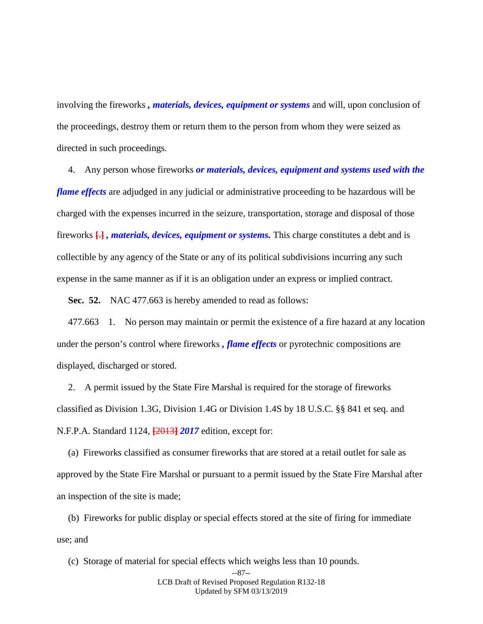involving the fireworks *, materials, devices, equipment or systems* and will, upon conclusion of the proceedings, destroy them or return them to the person from whom they were seized as directed in such proceedings.

4. Any person whose fireworks *or materials, devices, equipment and systems used with the flame effects* are adjudged in any judicial or administrative proceeding to be hazardous will be charged with the expenses incurred in the seizure, transportation, storage and disposal of those fireworks **[**.**]** *, materials, devices, equipment or systems.* This charge constitutes a debt and is collectible by any agency of the State or any of its political subdivisions incurring any such expense in the same manner as if it is an obligation under an express or implied contract.

**Sec. 52.** NAC 477.663 is hereby amended to read as follows:

477.663 1. No person may maintain or permit the existence of a fire hazard at any location under the person's control where fireworks *, flame effects* or pyrotechnic compositions are displayed, discharged or stored.

2. A permit issued by the State Fire Marshal is required for the storage of fireworks classified as Division 1.3G, Division 1.4G or Division 1.4S by 18 U.S.C. §§ 841 et seq. and N.F.P.A. Standard 1124, **[**2013**]** *2017* edition, except for:

(a) Fireworks classified as consumer fireworks that are stored at a retail outlet for sale as approved by the State Fire Marshal or pursuant to a permit issued by the State Fire Marshal after an inspection of the site is made;

(b) Fireworks for public display or special effects stored at the site of firing for immediate use; and

(c) Storage of material for special effects which weighs less than 10 pounds.

<sup>--87--</sup>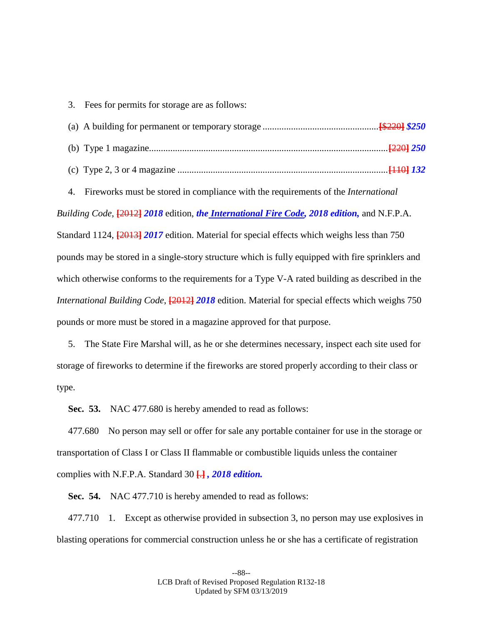3. Fees for permits for storage are as follows:

4. Fireworks must be stored in compliance with the requirements of the *International Building Code*, **[**2012**]** *2018* edition, *the International Fire Code, 2018 edition,* and N.F.P.A. Standard 1124, **[**2013**]** *2017* edition. Material for special effects which weighs less than 750 pounds may be stored in a single-story structure which is fully equipped with fire sprinklers and which otherwise conforms to the requirements for a Type V-A rated building as described in the *International Building Code*, **[**2012**]** *2018* edition. Material for special effects which weighs 750 pounds or more must be stored in a magazine approved for that purpose.

5. The State Fire Marshal will, as he or she determines necessary, inspect each site used for storage of fireworks to determine if the fireworks are stored properly according to their class or type.

**Sec. 53.** NAC 477.680 is hereby amended to read as follows:

477.680 No person may sell or offer for sale any portable container for use in the storage or transportation of Class I or Class II flammable or combustible liquids unless the container complies with N.F.P.A. Standard 30 **[**.**]** *, 2018 edition.*

**Sec. 54.** NAC 477.710 is hereby amended to read as follows:

477.710 1. Except as otherwise provided in subsection 3, no person may use explosives in blasting operations for commercial construction unless he or she has a certificate of registration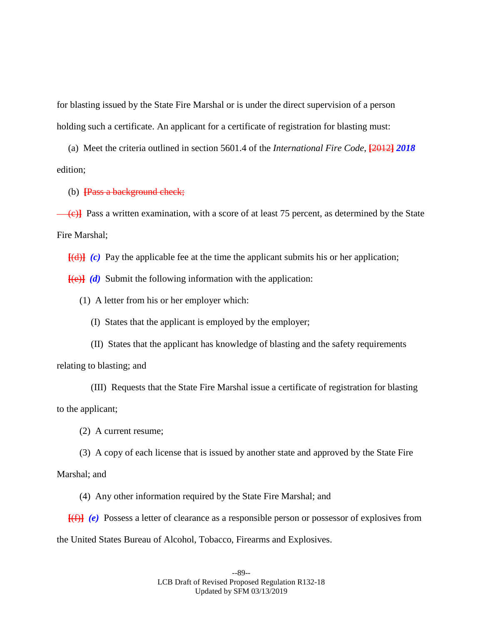for blasting issued by the State Fire Marshal or is under the direct supervision of a person holding such a certificate. An applicant for a certificate of registration for blasting must:

(a) Meet the criteria outlined in section 5601.4 of the *International Fire Code*, **[**2012**]** *2018*  edition;

(b) **[**Pass a background check;

(e)<sup>1</sup> Pass a written examination, with a score of at least 75 percent, as determined by the State Fire Marshal;

**[**(d)**]** *(c)* Pay the applicable fee at the time the applicant submits his or her application;

**[**(e)**]** *(d)* Submit the following information with the application:

(1) A letter from his or her employer which:

(I) States that the applicant is employed by the employer;

(II) States that the applicant has knowledge of blasting and the safety requirements

relating to blasting; and

(III) Requests that the State Fire Marshal issue a certificate of registration for blasting to the applicant;

(2) A current resume;

(3) A copy of each license that is issued by another state and approved by the State Fire Marshal; and

(4) Any other information required by the State Fire Marshal; and

**[**(f)**]** *(e)* Possess a letter of clearance as a responsible person or possessor of explosives from the United States Bureau of Alcohol, Tobacco, Firearms and Explosives.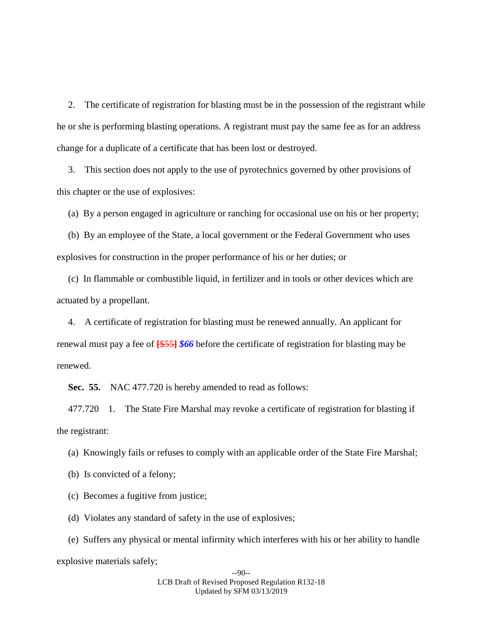2. The certificate of registration for blasting must be in the possession of the registrant while he or she is performing blasting operations. A registrant must pay the same fee as for an address change for a duplicate of a certificate that has been lost or destroyed.

3. This section does not apply to the use of pyrotechnics governed by other provisions of this chapter or the use of explosives:

(a) By a person engaged in agriculture or ranching for occasional use on his or her property;

(b) By an employee of the State, a local government or the Federal Government who uses explosives for construction in the proper performance of his or her duties; or

(c) In flammable or combustible liquid, in fertilizer and in tools or other devices which are actuated by a propellant.

4. A certificate of registration for blasting must be renewed annually. An applicant for renewal must pay a fee of **[**\$55**]** *\$66* before the certificate of registration for blasting may be renewed.

**Sec. 55.** NAC 477.720 is hereby amended to read as follows:

477.720 1. The State Fire Marshal may revoke a certificate of registration for blasting if the registrant:

(a) Knowingly fails or refuses to comply with an applicable order of the State Fire Marshal;

(b) Is convicted of a felony;

(c) Becomes a fugitive from justice;

(d) Violates any standard of safety in the use of explosives;

(e) Suffers any physical or mental infirmity which interferes with his or her ability to handle explosive materials safely;

> --90-- LCB Draft of Revised Proposed Regulation R132-18 Updated by SFM 03/13/2019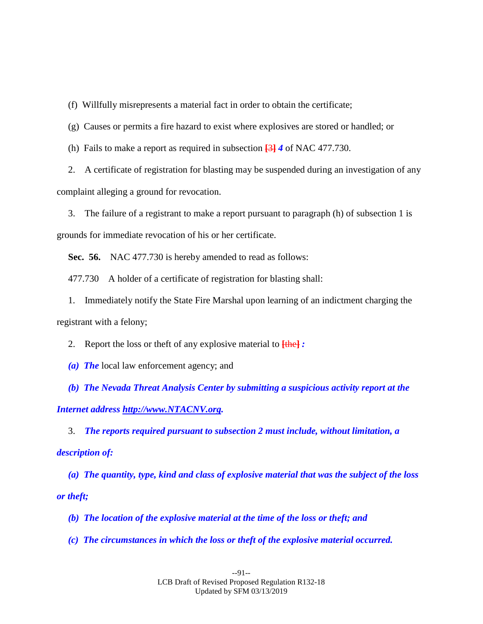(f) Willfully misrepresents a material fact in order to obtain the certificate;

(g) Causes or permits a fire hazard to exist where explosives are stored or handled; or

(h) Fails to make a report as required in subsection **[**3**]** *4* of NAC 477.730.

2. A certificate of registration for blasting may be suspended during an investigation of any complaint alleging a ground for revocation.

3. The failure of a registrant to make a report pursuant to paragraph (h) of subsection 1 is grounds for immediate revocation of his or her certificate.

**Sec. 56.** NAC 477.730 is hereby amended to read as follows:

477.730 A holder of a certificate of registration for blasting shall:

1. Immediately notify the State Fire Marshal upon learning of an indictment charging the registrant with a felony;

2. Report the loss or theft of any explosive material to **[**the**]** *:*

*(a) The* local law enforcement agency; and

*(b) The Nevada Threat Analysis Center by submitting a suspicious activity report at the Internet address http://www.NTACNV.org.*

3. *The reports required pursuant to subsection 2 must include, without limitation, a description of:*

*(a) The quantity, type, kind and class of explosive material that was the subject of the loss or theft;*

*(b) The location of the explosive material at the time of the loss or theft; and* 

*(c) The circumstances in which the loss or theft of the explosive material occurred.*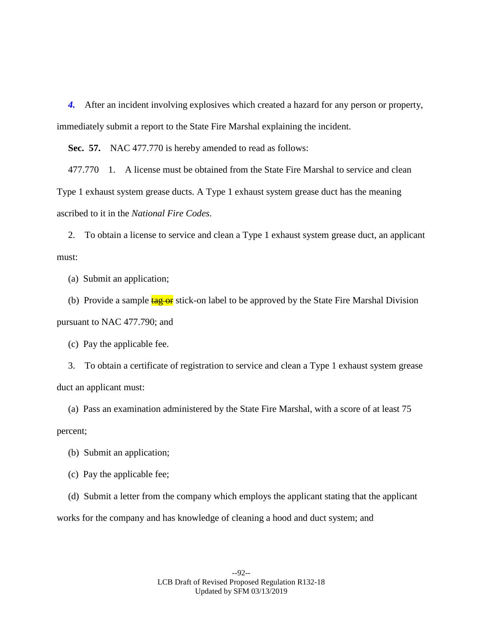*4.* After an incident involving explosives which created a hazard for any person or property, immediately submit a report to the State Fire Marshal explaining the incident.

**Sec. 57.** NAC 477.770 is hereby amended to read as follows:

477.770 1. A license must be obtained from the State Fire Marshal to service and clean Type 1 exhaust system grease ducts. A Type 1 exhaust system grease duct has the meaning ascribed to it in the *National Fire Codes*.

2. To obtain a license to service and clean a Type 1 exhaust system grease duct, an applicant must:

(a) Submit an application;

(b) Provide a sample  $\frac{\text{tag of}}{\text{er}}$  stick-on label to be approved by the State Fire Marshal Division pursuant to NAC 477.790; and

(c) Pay the applicable fee.

3. To obtain a certificate of registration to service and clean a Type 1 exhaust system grease duct an applicant must:

(a) Pass an examination administered by the State Fire Marshal, with a score of at least 75 percent;

(b) Submit an application;

(c) Pay the applicable fee;

(d) Submit a letter from the company which employs the applicant stating that the applicant works for the company and has knowledge of cleaning a hood and duct system; and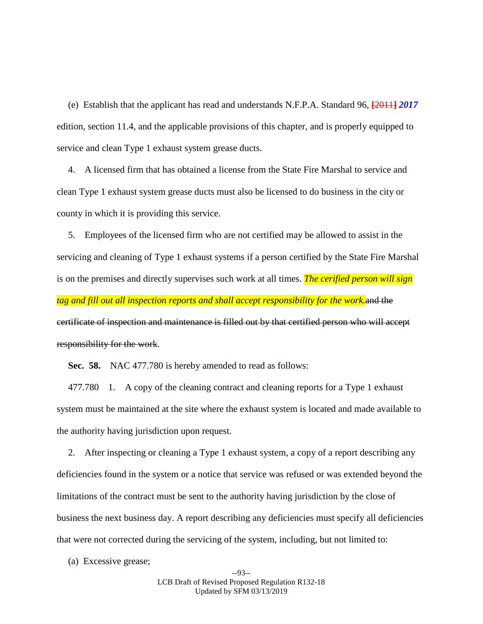(e) Establish that the applicant has read and understands N.F.P.A. Standard 96, **[**2011**]** *2017*  edition, section 11.4, and the applicable provisions of this chapter, and is properly equipped to service and clean Type 1 exhaust system grease ducts.

4. A licensed firm that has obtained a license from the State Fire Marshal to service and clean Type 1 exhaust system grease ducts must also be licensed to do business in the city or county in which it is providing this service.

5. Employees of the licensed firm who are not certified may be allowed to assist in the servicing and cleaning of Type 1 exhaust systems if a person certified by the State Fire Marshal is on the premises and directly supervises such work at all times. *The cerified person will sign tag and fill out all inspection reports and shall accept responsibility for the work.*and the certificate of inspection and maintenance is filled out by that certified person who will accept responsibility for the work.

**Sec. 58.** NAC 477.780 is hereby amended to read as follows:

477.780 1. A copy of the cleaning contract and cleaning reports for a Type 1 exhaust system must be maintained at the site where the exhaust system is located and made available to the authority having jurisdiction upon request.

2. After inspecting or cleaning a Type 1 exhaust system, a copy of a report describing any deficiencies found in the system or a notice that service was refused or was extended beyond the limitations of the contract must be sent to the authority having jurisdiction by the close of business the next business day. A report describing any deficiencies must specify all deficiencies that were not corrected during the servicing of the system, including, but not limited to:

(a) Excessive grease;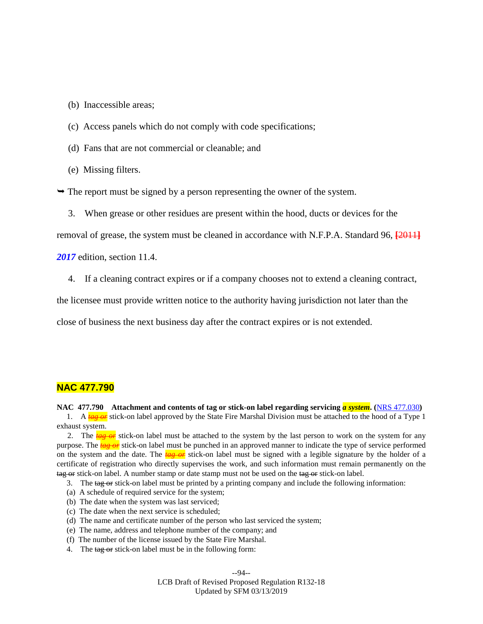(b) Inaccessible areas;

- (c) Access panels which do not comply with code specifications;
- (d) Fans that are not commercial or cleanable; and
- (e) Missing filters.

 $\rightarrow$  The report must be signed by a person representing the owner of the system.

3. When grease or other residues are present within the hood, ducts or devices for the

removal of grease, the system must be cleaned in accordance with N.F.P.A. Standard 96, **[**2011**]**

*2017* edition, section 11.4.

4. If a cleaning contract expires or if a company chooses not to extend a cleaning contract,

the licensee must provide written notice to the authority having jurisdiction not later than the

close of business the next business day after the contract expires or is not extended.

## **NAC 477.790**

#### **NAC 477.790 Attachment and contents of tag or stick-on label regarding servicing** *a system***. (**[NRS 477.030](https://www.leg.state.nv.us/NRS/NRS-477.html#NRS477Sec030)**)**

1. A **tag or** stick-on label approved by the State Fire Marshal Division must be attached to the hood of a Type 1 exhaust system.

2. The  $\frac{t\alpha g}{\alpha r}$  stick-on label must be attached to the system by the last person to work on the system for any purpose. The *tag or* stick-on label must be punched in an approved manner to indicate the type of service performed on the system and the date. The *tag or* stick-on label must be signed with a legible signature by the holder of a certificate of registration who directly supervises the work, and such information must remain permanently on the tag or stick-on label. A number stamp or date stamp must not be used on the tag or stick-on label.

- 3. The tag or stick-on label must be printed by a printing company and include the following information:
- (a) A schedule of required service for the system;
- (b) The date when the system was last serviced;
- (c) The date when the next service is scheduled;
- (d) The name and certificate number of the person who last serviced the system;
- (e) The name, address and telephone number of the company; and
- (f) The number of the license issued by the State Fire Marshal.
- 4. The tag or stick-on label must be in the following form:

--94--

LCB Draft of Revised Proposed Regulation R132-18 Updated by SFM 03/13/2019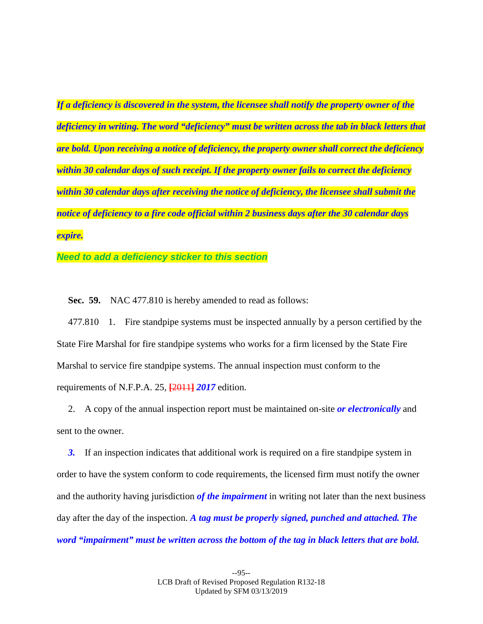*If a deficiency is discovered in the system, the licensee shall notify the property owner of the deficiency in writing. The word "deficiency" must be written across the tab in black letters that are bold. Upon receiving a notice of deficiency, the property owner shall correct the deficiency within 30 calendar days of such receipt. If the property owner fails to correct the deficiency within 30 calendar days after receiving the notice of deficiency, the licensee shall submit the notice of deficiency to a fire code official within 2 business days after the 30 calendar days expire.*

*Need to add a deficiency sticker to this section*

**Sec. 59.** NAC 477.810 is hereby amended to read as follows:

477.810 1. Fire standpipe systems must be inspected annually by a person certified by the State Fire Marshal for fire standpipe systems who works for a firm licensed by the State Fire Marshal to service fire standpipe systems. The annual inspection must conform to the requirements of N.F.P.A. 25, **[**2011**]** *2017* edition.

2. A copy of the annual inspection report must be maintained on-site *or electronically* and sent to the owner.

**3.** If an inspection indicates that additional work is required on a fire standpipe system in order to have the system conform to code requirements, the licensed firm must notify the owner and the authority having jurisdiction *of the impairment* in writing not later than the next business day after the day of the inspection. *A tag must be properly signed, punched and attached. The word "impairment" must be written across the bottom of the tag in black letters that are bold.*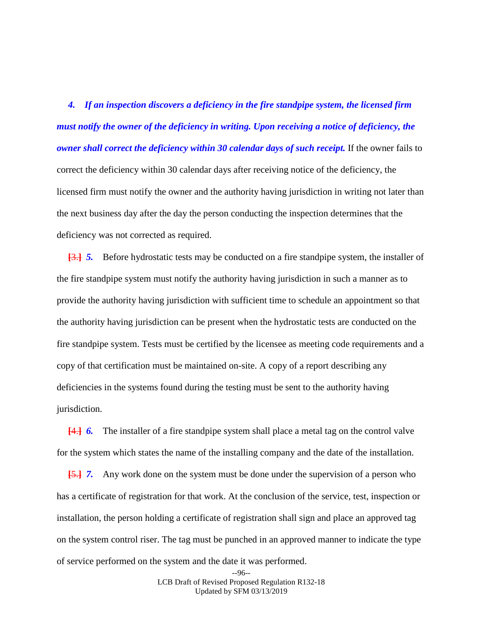*4. If an inspection discovers a deficiency in the fire standpipe system, the licensed firm must notify the owner of the deficiency in writing. Upon receiving a notice of deficiency, the owner shall correct the deficiency within 30 calendar days of such receipt.* If the owner fails to correct the deficiency within 30 calendar days after receiving notice of the deficiency, the licensed firm must notify the owner and the authority having jurisdiction in writing not later than the next business day after the day the person conducting the inspection determines that the deficiency was not corrected as required.

**[**3.**]** *5.* Before hydrostatic tests may be conducted on a fire standpipe system, the installer of the fire standpipe system must notify the authority having jurisdiction in such a manner as to provide the authority having jurisdiction with sufficient time to schedule an appointment so that the authority having jurisdiction can be present when the hydrostatic tests are conducted on the fire standpipe system. Tests must be certified by the licensee as meeting code requirements and a copy of that certification must be maintained on-site. A copy of a report describing any deficiencies in the systems found during the testing must be sent to the authority having jurisdiction.

**[**4.**]** *6.* The installer of a fire standpipe system shall place a metal tag on the control valve for the system which states the name of the installing company and the date of the installation.

**[**5.**]** *7.* Any work done on the system must be done under the supervision of a person who has a certificate of registration for that work. At the conclusion of the service, test, inspection or installation, the person holding a certificate of registration shall sign and place an approved tag on the system control riser. The tag must be punched in an approved manner to indicate the type of service performed on the system and the date it was performed.

> --96-- LCB Draft of Revised Proposed Regulation R132-18 Updated by SFM 03/13/2019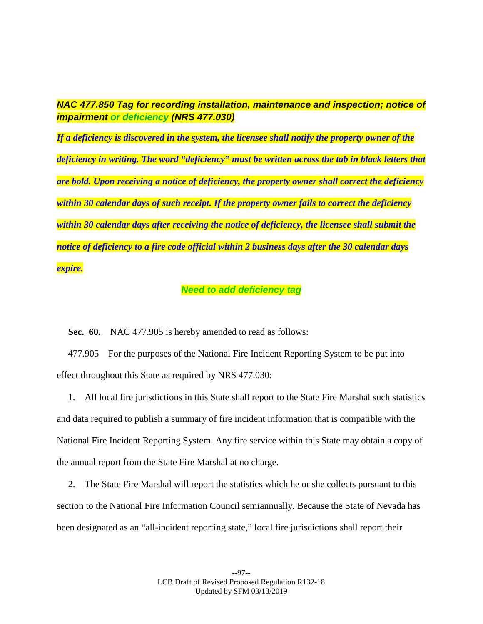# *NAC 477.850 Tag for recording installation, maintenance and inspection; notice of impairment or deficiency (NRS 477.030)*

*If a deficiency is discovered in the system, the licensee shall notify the property owner of the deficiency in writing. The word "deficiency" must be written across the tab in black letters that are bold. Upon receiving a notice of deficiency, the property owner shall correct the deficiency within 30 calendar days of such receipt. If the property owner fails to correct the deficiency within 30 calendar days after receiving the notice of deficiency, the licensee shall submit the notice of deficiency to a fire code official within 2 business days after the 30 calendar days expire.*

# *Need to add deficiency tag*

**Sec. 60.** NAC 477.905 is hereby amended to read as follows:

477.905 For the purposes of the National Fire Incident Reporting System to be put into effect throughout this State as required by NRS 477.030:

1. All local fire jurisdictions in this State shall report to the State Fire Marshal such statistics and data required to publish a summary of fire incident information that is compatible with the National Fire Incident Reporting System. Any fire service within this State may obtain a copy of the annual report from the State Fire Marshal at no charge.

2. The State Fire Marshal will report the statistics which he or she collects pursuant to this section to the National Fire Information Council semiannually. Because the State of Nevada has been designated as an "all-incident reporting state," local fire jurisdictions shall report their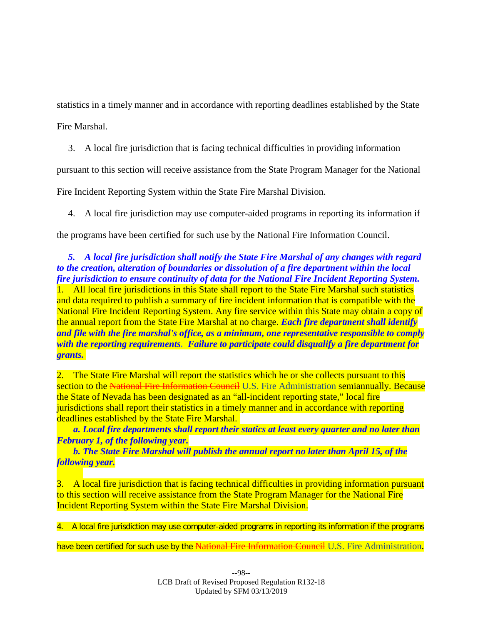statistics in a timely manner and in accordance with reporting deadlines established by the State

Fire Marshal.

3. A local fire jurisdiction that is facing technical difficulties in providing information

pursuant to this section will receive assistance from the State Program Manager for the National

Fire Incident Reporting System within the State Fire Marshal Division.

4. A local fire jurisdiction may use computer-aided programs in reporting its information if

the programs have been certified for such use by the National Fire Information Council.

# *5. A local fire jurisdiction shall notify the State Fire Marshal of any changes with regard to the creation, alteration of boundaries or dissolution of a fire department within the local fire jurisdiction to ensure continuity of data for the National Fire Incident Reporting System.*

1. All local fire jurisdictions in this State shall report to the State Fire Marshal such statistics and data required to publish a summary of fire incident information that is compatible with the National Fire Incident Reporting System. Any fire service within this State may obtain a copy of the annual report from the State Fire Marshal at no charge. *Each fire department shall identify and file with the fire marshal's office, as a minimum, one representative responsible to comply with the reporting requirements. Failure to participate could disqualify a fire department for grants.*

2. The State Fire Marshal will report the statistics which he or she collects pursuant to this section to the National Fire Information Council U.S. Fire Administration semiannually. Because the State of Nevada has been designated as an "all-incident reporting state," local fire jurisdictions shall report their statistics in a timely manner and in accordance with reporting deadlines established by the State Fire Marshal.

 *a. Local fire departments shall report their statics at least every quarter and no later than February 1, of the following year.*

 *b. The State Fire Marshal will publish the annual report no later than April 15, of the following year.*

3. A local fire jurisdiction that is facing technical difficulties in providing information pursuant to this section will receive assistance from the State Program Manager for the National Fire Incident Reporting System within the State Fire Marshal Division.

4. A local fire jurisdiction may use computer-aided programs in reporting its information if the programs

have been certified for such use by the National Fire Information Council U.S. Fire Administration.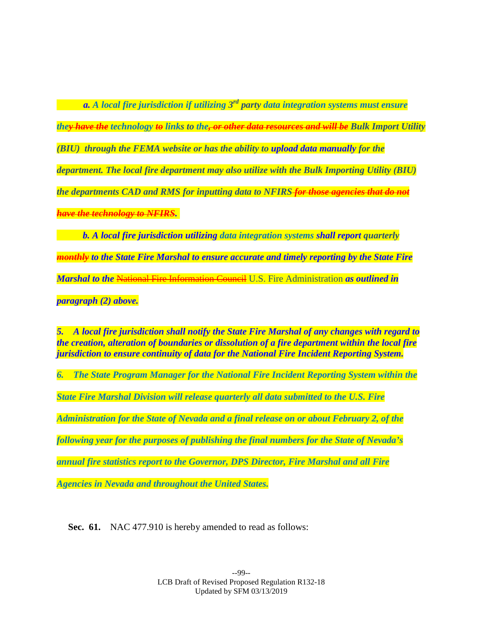*a. A local fire jurisdiction if utilizing 3rd party data integration systems must ensure they have the technology to links to the, or other data resources and will be Bulk Import Utility (BIU) through the FEMA website or has the ability to upload data manually for the department. The local fire department may also utilize with the Bulk Importing Utility (BIU) the departments CAD and RMS for inputting data to NFIRS for those agencies that do not have the technology to NFIRS.*

 *b. A local fire jurisdiction utilizing data integration systems shall report quarterly monthly to the State Fire Marshal to ensure accurate and timely reporting by the State Fire Marshal to the* National Fire Information Council U.S. Fire Administration *as outlined in paragraph (2) above.*

*5. A local fire jurisdiction shall notify the State Fire Marshal of any changes with regard to the creation, alteration of boundaries or dissolution of a fire department within the local fire jurisdiction to ensure continuity of data for the National Fire Incident Reporting System.*

*6. The State Program Manager for the National Fire Incident Reporting System within the State Fire Marshal Division will release quarterly all data submitted to the U.S. Fire Administration for the State of Nevada and a final release on or about February 2, of the following year for the purposes of publishing the final numbers for the State of Nevada's annual fire statistics report to the Governor, DPS Director, Fire Marshal and all Fire* 

*Agencies in Nevada and throughout the United States.*

**Sec. 61.** NAC 477.910 is hereby amended to read as follows: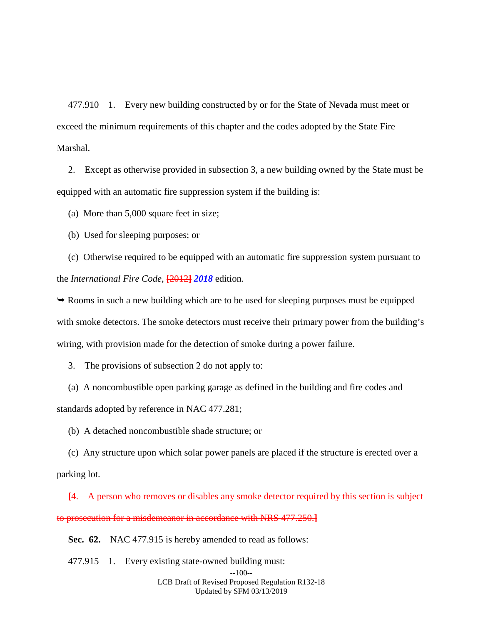477.910 1. Every new building constructed by or for the State of Nevada must meet or exceed the minimum requirements of this chapter and the codes adopted by the State Fire Marshal.

2. Except as otherwise provided in subsection 3, a new building owned by the State must be equipped with an automatic fire suppression system if the building is:

(a) More than 5,000 square feet in size;

(b) Used for sleeping purposes; or

(c) Otherwise required to be equipped with an automatic fire suppression system pursuant to the *International Fire Code*, **[**2012**]** *2018* edition.

 Rooms in such a new building which are to be used for sleeping purposes must be equipped with smoke detectors. The smoke detectors must receive their primary power from the building's wiring, with provision made for the detection of smoke during a power failure.

3. The provisions of subsection 2 do not apply to:

(a) A noncombustible open parking garage as defined in the building and fire codes and standards adopted by reference in NAC 477.281;

(b) A detached noncombustible shade structure; or

(c) Any structure upon which solar power panels are placed if the structure is erected over a parking lot.

**[**4. A person who removes or disables any smoke detector required by this section is subject to prosecution for a misdemeanor in accordance with NRS 477.250.**]**

**Sec. 62.** NAC 477.915 is hereby amended to read as follows:

477.915 1. Every existing state-owned building must:

LCB Draft of Revised Proposed Regulation R132-18 Updated by SFM 03/13/2019

<sup>--100--</sup>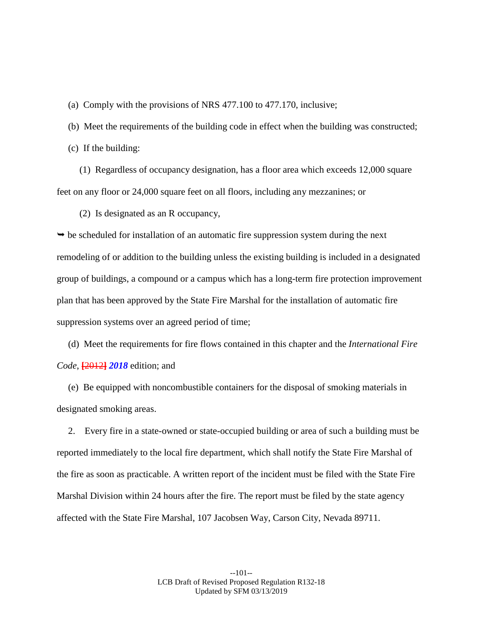(a) Comply with the provisions of NRS 477.100 to 477.170, inclusive;

(b) Meet the requirements of the building code in effect when the building was constructed;

(c) If the building:

(1) Regardless of occupancy designation, has a floor area which exceeds 12,000 square feet on any floor or 24,000 square feet on all floors, including any mezzanines; or

(2) Is designated as an R occupancy,

 $\rightarrow$  be scheduled for installation of an automatic fire suppression system during the next remodeling of or addition to the building unless the existing building is included in a designated group of buildings, a compound or a campus which has a long-term fire protection improvement plan that has been approved by the State Fire Marshal for the installation of automatic fire suppression systems over an agreed period of time;

(d) Meet the requirements for fire flows contained in this chapter and the *International Fire Code*, **[**2012**]** *2018* edition; and

(e) Be equipped with noncombustible containers for the disposal of smoking materials in designated smoking areas.

2. Every fire in a state-owned or state-occupied building or area of such a building must be reported immediately to the local fire department, which shall notify the State Fire Marshal of the fire as soon as practicable. A written report of the incident must be filed with the State Fire Marshal Division within 24 hours after the fire. The report must be filed by the state agency affected with the State Fire Marshal, 107 Jacobsen Way, Carson City, Nevada 89711.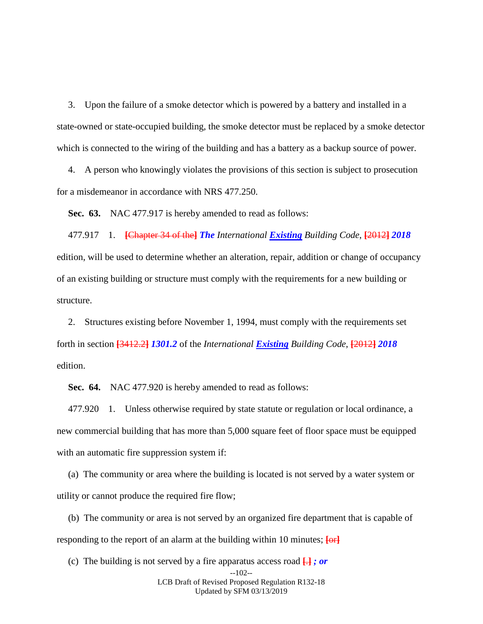3. Upon the failure of a smoke detector which is powered by a battery and installed in a state-owned or state-occupied building, the smoke detector must be replaced by a smoke detector which is connected to the wiring of the building and has a battery as a backup source of power.

4. A person who knowingly violates the provisions of this section is subject to prosecution for a misdemeanor in accordance with NRS 477.250.

**Sec. 63.** NAC 477.917 is hereby amended to read as follows:

477.917 1. **[**Chapter 34 of the**]** *The International Existing Building Code*, **[**2012**]** *2018*  edition, will be used to determine whether an alteration, repair, addition or change of occupancy of an existing building or structure must comply with the requirements for a new building or structure.

2. Structures existing before November 1, 1994, must comply with the requirements set forth in section **[**3412.2**]** *1301.2* of the *International Existing Building Code*, **[**2012**]** *2018* edition.

**Sec. 64.** NAC 477.920 is hereby amended to read as follows:

477.920 1. Unless otherwise required by state statute or regulation or local ordinance, a new commercial building that has more than 5,000 square feet of floor space must be equipped with an automatic fire suppression system if:

(a) The community or area where the building is located is not served by a water system or utility or cannot produce the required fire flow;

(b) The community or area is not served by an organized fire department that is capable of responding to the report of an alarm at the building within 10 minutes; **[**or**]**

(c) The building is not served by a fire apparatus access road **[**.**]** *; or*

LCB Draft of Revised Proposed Regulation R132-18 Updated by SFM 03/13/2019

<sup>--102--</sup>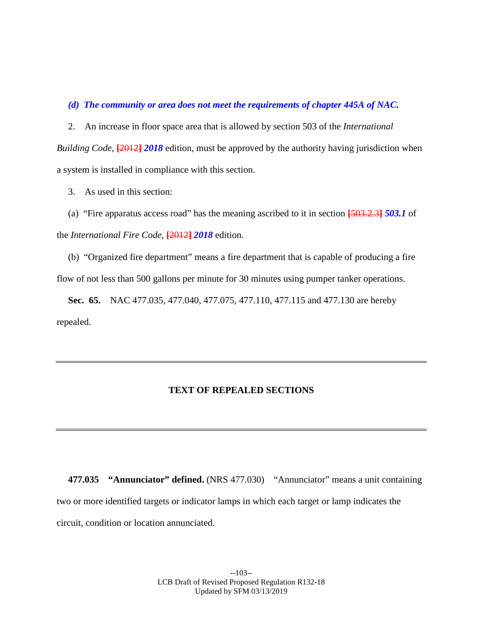## *(d) The community or area does not meet the requirements of chapter 445A of NAC.*

2. An increase in floor space area that is allowed by section 503 of the *International Building Code*, **[**2012**]** *2018* edition, must be approved by the authority having jurisdiction when a system is installed in compliance with this section.

3. As used in this section:

(a) "Fire apparatus access road" has the meaning ascribed to it in section **[**503.2.3**]** *503.1* of the *International Fire Code*, **[**2012**]** *2018* edition.

(b) "Organized fire department" means a fire department that is capable of producing a fire flow of not less than 500 gallons per minute for 30 minutes using pumper tanker operations.

**Sec. 65.** NAC 477.035, 477.040, 477.075, 477.110, 477.115 and 477.130 are hereby repealed.

# **TEXT OF REPEALED SECTIONS**

**477.035 "Annunciator" defined.** (NRS 477.030) "Annunciator" means a unit containing two or more identified targets or indicator lamps in which each target or lamp indicates the circuit, condition or location annunciated.